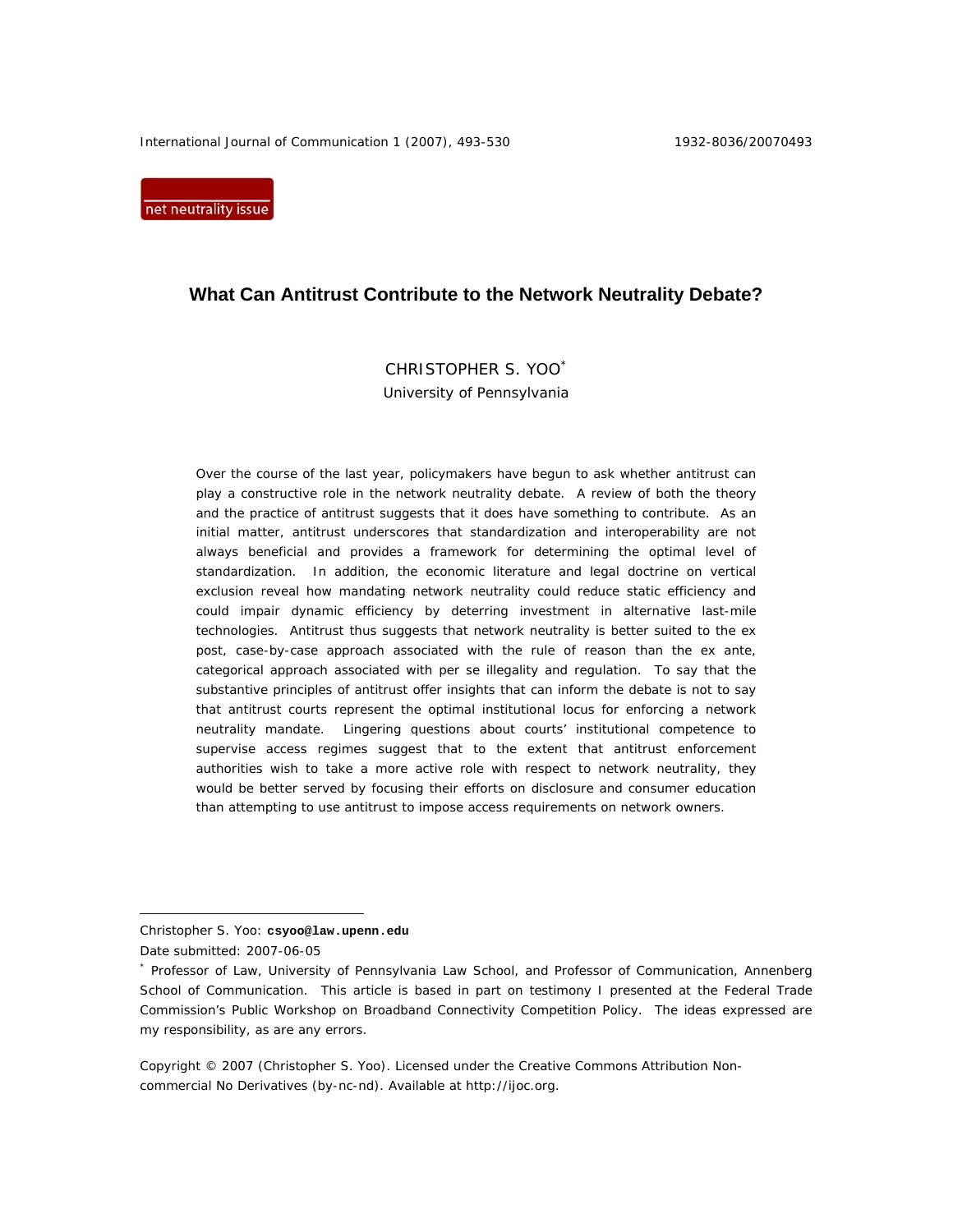net neutrality issue

# **What Can Antitrust Contribute to the Network Neutrality Debate?**

# CHRISTOPHER S. YOO\* University of Pennsylvania

Over the course of the last year, policymakers have begun to ask whether antitrust can play a constructive role in the network neutrality debate. A review of both the theory and the practice of antitrust suggests that it does have something to contribute. As an initial matter, antitrust underscores that standardization and interoperability are not always beneficial and provides a framework for determining the optimal level of standardization. In addition, the economic literature and legal doctrine on vertical exclusion reveal how mandating network neutrality could reduce static efficiency and could impair dynamic efficiency by deterring investment in alternative last-mile technologies. Antitrust thus suggests that network neutrality is better suited to the ex post, case-by-case approach associated with the rule of reason than the ex ante, categorical approach associated with per se illegality and regulation. To say that the substantive principles of antitrust offer insights that can inform the debate is not to say that antitrust courts represent the optimal institutional locus for enforcing a network neutrality mandate. Lingering questions about courts' institutional competence to supervise access regimes suggest that to the extent that antitrust enforcement authorities wish to take a more active role with respect to network neutrality, they would be better served by focusing their efforts on disclosure and consumer education than attempting to use antitrust to impose access requirements on network owners.

Christopher S. Yoo: **csyoo@law.upenn.edu** 

Date submitted: 2007-06-05

<sup>\*</sup> Professor of Law, University of Pennsylvania Law School, and Professor of Communication, Annenberg School of Communication. This article is based in part on testimony I presented at the Federal Trade Commission's Public Workshop on Broadband Connectivity Competition Policy. The ideas expressed are my responsibility, as are any errors.

Copyright © 2007 (Christopher S. Yoo). Licensed under the Creative Commons Attribution Noncommercial No Derivatives (by-nc-nd). Available at http://ijoc.org.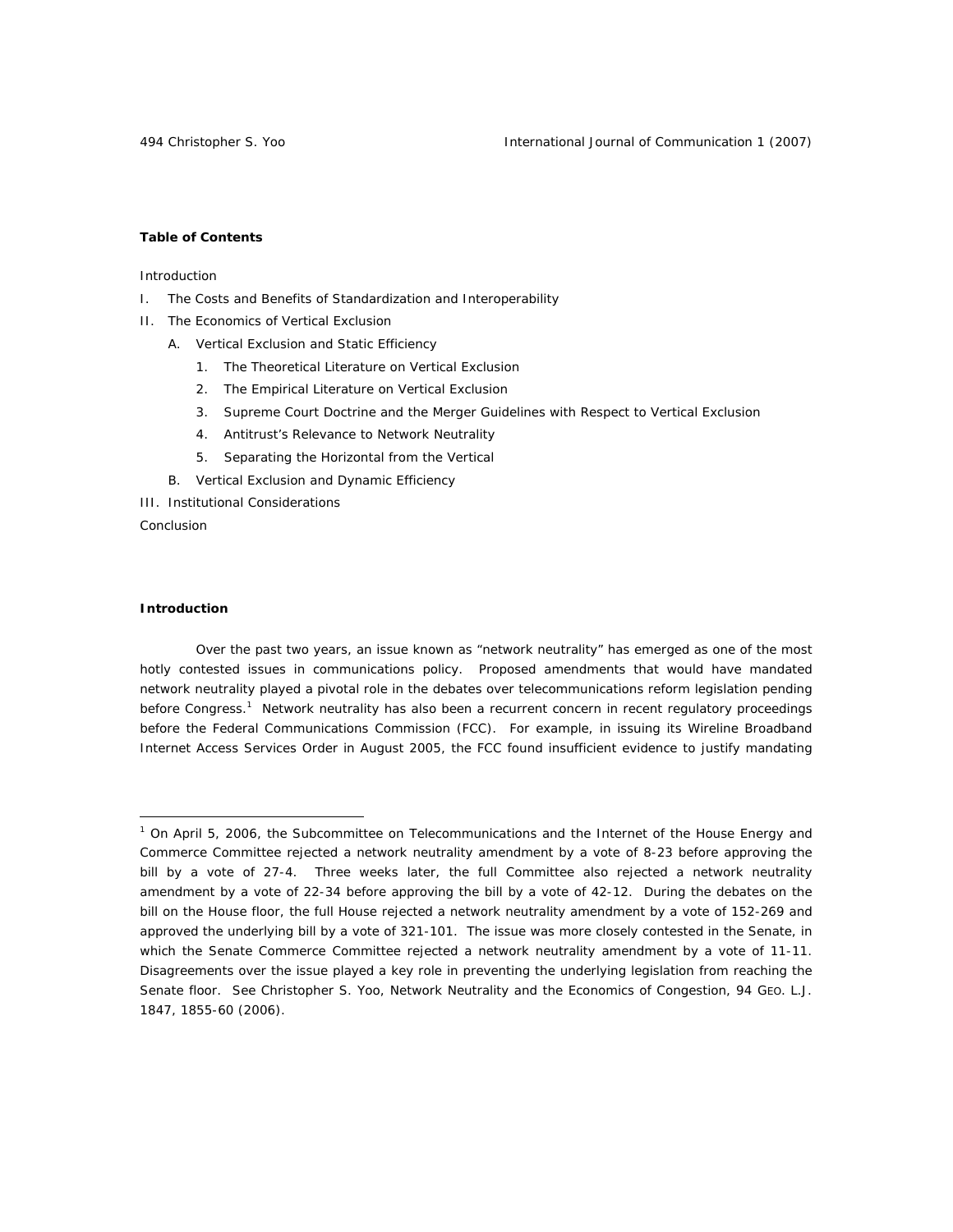## **Table of Contents**

Introduction

- I. The Costs and Benefits of Standardization and Interoperability
- II. The Economics of Vertical Exclusion
	- A. Vertical Exclusion and Static Efficiency
		- 1. The Theoretical Literature on Vertical Exclusion
		- 2. The Empirical Literature on Vertical Exclusion
		- 3. Supreme Court Doctrine and the Merger Guidelines with Respect to Vertical Exclusion
		- 4. Antitrust's Relevance to Network Neutrality
		- 5. Separating the Horizontal from the Vertical
	- B. Vertical Exclusion and Dynamic Efficiency

III. Institutional Considerations

**Conclusion** 

## **Introduction**

 $\overline{a}$ 

 Over the past two years, an issue known as "network neutrality" has emerged as one of the most hotly contested issues in communications policy. Proposed amendments that would have mandated network neutrality played a pivotal role in the debates over telecommunications reform legislation pending before Congress.<sup>1</sup> Network neutrality has also been a recurrent concern in recent regulatory proceedings before the Federal Communications Commission (FCC). For example, in issuing its *Wireline Broadband Internet Access Services Order* in August 2005, the FCC found insufficient evidence to justify mandating

<sup>&</sup>lt;sup>1</sup> On April 5, 2006, the Subcommittee on Telecommunications and the Internet of the House Energy and Commerce Committee rejected a network neutrality amendment by a vote of 8-23 before approving the bill by a vote of 27-4. Three weeks later, the full Committee also rejected a network neutrality amendment by a vote of 22-34 before approving the bill by a vote of 42-12. During the debates on the bill on the House floor, the full House rejected a network neutrality amendment by a vote of 152-269 and approved the underlying bill by a vote of 321-101. The issue was more closely contested in the Senate, in which the Senate Commerce Committee rejected a network neutrality amendment by a vote of 11-11. Disagreements over the issue played a key role in preventing the underlying legislation from reaching the Senate floor. *See* Christopher S. Yoo, *Network Neutrality and the Economics of Congestion*, 94 GEO. L.J. 1847, 1855-60 (2006).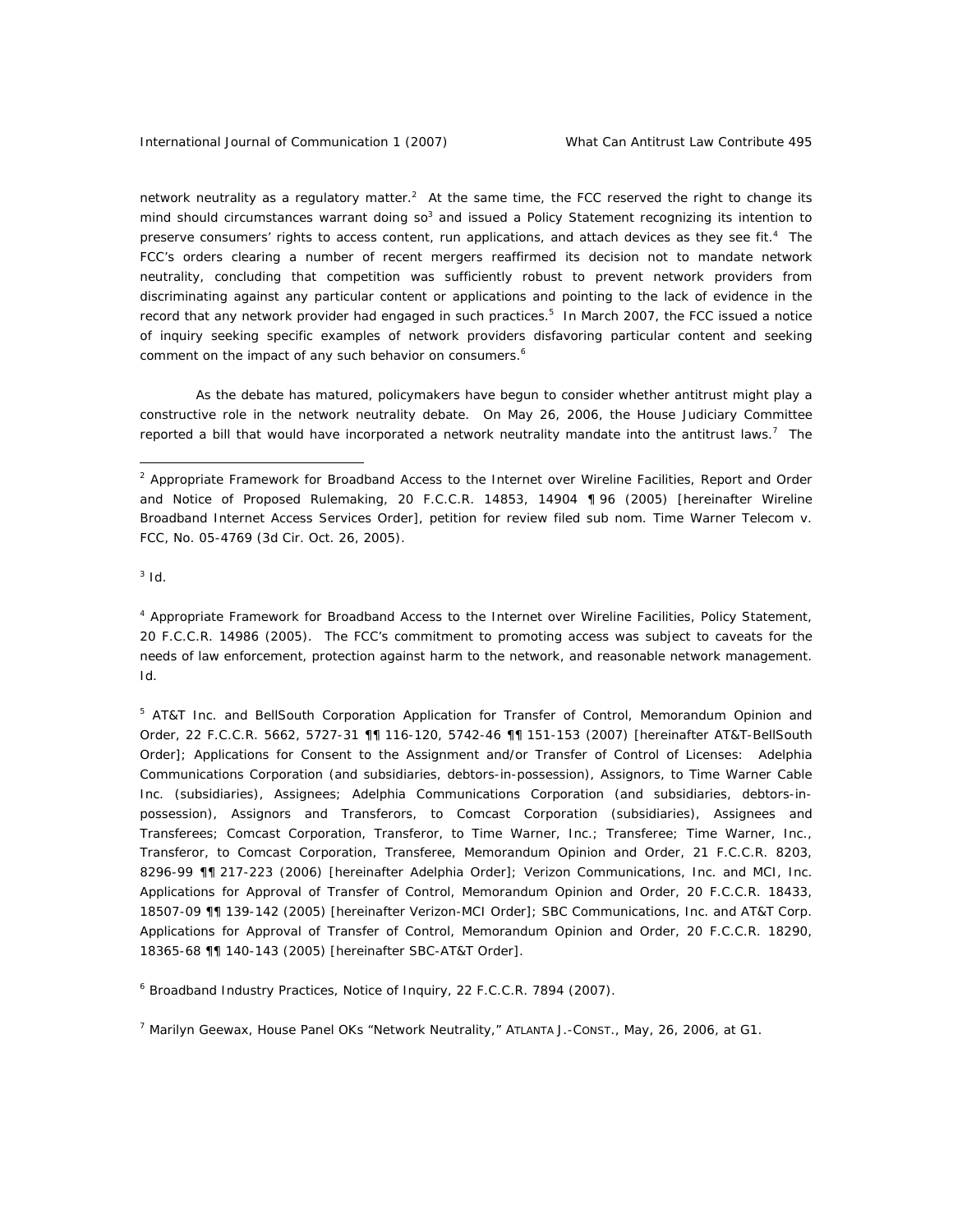network neutrality as a regulatory matter.<sup>2</sup> At the same time, the FCC reserved the right to change its mind should circumstances warrant doing so<sup>3</sup> and issued a Policy Statement recognizing its intention to preserve consumers' rights to access content, run applications, and attach devices as they see fit.<sup>4</sup> The FCC's orders clearing a number of recent mergers reaffirmed its decision not to mandate network neutrality, concluding that competition was sufficiently robust to prevent network providers from discriminating against any particular content or applications and pointing to the lack of evidence in the record that any network provider had engaged in such practices.<sup>5</sup> In March 2007, the FCC issued a notice of inquiry seeking specific examples of network providers disfavoring particular content and seeking comment on the impact of any such behavior on consumers.<sup>6</sup>

 As the debate has matured, policymakers have begun to consider whether antitrust might play a constructive role in the network neutrality debate. On May 26, 2006, the House Judiciary Committee reported a bill that would have incorporated a network neutrality mandate into the antitrust laws.<sup>7</sup> The

 $3$  *Id.* 

 $\overline{a}$ 

4 Appropriate Framework for Broadband Access to the Internet over Wireline Facilities, Policy Statement, 20 F.C.C.R. 14986 (2005). The FCC's commitment to promoting access was subject to caveats for the needs of law enforcement, protection against harm to the network, and reasonable network management. *Id.* 

<sup>5</sup> AT&T Inc. and BellSouth Corporation Application for Transfer of Control, Memorandum Opinion and Order, 22 F.C.C.R. 5662, 5727-31 ¶¶ 116-120, 5742-46 ¶¶ 151-153 (2007) [hereinafter AT&T-BellSouth Order]; Applications for Consent to the Assignment and/or Transfer of Control of Licenses: Adelphia Communications Corporation (and subsidiaries, debtors-in-possession), Assignors, to Time Warner Cable Inc. (subsidiaries), Assignees; Adelphia Communications Corporation (and subsidiaries, debtors-inpossession), Assignors and Transferors, to Comcast Corporation (subsidiaries), Assignees and Transferees; Comcast Corporation, Transferor, to Time Warner, Inc.; Transferee; Time Warner, Inc., Transferor, to Comcast Corporation, Transferee, Memorandum Opinion and Order, 21 F.C.C.R. 8203, 8296-99 ¶¶ 217-223 (2006) [hereinafter Adelphia Order]; Verizon Communications, Inc. and MCI, Inc. Applications for Approval of Transfer of Control, Memorandum Opinion and Order, 20 F.C.C.R. 18433, 18507-09 ¶¶ 139-142 (2005) [hereinafter Verizon-MCI Order]; SBC Communications, Inc. and AT&T Corp. Applications for Approval of Transfer of Control, Memorandum Opinion and Order, 20 F.C.C.R. 18290, 18365-68 ¶¶ 140-143 (2005) [hereinafter SBC-AT&T Order].

<sup>6</sup> Broadband Industry Practices, Notice of Inquiry, 22 F.C.C.R. 7894 (2007).

7 Marilyn Geewax, *House Panel OKs "Network Neutrality,"* ATLANTA J.-CONST., May, 26, 2006, at G1.

<sup>&</sup>lt;sup>2</sup> Appropriate Framework for Broadband Access to the Internet over Wireline Facilities, Report and Order and Notice of Proposed Rulemaking, 20 F.C.C.R. 14853, 14904 ¶ 96 (2005) [hereinafter Wireline Broadband Internet Access Services Order], *petition for review filed sub nom.* Time Warner Telecom v. FCC, No. 05-4769 (3d Cir. Oct. 26, 2005).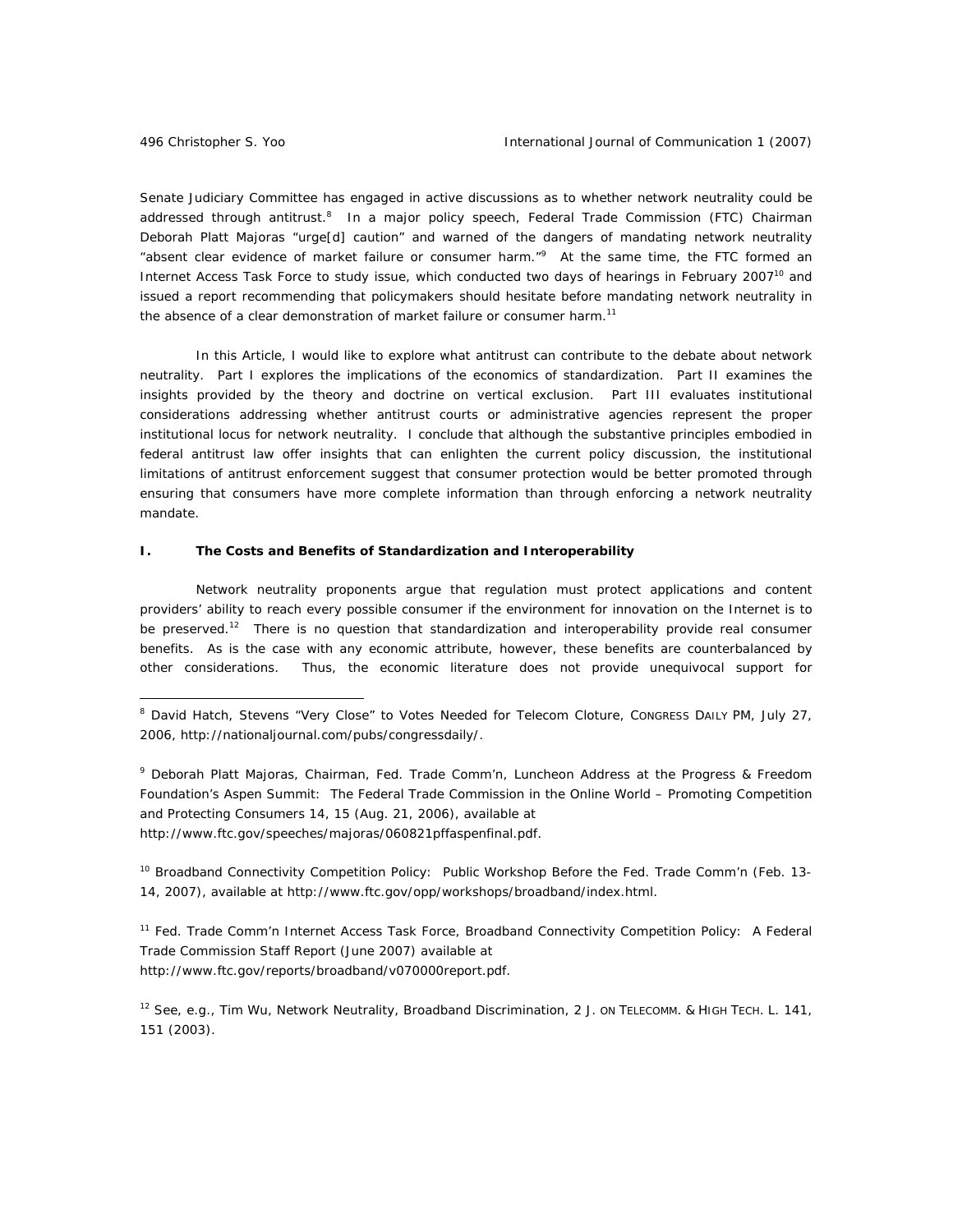Senate Judiciary Committee has engaged in active discussions as to whether network neutrality could be addressed through antitrust.<sup>8</sup> In a major policy speech, Federal Trade Commission (FTC) Chairman Deborah Platt Majoras "urge[d] caution" and warned of the dangers of mandating network neutrality "absent clear evidence of market failure or consumer harm."<sup>9</sup> At the same time, the FTC formed an Internet Access Task Force to study issue, which conducted two days of hearings in February 2007<sup>10</sup> and issued a report recommending that policymakers should hesitate before mandating network neutrality in the absence of a clear demonstration of market failure or consumer harm.<sup>11</sup>

 In this Article, I would like to explore what antitrust can contribute to the debate about network neutrality. Part I explores the implications of the economics of standardization. Part II examines the insights provided by the theory and doctrine on vertical exclusion. Part III evaluates institutional considerations addressing whether antitrust courts or administrative agencies represent the proper institutional locus for network neutrality. I conclude that although the substantive principles embodied in federal antitrust law offer insights that can enlighten the current policy discussion, the institutional limitations of antitrust enforcement suggest that consumer protection would be better promoted through ensuring that consumers have more complete information than through enforcing a network neutrality mandate.

## **I. The Costs and Benefits of Standardization and Interoperability**

 Network neutrality proponents argue that regulation must protect applications and content providers' ability to reach every possible consumer if the environment for innovation on the Internet is to be preserved.<sup>12</sup> There is no question that standardization and interoperability provide real consumer benefits. As is the case with any economic attribute, however, these benefits are counterbalanced by other considerations. Thus, the economic literature does not provide unequivocal support for

9 Deborah Platt Majoras, Chairman, Fed. Trade Comm'n, Luncheon Address at the Progress & Freedom Foundation's Aspen Summit: The Federal Trade Commission in the Online World – Promoting Competition and Protecting Consumers 14, 15 (Aug. 21, 2006), *available at* http://www.ftc.gov/speeches/majoras/060821pffaspenfinal.pdf.

<sup>10</sup> *Broadband Connectivity Competition Policy: Public Workshop Before the Fed. Trade Comm'n* (Feb. 13- 14, 2007), *available at* http://www.ftc.gov/opp/workshops/broadband/index.html.

11 Fed. Trade Comm'n Internet Access Task Force, *Broadband Connectivity Competition Policy: A Federal Trade Commission Staff Report* (June 2007) *available at* http://www.ftc.gov/reports/broadband/v070000report.pdf.

<sup>12</sup> *See, e.g.*, Tim Wu, *Network Neutrality, Broadband Discrimination*, 2 J. ON TELECOMM. & HIGH TECH. L. 141, 151 (2003).

<sup>&</sup>lt;sup>8</sup> David Hatch, *Stevens "Very Close" to Votes Needed for Telecom Cloture*, Congress Daily PM, July 27, 2006, http://nationaljournal.com/pubs/congressdaily/.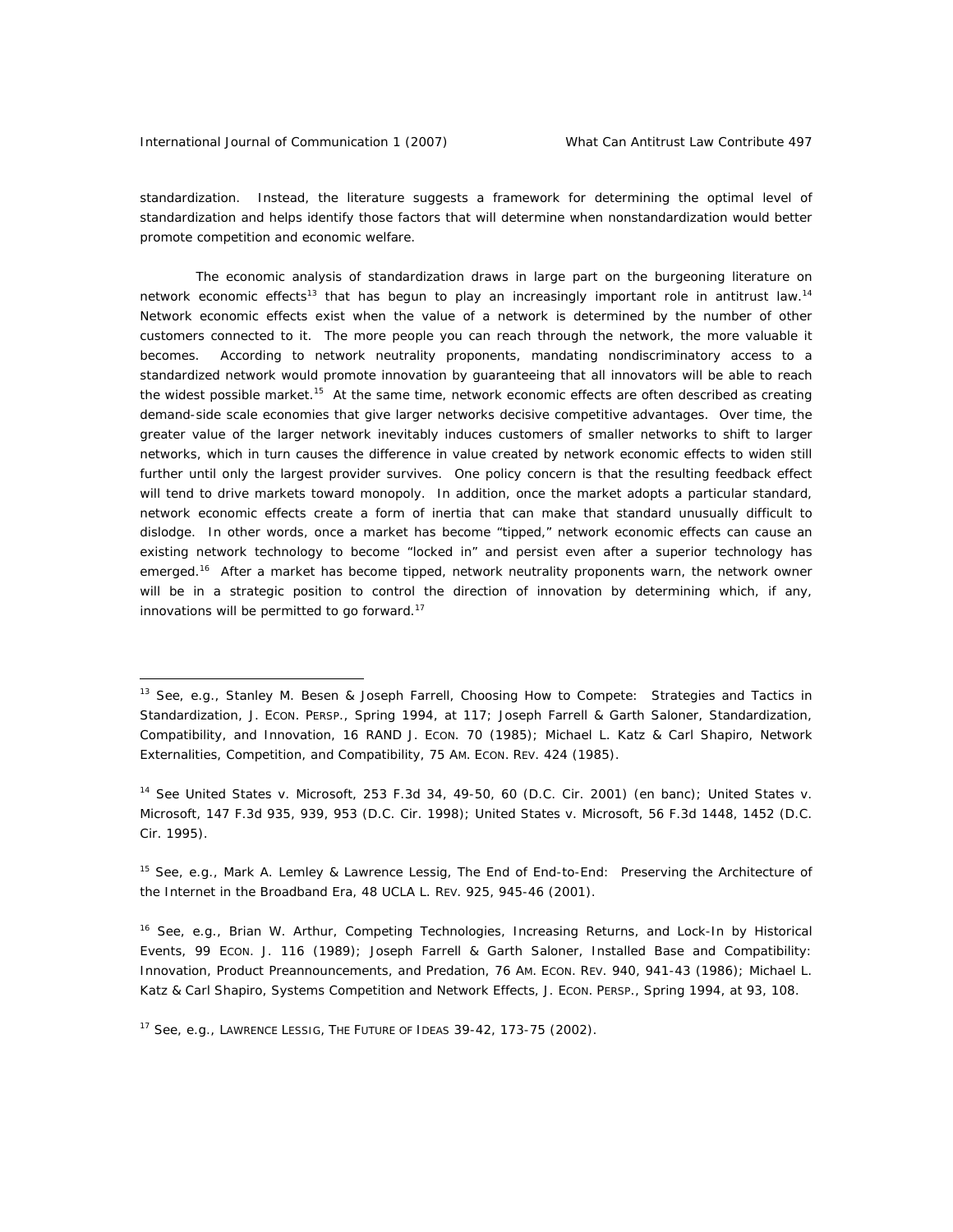standardization. Instead, the literature suggests a framework for determining the optimal level of standardization and helps identify those factors that will determine when nonstandardization would better promote competition and economic welfare.

 The economic analysis of standardization draws in large part on the burgeoning literature on network economic effects<sup>13</sup> that has begun to play an increasingly important role in antitrust law.<sup>14</sup> Network economic effects exist when the value of a network is determined by the number of other customers connected to it. The more people you can reach through the network, the more valuable it becomes. According to network neutrality proponents, mandating nondiscriminatory access to a standardized network would promote innovation by guaranteeing that all innovators will be able to reach the widest possible market.<sup>15</sup> At the same time, network economic effects are often described as creating demand-side scale economies that give larger networks decisive competitive advantages. Over time, the greater value of the larger network inevitably induces customers of smaller networks to shift to larger networks, which in turn causes the difference in value created by network economic effects to widen still further until only the largest provider survives. One policy concern is that the resulting feedback effect will tend to drive markets toward monopoly. In addition, once the market adopts a particular standard, network economic effects create a form of inertia that can make that standard unusually difficult to dislodge. In other words, once a market has become "tipped," network economic effects can cause an existing network technology to become "locked in" and persist even after a superior technology has emerged.<sup>16</sup> After a market has become tipped, network neutrality proponents warn, the network owner will be in a strategic position to control the direction of innovation by determining which, if any, innovations will be permitted to go forward. $17$ 

<sup>15</sup> *See, e.g.,* Mark A. Lemley & Lawrence Lessig, *The End of End-to-End: Preserving the Architecture of the Internet in the Broadband Era*, 48 UCLA L. REV. 925, 945-46 (2001).

<sup>16</sup> *See, e.g.*, Brian W. Arthur, *Competing Technologies, Increasing Returns, and Lock-In by Historical Events*, 99 ECON. J. 116 (1989); Joseph Farrell & Garth Saloner, *Installed Base and Compatibility: Innovation, Product Preannouncements, and Predation*, 76 AM. ECON. REV. 940, 941-43 (1986); Michael L. Katz & Carl Shapiro, *Systems Competition and Network Effects*, J. ECON. PERSP., Spring 1994, at 93, 108.

<sup>17</sup> *See, e.g.*, LAWRENCE LESSIG, THE FUTURE OF IDEAS 39-42, 173-75 (2002).

<sup>13</sup> *See, e.g.*, Stanley M. Besen & Joseph Farrell, *Choosing How to Compete: Strategies and Tactics in Standardization*, J. ECON. PERSP., Spring 1994, at 117; Joseph Farrell & Garth Saloner, *Standardization, Compatibility, and Innovation*, 16 RAND J. ECON. 70 (1985); Michael L. Katz & Carl Shapiro, *Network Externalities, Competition, and Compatibility*, 75 AM. ECON. REV. 424 (1985).

<sup>14</sup> *See* United States v. Microsoft, 253 F.3d 34, 49-50, 60 (D.C. Cir. 2001) (en banc); United States v. Microsoft, 147 F.3d 935, 939, 953 (D.C. Cir. 1998); United States v. Microsoft, 56 F.3d 1448, 1452 (D.C. Cir. 1995).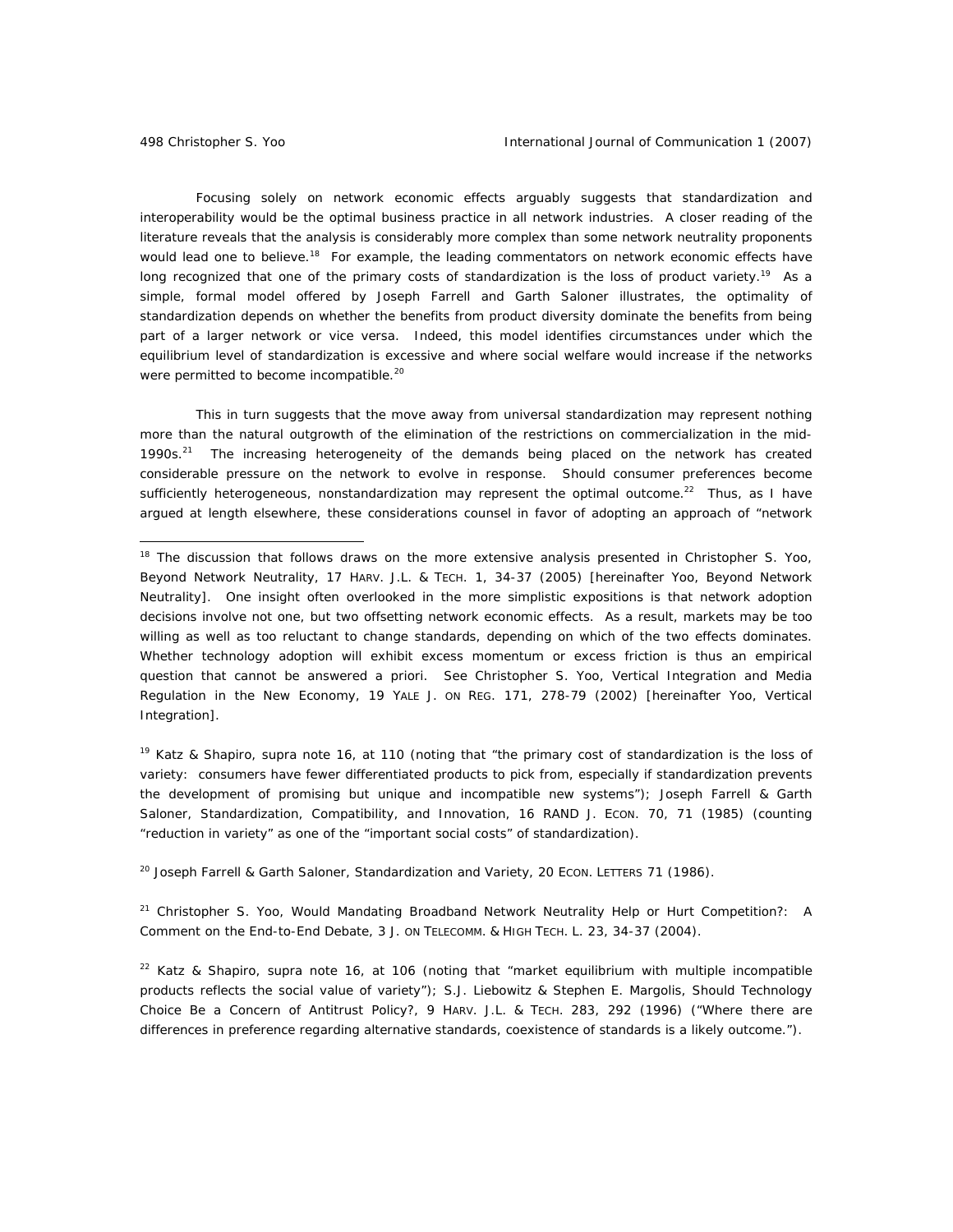Focusing solely on network economic effects arguably suggests that standardization and interoperability would be the optimal business practice in all network industries. A closer reading of the literature reveals that the analysis is considerably more complex than some network neutrality proponents would lead one to believe.<sup>18</sup> For example, the leading commentators on network economic effects have long recognized that one of the primary costs of standardization is the loss of product variety.<sup>19</sup> As a simple, formal model offered by Joseph Farrell and Garth Saloner illustrates, the optimality of standardization depends on whether the benefits from product diversity dominate the benefits from being part of a larger network or vice versa. Indeed, this model identifies circumstances under which the equilibrium level of standardization is excessive and where social welfare would increase if the networks were permitted to become incompatible.<sup>20</sup>

 This in turn suggests that the move away from universal standardization may represent nothing more than the natural outgrowth of the elimination of the restrictions on commercialization in the mid-1990s.<sup>21</sup> The increasing heterogeneity of the demands being placed on the network has created considerable pressure on the network to evolve in response. Should consumer preferences become sufficiently heterogeneous, nonstandardization may represent the optimal outcome.<sup>22</sup> Thus, as I have argued at length elsewhere, these considerations counsel in favor of adopting an approach of "network

19 Katz & Shapiro, *supra* note 16, at 110 (noting that "the primary cost of standardization is the loss of variety: consumers have fewer differentiated products to pick from, especially if standardization prevents the development of promising but unique and incompatible new systems"); Joseph Farrell & Garth Saloner, *Standardization, Compatibility, and Innovation*, 16 RAND J. ECON. 70, 71 (1985) (counting "reduction in variety" as one of the "important social costs" of standardization).

20 Joseph Farrell & Garth Saloner, *Standardization and Variety*, 20 ECON. LETTERS 71 (1986).

21 Christopher S. Yoo, *Would Mandating Broadband Network Neutrality Help or Hurt Competition?: A Comment on the End-to-End Debate*, 3 J. ON TELECOMM. & HIGH TECH. L. 23, 34-37 (2004).

22 Katz & Shapiro, *supra* note 16, at 106 (noting that "market equilibrium with multiple incompatible products reflects the social value of variety"); S.J. Liebowitz & Stephen E. Margolis, *Should Technology Choice Be a Concern of Antitrust Policy?*, 9 HARV. J.L. & TECH. 283, 292 (1996) ("Where there are differences in preference regarding alternative standards, coexistence of standards is a likely outcome.").

<sup>&</sup>lt;sup>18</sup> The discussion that follows draws on the more extensive analysis presented in Christopher S. Yoo, *Beyond Network Neutrality*, 17 HARV. J.L. & TECH. 1, 34-37 (2005) [hereinafter Yoo, *Beyond Network Neutrality*]. One insight often overlooked in the more simplistic expositions is that network adoption decisions involve not one, but two offsetting network economic effects. As a result, markets may be too willing as well as too reluctant to change standards, depending on which of the two effects dominates. Whether technology adoption will exhibit excess momentum or excess friction is thus an empirical question that cannot be answered a priori. *See* Christopher S. Yoo, *Vertical Integration and Media Regulation in the New Economy*, 19 YALE J. ON REG. 171, 278-79 (2002) [hereinafter Yoo, *Vertical Integration*].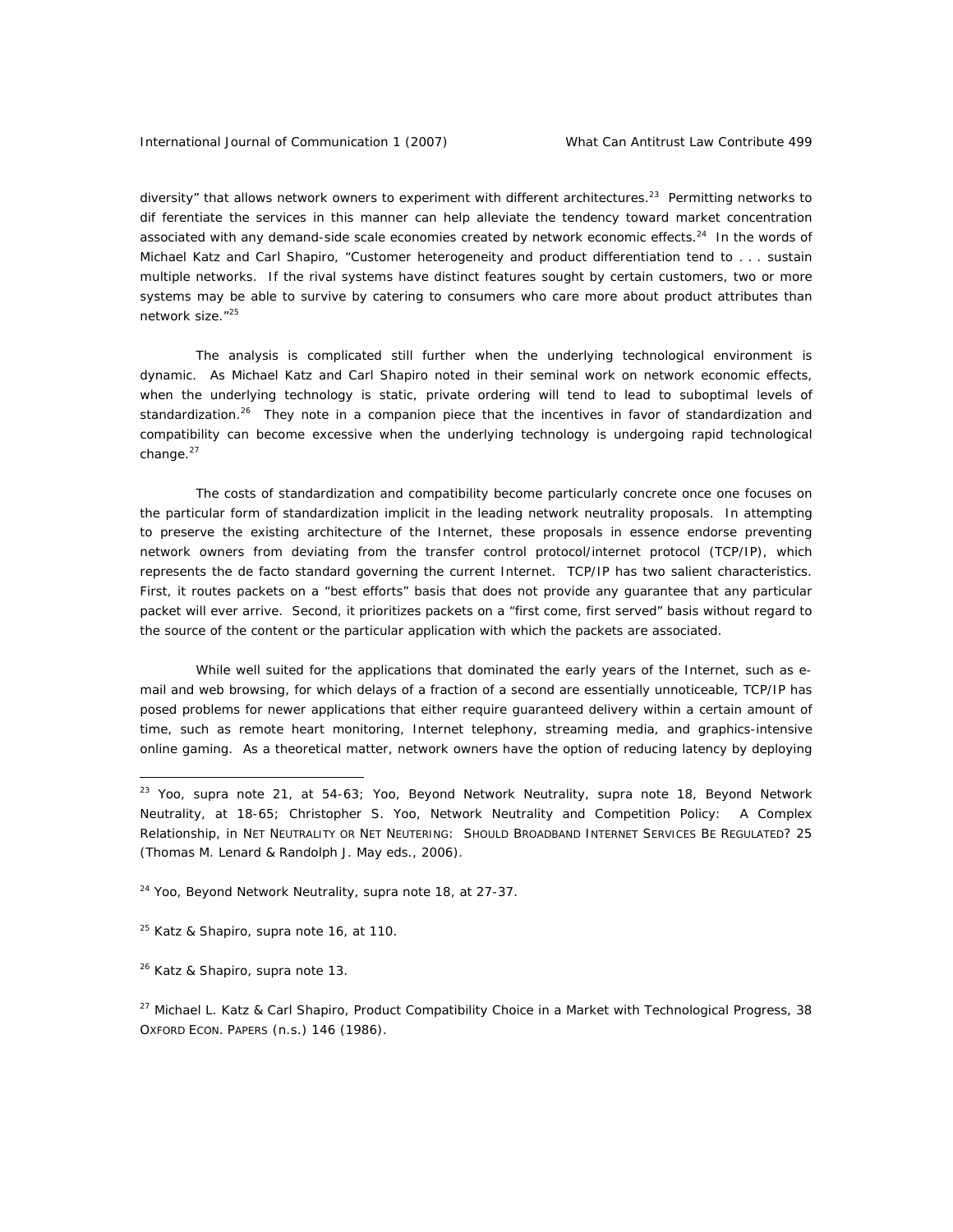diversity" that allows network owners to experiment with different architectures.<sup>23</sup> Permitting networks to dif ferentiate the services in this manner can help alleviate the tendency toward market concentration associated with any demand-side scale economies created by network economic effects.<sup>24</sup> In the words of Michael Katz and Carl Shapiro, "Customer heterogeneity and product differentiation tend to . . . sustain multiple networks. If the rival systems have distinct features sought by certain customers, two or more systems may be able to survive by catering to consumers who care more about product attributes than network size."<sup>25</sup>

 The analysis is complicated still further when the underlying technological environment is dynamic. As Michael Katz and Carl Shapiro noted in their seminal work on network economic effects, when the underlying technology is static, private ordering will tend to lead to suboptimal levels of standardization.<sup>26</sup> They note in a companion piece that the incentives in favor of standardization and compatibility can become excessive when the underlying technology is undergoing rapid technological change.<sup>27</sup>

 The costs of standardization and compatibility become particularly concrete once one focuses on the particular form of standardization implicit in the leading network neutrality proposals. In attempting to preserve the existing architecture of the Internet, these proposals in essence endorse preventing network owners from deviating from the transfer control protocol/internet protocol (TCP/IP), which represents the de facto standard governing the current Internet. TCP/IP has two salient characteristics. First, it routes packets on a "best efforts" basis that does not provide any guarantee that any particular packet will ever arrive. Second, it prioritizes packets on a "first come, first served" basis without regard to the source of the content or the particular application with which the packets are associated.

While well suited for the applications that dominated the early years of the Internet, such as email and web browsing, for which delays of a fraction of a second are essentially unnoticeable, TCP/IP has posed problems for newer applications that either require guaranteed delivery within a certain amount of time, such as remote heart monitoring, Internet telephony, streaming media, and graphics-intensive online gaming. As a theoretical matter, network owners have the option of reducing latency by deploying

24 Yoo, *Beyond Network Neutrality*, *supra* note 18, at 27-37.

25 Katz & Shapiro, *supra* note 16, at 110.

26 Katz & Shapiro, *supra* note 13.

 $\overline{a}$ 

27 Michael L. Katz & Carl Shapiro, *Product Compatibility Choice in a Market with Technological Progress*, 38 OXFORD ECON. PAPERS (n.s.) 146 (1986).

<sup>23</sup> Yoo, *supra* note 21, at 54-63; Yoo, *Beyond Network Neutrality*, *supra* note 18, *Beyond Network Neutrality,* at 18-65; Christopher S. Yoo, *Network Neutrality and Competition Policy: A Complex Relationship*, *in* NET NEUTRALITY OR NET NEUTERING: SHOULD BROADBAND INTERNET SERVICES BE REGULATED? 25 (Thomas M. Lenard & Randolph J. May eds., 2006).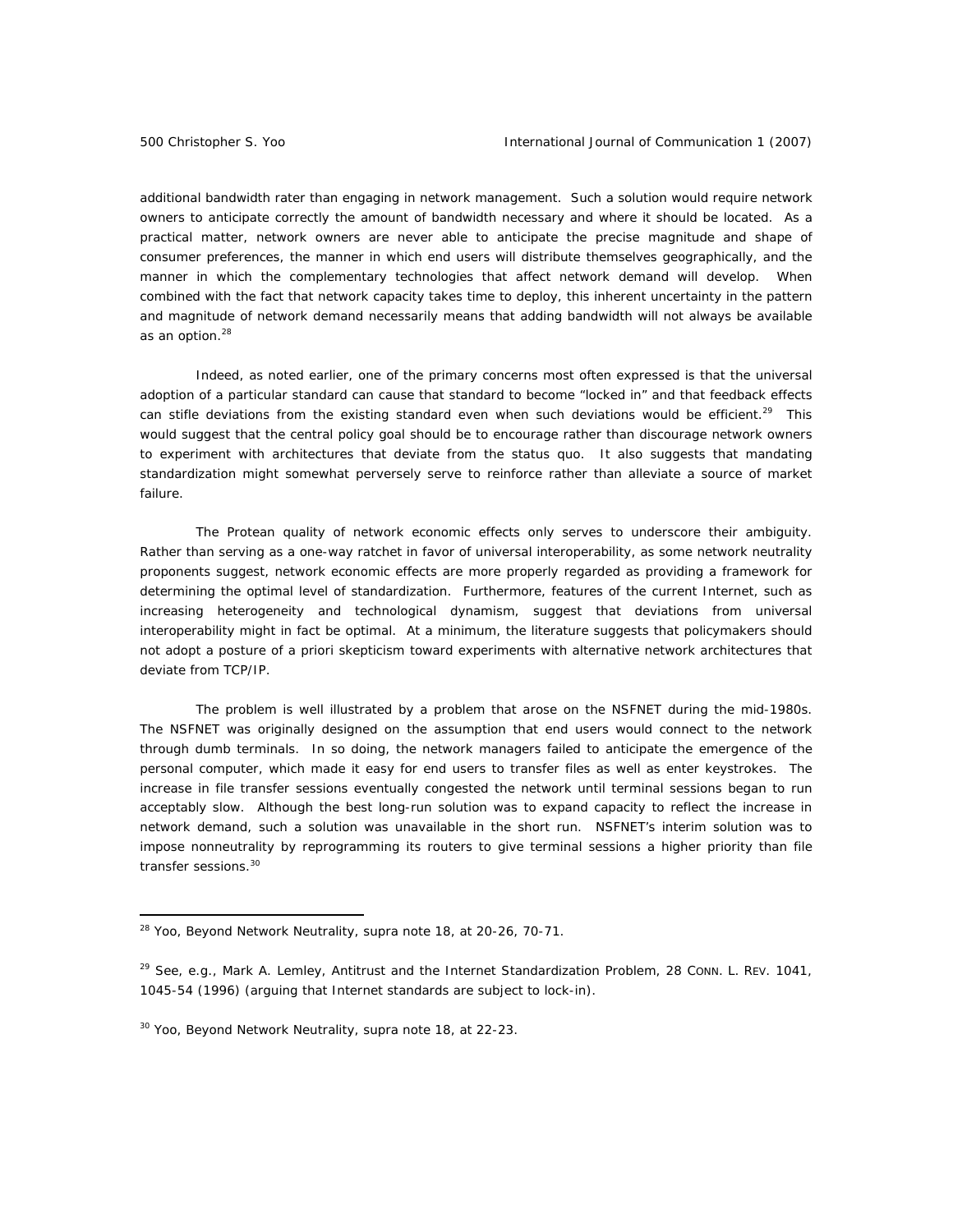additional bandwidth rater than engaging in network management. Such a solution would require network owners to anticipate correctly the amount of bandwidth necessary and where it should be located. As a practical matter, network owners are never able to anticipate the precise magnitude and shape of consumer preferences, the manner in which end users will distribute themselves geographically, and the manner in which the complementary technologies that affect network demand will develop. When combined with the fact that network capacity takes time to deploy, this inherent uncertainty in the pattern and magnitude of network demand necessarily means that adding bandwidth will not always be available as an option.<sup>28</sup>

 Indeed, as noted earlier, one of the primary concerns most often expressed is that the universal adoption of a particular standard can cause that standard to become "locked in" and that feedback effects can stifle deviations from the existing standard even when such deviations would be efficient.<sup>29</sup> This would suggest that the central policy goal should be to encourage rather than discourage network owners to experiment with architectures that deviate from the status quo. It also suggests that mandating standardization might somewhat perversely serve to reinforce rather than alleviate a source of market failure.

 The Protean quality of network economic effects only serves to underscore their ambiguity. Rather than serving as a one-way ratchet in favor of universal interoperability, as some network neutrality proponents suggest, network economic effects are more properly regarded as providing a framework for determining the optimal level of standardization. Furthermore, features of the current Internet, such as increasing heterogeneity and technological dynamism, suggest that deviations from universal interoperability might in fact be optimal. At a minimum, the literature suggests that policymakers should not adopt a posture of a priori skepticism toward experiments with alternative network architectures that deviate from TCP/IP.

 The problem is well illustrated by a problem that arose on the NSFNET during the mid-1980s. The NSFNET was originally designed on the assumption that end users would connect to the network through dumb terminals. In so doing, the network managers failed to anticipate the emergence of the personal computer, which made it easy for end users to transfer files as well as enter keystrokes. The increase in file transfer sessions eventually congested the network until terminal sessions began to run acceptably slow. Although the best long-run solution was to expand capacity to reflect the increase in network demand, such a solution was unavailable in the short run. NSFNET's interim solution was to impose nonneutrality by reprogramming its routers to give terminal sessions a higher priority than file transfer sessions.<sup>30</sup>

<sup>28</sup> Yoo, *Beyond Network Neutrality*, *supra* note 18, at 20-26, 70-71.

<sup>29</sup> *See, e.g.*, Mark A. Lemley, *Antitrust and the Internet Standardization Problem*, 28 CONN. L. REV. 1041, 1045-54 (1996) (arguing that Internet standards are subject to lock-in).

<sup>30</sup> Yoo, *Beyond Network Neutrality*, *supra* note 18, at 22-23.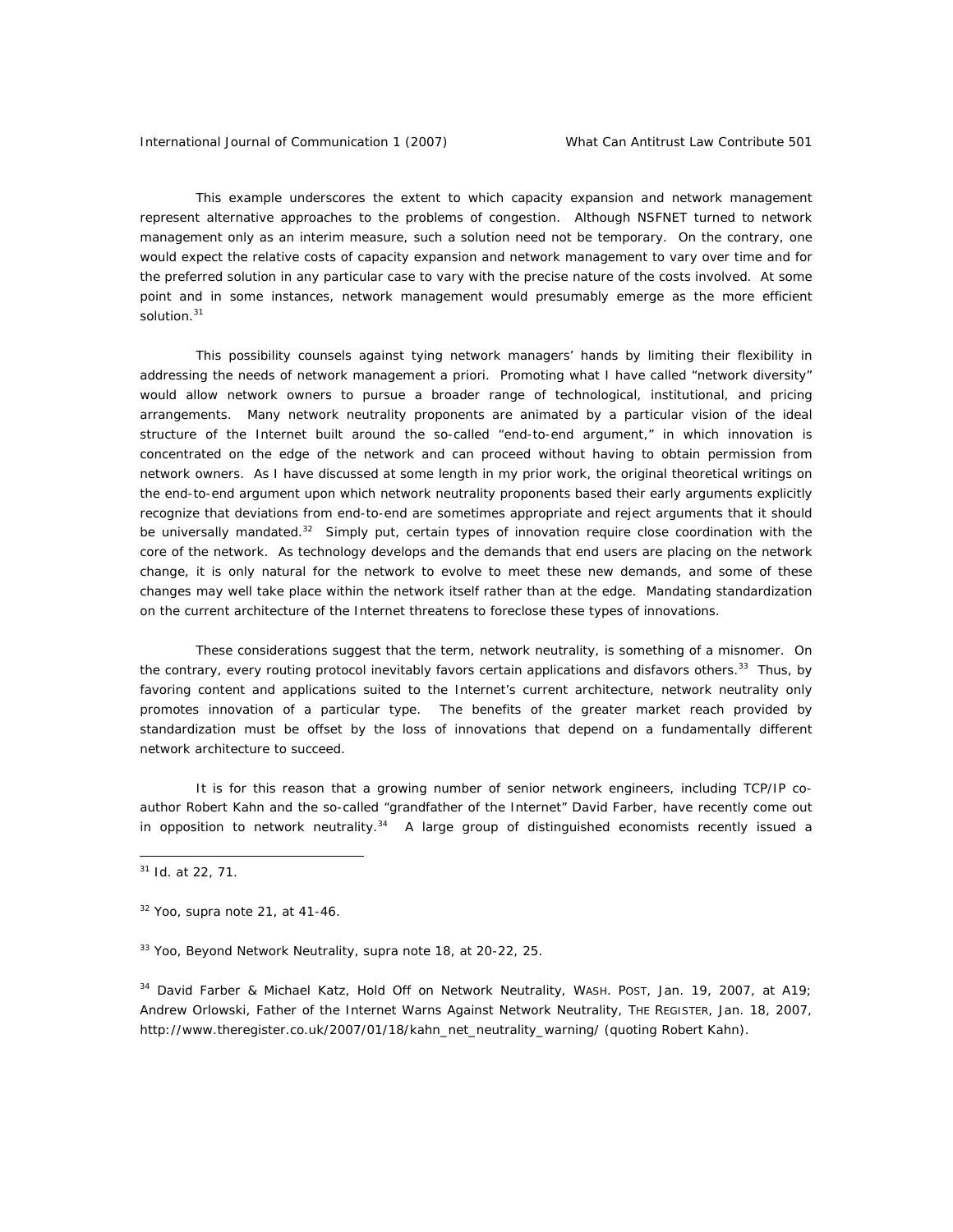This example underscores the extent to which capacity expansion and network management represent alternative approaches to the problems of congestion. Although NSFNET turned to network management only as an interim measure, such a solution need not be temporary. On the contrary, one would expect the relative costs of capacity expansion and network management to vary over time and for the preferred solution in any particular case to vary with the precise nature of the costs involved. At some point and in some instances, network management would presumably emerge as the more efficient solution.<sup>31</sup>

 This possibility counsels against tying network managers' hands by limiting their flexibility in addressing the needs of network management a priori. Promoting what I have called "network diversity" would allow network owners to pursue a broader range of technological, institutional, and pricing arrangements. Many network neutrality proponents are animated by a particular vision of the ideal structure of the Internet built around the so-called "end-to-end argument," in which innovation is concentrated on the edge of the network and can proceed without having to obtain permission from network owners. As I have discussed at some length in my prior work, the original theoretical writings on the end-to-end argument upon which network neutrality proponents based their early arguments explicitly recognize that deviations from end-to-end are sometimes appropriate and reject arguments that it should be universally mandated. $32$  Simply put, certain types of innovation require close coordination with the core of the network. As technology develops and the demands that end users are placing on the network change, it is only natural for the network to evolve to meet these new demands, and some of these changes may well take place within the network itself rather than at the edge. Mandating standardization on the current architecture of the Internet threatens to foreclose these types of innovations.

 These considerations suggest that the term, network neutrality, is something of a misnomer. On the contrary, every routing protocol inevitably favors certain applications and disfavors others.<sup>33</sup> Thus, by favoring content and applications suited to the Internet's current architecture, network neutrality only promotes innovation of a particular type. The benefits of the greater market reach provided by standardization must be offset by the loss of innovations that depend on a fundamentally different network architecture to succeed.

 It is for this reason that a growing number of senior network engineers, including TCP/IP coauthor Robert Kahn and the so-called "grandfather of the Internet" David Farber, have recently come out in opposition to network neutrality.<sup>34</sup> A large group of distinguished economists recently issued a

 $\overline{a}$ 

33 Yoo, *Beyond Network Neutrality*, *supra* note 18, at 20-22, 25.

34 David Farber & Michael Katz, *Hold Off on Network Neutrality*, WASH. POST, Jan. 19, 2007, at A19; Andrew Orlowski, *Father of the Internet Warns Against Network Neutrality*, THE REGISTER, Jan. 18, 2007, http://www.theregister.co.uk/2007/01/18/kahn\_net\_neutrality\_warning/ (quoting Robert Kahn).

<sup>31</sup> *Id.* at 22, 71.

<sup>32</sup> Yoo, *supra* note 21, at 41-46.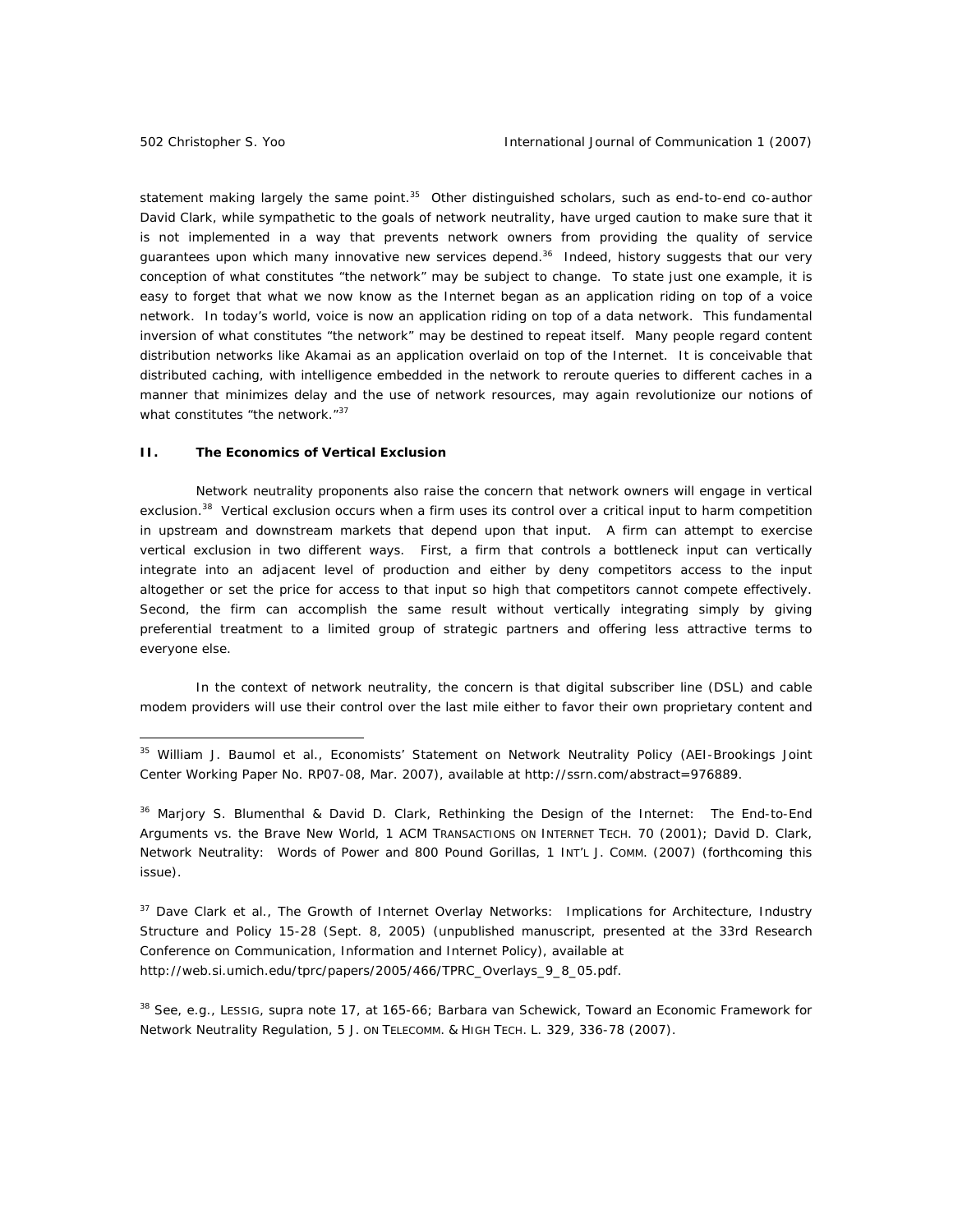statement making largely the same point.<sup>35</sup> Other distinguished scholars, such as end-to-end co-author David Clark, while sympathetic to the goals of network neutrality, have urged caution to make sure that it is not implemented in a way that prevents network owners from providing the quality of service guarantees upon which many innovative new services depend.<sup>36</sup> Indeed, history suggests that our very conception of what constitutes "the network" may be subject to change. To state just one example, it is easy to forget that what we now know as the Internet began as an application riding on top of a voice network. In today's world, voice is now an application riding on top of a data network. This fundamental inversion of what constitutes "the network" may be destined to repeat itself. Many people regard content distribution networks like Akamai as an application overlaid on top of the Internet. It is conceivable that distributed caching, with intelligence embedded in the network to reroute queries to different caches in a manner that minimizes delay and the use of network resources, may again revolutionize our notions of what constitutes "the network."<sup>37</sup>

## **II. The Economics of Vertical Exclusion**

 Network neutrality proponents also raise the concern that network owners will engage in vertical exclusion.<sup>38</sup> Vertical exclusion occurs when a firm uses its control over a critical input to harm competition in upstream and downstream markets that depend upon that input. A firm can attempt to exercise vertical exclusion in two different ways. First, a firm that controls a bottleneck input can vertically integrate into an adjacent level of production and either by deny competitors access to the input altogether or set the price for access to that input so high that competitors cannot compete effectively. Second, the firm can accomplish the same result without vertically integrating simply by giving preferential treatment to a limited group of strategic partners and offering less attractive terms to everyone else.

 In the context of network neutrality, the concern is that digital subscriber line (DSL) and cable modem providers will use their control over the last mile either to favor their own proprietary content and

<sup>37</sup> Dave Clark et al., The Growth of Internet Overlay Networks: Implications for Architecture, Industry Structure and Policy 15-28 (Sept. 8, 2005) (unpublished manuscript, presented at the 33rd Research Conference on Communication, Information and Internet Policy), *available at* http://web.si.umich.edu/tprc/papers/2005/466/TPRC\_Overlays\_9\_8\_05.pdf.

<sup>38</sup> *See, e.g.*, LESSIG, *supra* note 17, at 165-66; Barbara van Schewick, *Toward an Economic Framework for Network Neutrality Regulation*, 5 J. ON TELECOMM. & HIGH TECH. L. 329, 336-78 (2007).

<sup>&</sup>lt;sup>35</sup> William J. Baumol et al., Economists' Statement on Network Neutrality Policy (AEI-Brookings Joint Center Working Paper No. RP07-08, Mar. 2007), *available at* http://ssrn.com/abstract=976889.

<sup>36</sup> Marjory S. Blumenthal & David D. Clark, *Rethinking the Design of the Internet: The End-to-End Arguments vs. the Brave New World*, 1 ACM TRANSACTIONS ON INTERNET TECH. 70 (2001); David D. Clark, *Network Neutrality: Words of Power and 800 Pound Gorillas*, 1 INT'L J. COMM. (2007) (forthcoming this issue).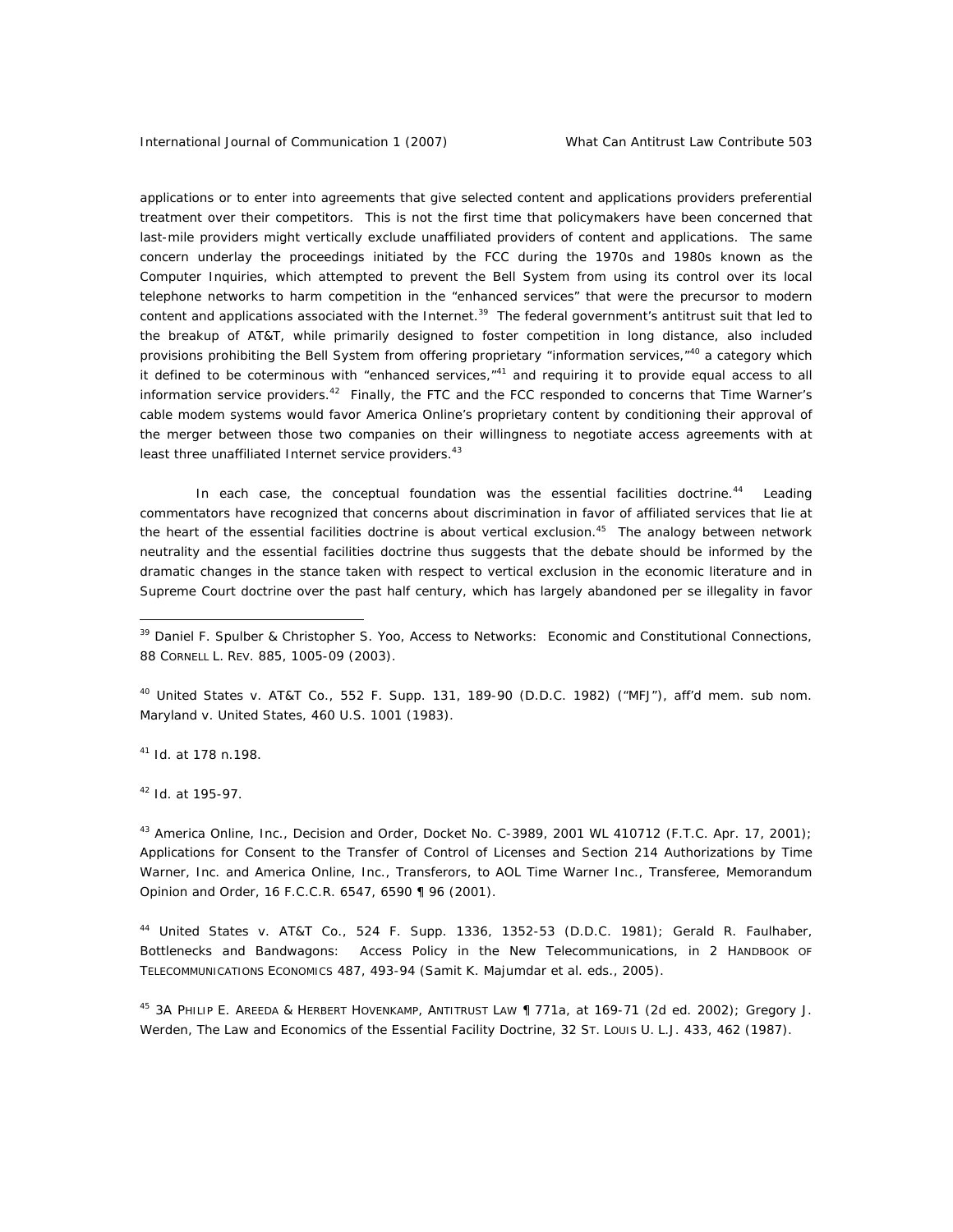applications or to enter into agreements that give selected content and applications providers preferential treatment over their competitors. This is not the first time that policymakers have been concerned that last-mile providers might vertically exclude unaffiliated providers of content and applications. The same concern underlay the proceedings initiated by the FCC during the 1970s and 1980s known as the *Computer Inquiries*, which attempted to prevent the Bell System from using its control over its local telephone networks to harm competition in the "enhanced services" that were the precursor to modern content and applications associated with the Internet.<sup>39</sup> The federal government's antitrust suit that led to the breakup of AT&T, while primarily designed to foster competition in long distance, also included provisions prohibiting the Bell System from offering proprietary "information services,"<sup>40</sup> a category which it defined to be coterminous with "enhanced services,"<sup>41</sup> and requiring it to provide equal access to all information service providers.<sup>42</sup> Finally, the FTC and the FCC responded to concerns that Time Warner's cable modem systems would favor America Online's proprietary content by conditioning their approval of the merger between those two companies on their willingness to negotiate access agreements with at least three unaffiliated Internet service providers.<sup>43</sup>

In each case, the conceptual foundation was the essential facilities doctrine.<sup>44</sup> Leading commentators have recognized that concerns about discrimination in favor of affiliated services that lie at the heart of the essential facilities doctrine is about vertical exclusion.<sup>45</sup> The analogy between network neutrality and the essential facilities doctrine thus suggests that the debate should be informed by the dramatic changes in the stance taken with respect to vertical exclusion in the economic literature and in Supreme Court doctrine over the past half century, which has largely abandoned per se illegality in favor

40 United States v. AT&T Co., 552 F. Supp. 131, 189-90 (D.D.C. 1982) ("*MFJ*"), *aff'd mem. sub nom.* Maryland v. United States, 460 U.S. 1001 (1983).

<sup>41</sup> *Id.* at 178 n.198.

<sup>42</sup> *Id.* at 195-97.

 $\overline{a}$ 

 $^{43}$  America Online, Inc., Decision and Order, Docket No. C-3989, 2001 WL 410712 (F.T.C. Apr. 17, 2001); Applications for Consent to the Transfer of Control of Licenses and Section 214 Authorizations by Time Warner, Inc. and America Online, Inc., Transferors, to AOL Time Warner Inc., Transferee, Memorandum Opinion and Order, 16 F.C.C.R. 6547, 6590 ¶ 96 (2001).

44 United States v. AT&T Co., 524 F. Supp. 1336, 1352-53 (D.D.C. 1981); Gerald R. Faulhaber, *Bottlenecks and Bandwagons: Access Policy in the New Telecommunications*, *in* 2 HANDBOOK OF TELECOMMUNICATIONS ECONOMICS 487, 493-94 (Samit K. Majumdar et al. eds., 2005).

45 3A PHILIP E. AREEDA & HERBERT HOVENKAMP, ANTITRUST LAW ¶ 771a, at 169-71 (2d ed. 2002); Gregory J. Werden, *The Law and Economics of the Essential Facility Doctrine*, 32 ST. LOUIS U. L.J. 433, 462 (1987).

<sup>39</sup> Daniel F. Spulber & Christopher S. Yoo, *Access to Networks: Economic and Constitutional Connections*, 88 CORNELL L. REV. 885, 1005-09 (2003).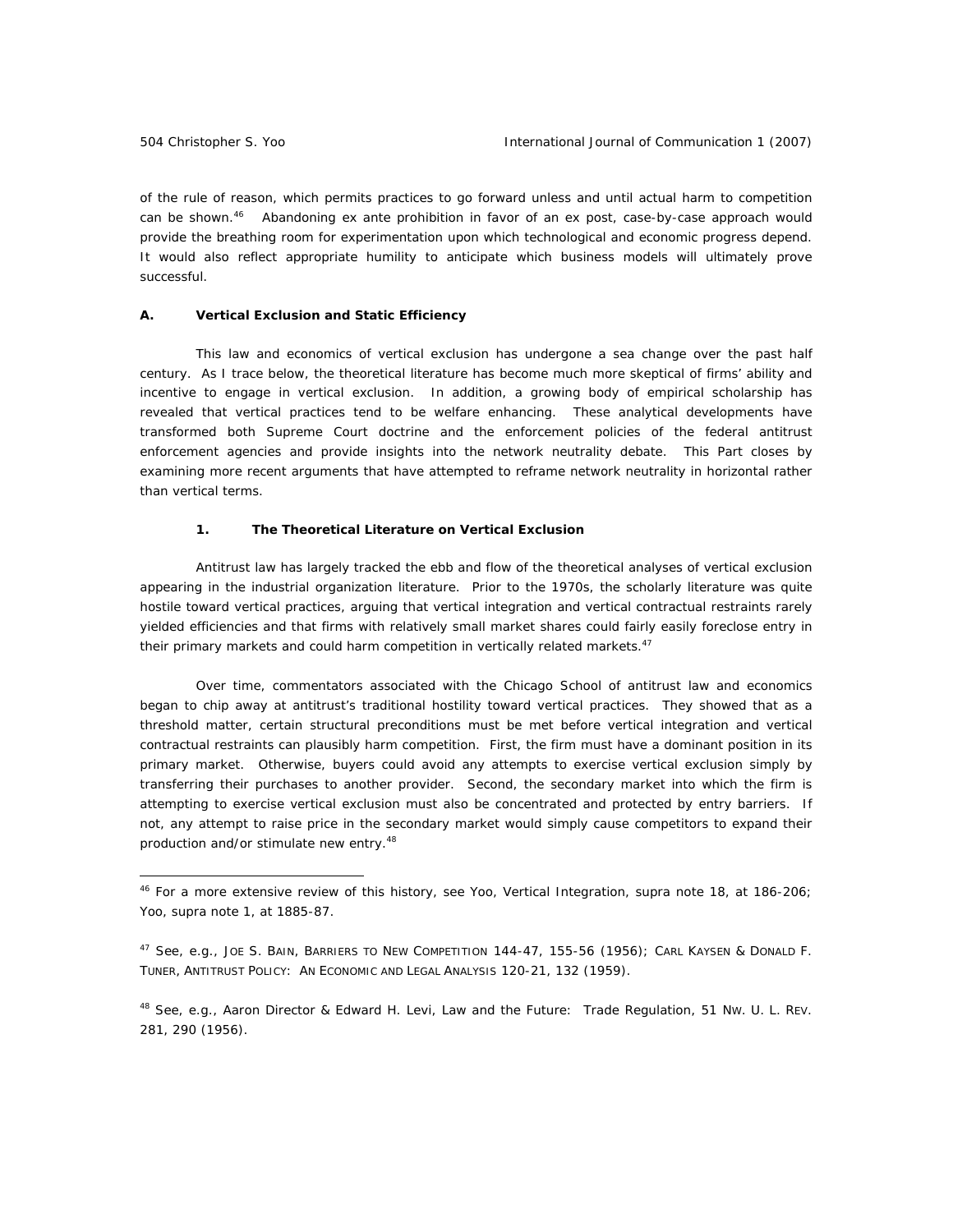of the rule of reason, which permits practices to go forward unless and until actual harm to competition can be shown.<sup>46</sup> Abandoning ex ante prohibition in favor of an ex post, case-by-case approach would provide the breathing room for experimentation upon which technological and economic progress depend. It would also reflect appropriate humility to anticipate which business models will ultimately prove successful.

## **A. Vertical Exclusion and Static Efficiency**

 This law and economics of vertical exclusion has undergone a sea change over the past half century. As I trace below, the theoretical literature has become much more skeptical of firms' ability and incentive to engage in vertical exclusion. In addition, a growing body of empirical scholarship has revealed that vertical practices tend to be welfare enhancing. These analytical developments have transformed both Supreme Court doctrine and the enforcement policies of the federal antitrust enforcement agencies and provide insights into the network neutrality debate. This Part closes by examining more recent arguments that have attempted to reframe network neutrality in horizontal rather than vertical terms.

## **1. The Theoretical Literature on Vertical Exclusion**

 Antitrust law has largely tracked the ebb and flow of the theoretical analyses of vertical exclusion appearing in the industrial organization literature. Prior to the 1970s, the scholarly literature was quite hostile toward vertical practices, arguing that vertical integration and vertical contractual restraints rarely yielded efficiencies and that firms with relatively small market shares could fairly easily foreclose entry in their primary markets and could harm competition in vertically related markets.<sup>47</sup>

 Over time, commentators associated with the Chicago School of antitrust law and economics began to chip away at antitrust's traditional hostility toward vertical practices. They showed that as a threshold matter, certain structural preconditions must be met before vertical integration and vertical contractual restraints can plausibly harm competition. First, the firm must have a dominant position in its primary market. Otherwise, buyers could avoid any attempts to exercise vertical exclusion simply by transferring their purchases to another provider. Second, the secondary market into which the firm is attempting to exercise vertical exclusion must also be concentrated and protected by entry barriers. If not, any attempt to raise price in the secondary market would simply cause competitors to expand their production and/or stimulate new entry.<sup>48</sup>

<sup>46</sup> For a more extensive review of this history, see Yoo, *Vertical Integration*, *supra* note 18, at 186-206; Yoo, *supra* note 1, at 1885-87.

<sup>47</sup> *See, e.g.*, JOE S. BAIN, BARRIERS TO NEW COMPETITION 144-47, 155-56 (1956); CARL KAYSEN & DONALD F. TUNER, ANTITRUST POLICY: AN ECONOMIC AND LEGAL ANALYSIS 120-21, 132 (1959).

<sup>48</sup> *See, e.g.*, Aaron Director & Edward H. Levi, *Law and the Future: Trade Regulation*, 51 NW. U. L. REV. 281, 290 (1956).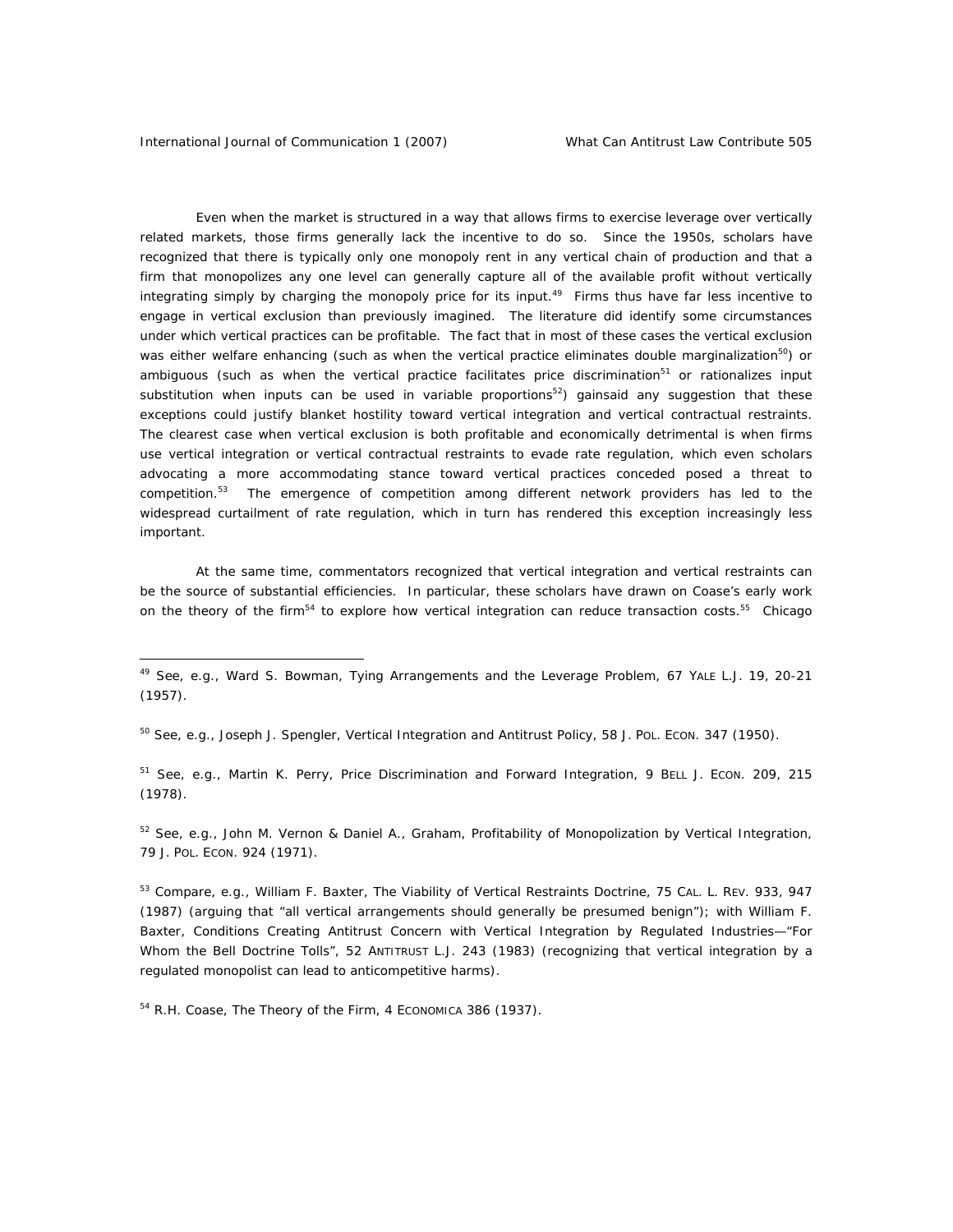Even when the market is structured in a way that allows firms to exercise leverage over vertically related markets, those firms generally lack the incentive to do so. Since the 1950s, scholars have recognized that there is typically only one monopoly rent in any vertical chain of production and that a firm that monopolizes any one level can generally capture all of the available profit without vertically integrating simply by charging the monopoly price for its input.<sup>49</sup> Firms thus have far less incentive to engage in vertical exclusion than previously imagined. The literature did identify some circumstances under which vertical practices can be profitable. The fact that in most of these cases the vertical exclusion was either welfare enhancing (such as when the vertical practice eliminates double marginalization<sup>50</sup>) or ambiguous (such as when the vertical practice facilitates price discrimination<sup>51</sup> or rationalizes input substitution when inputs can be used in variable proportions<sup>52</sup>) gainsaid any suggestion that these exceptions could justify blanket hostility toward vertical integration and vertical contractual restraints. The clearest case when vertical exclusion is both profitable and economically detrimental is when firms use vertical integration or vertical contractual restraints to evade rate regulation, which even scholars advocating a more accommodating stance toward vertical practices conceded posed a threat to competition.<sup>53</sup> The emergence of competition among different network providers has led to the widespread curtailment of rate regulation, which in turn has rendered this exception increasingly less important.

 At the same time, commentators recognized that vertical integration and vertical restraints can be the source of substantial efficiencies. In particular, these scholars have drawn on Coase's early work on the theory of the firm<sup>54</sup> to explore how vertical integration can reduce transaction costs.<sup>55</sup> Chicago

<sup>50</sup> *See, e.g.*, Joseph J. Spengler, *Vertical Integration and Antitrust Policy*, 58 J. POL. ECON. 347 (1950).

<sup>51</sup> *See, e.g.*, Martin K. Perry, *Price Discrimination and Forward Integration*, 9 BELL J. ECON. 209, 215 (1978).

<sup>52</sup> *See, e.g.*, John M. Vernon & Daniel A., Graham, *Profitability of Monopolization by Vertical Integration*, 79 J. POL. ECON. 924 (1971).

<sup>53</sup> *Compare, e.g.*, William F. Baxter, *The Viability of Vertical Restraints Doctrine*, 75 CAL. L. REV. 933, 947 (1987) (arguing that "all vertical arrangements should generally be presumed benign"); *with* William F. Baxter, *Conditions Creating Antitrust Concern with Vertical Integration by Regulated Industries—"For Whom the Bell Doctrine Tolls"*, 52 ANTITRUST L.J. 243 (1983) (recognizing that vertical integration by a regulated monopolist can lead to anticompetitive harms).

54 R.H. Coase, *The Theory of the Firm*, 4 ECONOMICA 386 (1937).

<sup>49</sup> *See, e.g.*, Ward S. Bowman, *Tying Arrangements and the Leverage Problem*, 67 YALE L.J. 19, 20-21 (1957).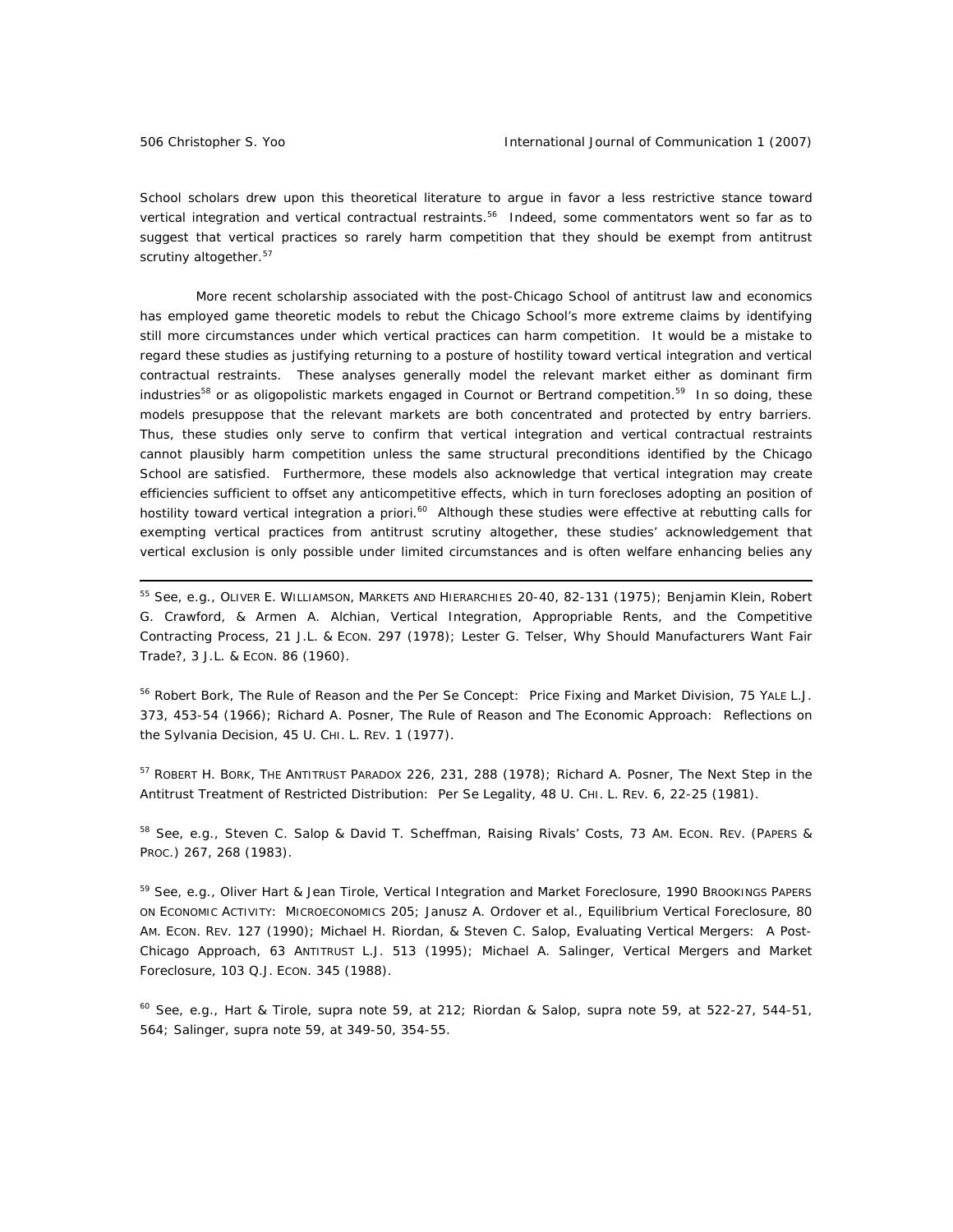School scholars drew upon this theoretical literature to argue in favor a less restrictive stance toward vertical integration and vertical contractual restraints.<sup>56</sup> Indeed, some commentators went so far as to suggest that vertical practices so rarely harm competition that they should be exempt from antitrust scrutiny altogether.<sup>57</sup>

 More recent scholarship associated with the post-Chicago School of antitrust law and economics has employed game theoretic models to rebut the Chicago School's more extreme claims by identifying still more circumstances under which vertical practices can harm competition. It would be a mistake to regard these studies as justifying returning to a posture of hostility toward vertical integration and vertical contractual restraints. These analyses generally model the relevant market either as dominant firm industries<sup>58</sup> or as oligopolistic markets engaged in Cournot or Bertrand competition.<sup>59</sup> In so doing, these models presuppose that the relevant markets are both concentrated and protected by entry barriers. Thus, these studies only serve to confirm that vertical integration and vertical contractual restraints cannot plausibly harm competition unless the same structural preconditions identified by the Chicago School are satisfied. Furthermore, these models also acknowledge that vertical integration may create efficiencies sufficient to offset any anticompetitive effects, which in turn forecloses adopting an position of hostility toward vertical integration a priori.<sup>60</sup> Although these studies were effective at rebutting calls for exempting vertical practices from antitrust scrutiny altogether, these studies' acknowledgement that vertical exclusion is only possible under limited circumstances and is often welfare enhancing belies any

<sup>55</sup> *See, e.g.*, OLIVER E. WILLIAMSON, MARKETS AND HIERARCHIES 20-40, 82-131 (1975); Benjamin Klein, Robert G. Crawford, & Armen A. Alchian, *Vertical Integration, Appropriable Rents, and the Competitive Contracting Process*, 21 J.L. & ECON. 297 (1978); Lester G. Telser, *Why Should Manufacturers Want Fair Trade?*, 3 J.L. & ECON. 86 (1960).

56 Robert Bork, *The Rule of Reason and the Per Se Concept: Price Fixing and Market Division*, 75 YALE L.J. 373, 453-54 (1966); Richard A. Posner, *The Rule of Reason and The Economic Approach: Reflections on the* Sylvania *Decision*, 45 U. CHI. L. REV. 1 (1977).

<sup>57</sup> ROBERT H. BORK, THE ANTITRUST PARADOX 226, 231, 288 (1978); Richard A. Posner, *The Next Step in the Antitrust Treatment of Restricted Distribution: Per Se Legality*, 48 U. CHI. L. REV. 6, 22-25 (1981).

<sup>58</sup> *See, e.g.*, Steven C. Salop & David T. Scheffman, *Raising Rivals' Costs*, 73 AM. ECON. REV. (PAPERS & PROC.) 267, 268 (1983).

<sup>59</sup> *See, e.g.*, Oliver Hart & Jean Tirole, *Vertical Integration and Market Foreclosure*, 1990 BROOKINGS PAPERS ON ECONOMIC ACTIVITY: MICROECONOMICS 205; Janusz A. Ordover et al., *Equilibrium Vertical Foreclosure*, 80 AM. ECON. REV. 127 (1990); Michael H. Riordan, & Steven C. Salop, *Evaluating Vertical Mergers: A Post-Chicago Approach*, 63 ANTITRUST L.J. 513 (1995); Michael A. Salinger, *Vertical Mergers and Market Foreclosure*, 103 Q.J. ECON. 345 (1988).

<sup>60</sup> *See, e.g.*, Hart & Tirole, *supra* note 59, at 212; Riordan & Salop, *supra* note 59, at 522-27, 544-51, 564; Salinger, *supra* note 59, at 349-50, 354-55.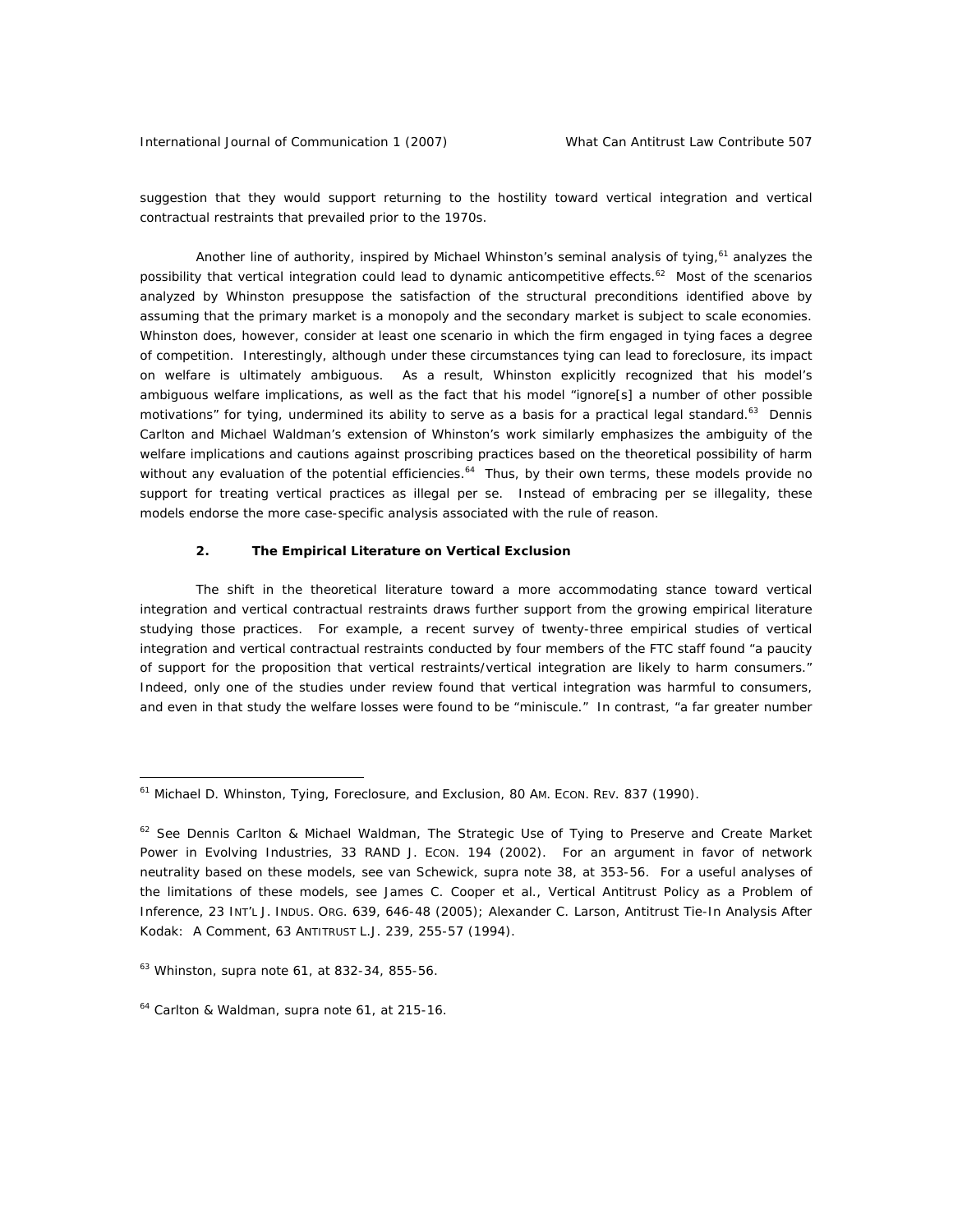International Journal of Communication 1 (2007) What Can Antitrust Law Contribute 507

suggestion that they would support returning to the hostility toward vertical integration and vertical contractual restraints that prevailed prior to the 1970s.

Another line of authority, inspired by Michael Whinston's seminal analysis of tying,<sup>61</sup> analyzes the possibility that vertical integration could lead to dynamic anticompetitive effects.<sup>62</sup> Most of the scenarios analyzed by Whinston presuppose the satisfaction of the structural preconditions identified above by assuming that the primary market is a monopoly and the secondary market is subject to scale economies. Whinston does, however, consider at least one scenario in which the firm engaged in tying faces a degree of competition. Interestingly, although under these circumstances tying can lead to foreclosure, its impact on welfare is ultimately ambiguous. As a result, Whinston explicitly recognized that his model's ambiguous welfare implications, as well as the fact that his model "ignore[s] a number of other possible motivations" for tying, undermined its ability to serve as a basis for a practical legal standard.<sup>63</sup> Dennis Carlton and Michael Waldman's extension of Whinston's work similarly emphasizes the ambiguity of the welfare implications and cautions against proscribing practices based on the theoretical possibility of harm without any evaluation of the potential efficiencies.<sup>64</sup> Thus, by their own terms, these models provide no support for treating vertical practices as illegal per se. Instead of embracing per se illegality, these models endorse the more case-specific analysis associated with the rule of reason.

## **2. The Empirical Literature on Vertical Exclusion**

 The shift in the theoretical literature toward a more accommodating stance toward vertical integration and vertical contractual restraints draws further support from the growing empirical literature studying those practices. For example, a recent survey of twenty-three empirical studies of vertical integration and vertical contractual restraints conducted by four members of the FTC staff found "a paucity of support for the proposition that vertical restraints/vertical integration are likely to harm consumers." Indeed, only one of the studies under review found that vertical integration was harmful to consumers, and even in that study the welfare losses were found to be "miniscule." In contrast, "a far greater number

<sup>61</sup> Michael D. Whinston, *Tying, Foreclosure, and Exclusion*, 80 AM. ECON. REV. 837 (1990).

<sup>62</sup> *See* Dennis Carlton & Michael Waldman, *The Strategic Use of Tying to Preserve and Create Market Power in Evolving Industries*, 33 RAND J. ECON. 194 (2002). For an argument in favor of network neutrality based on these models, see van Schewick, *supra* note 38, at 353-56. For a useful analyses of the limitations of these models, see James C. Cooper et al., *Vertical Antitrust Policy as a Problem of Inference*, 23 INT'L J. INDUS. ORG. 639, 646-48 (2005); Alexander C. Larson, *Antitrust Tie-In Analysis After*  Kodak*: A Comment*, 63 ANTITRUST L.J. 239, 255-57 (1994).

<sup>63</sup> Whinston, *supra* note 61, at 832-34, 855-56.

<sup>64</sup> Carlton & Waldman, *supra* note 61, at 215-16.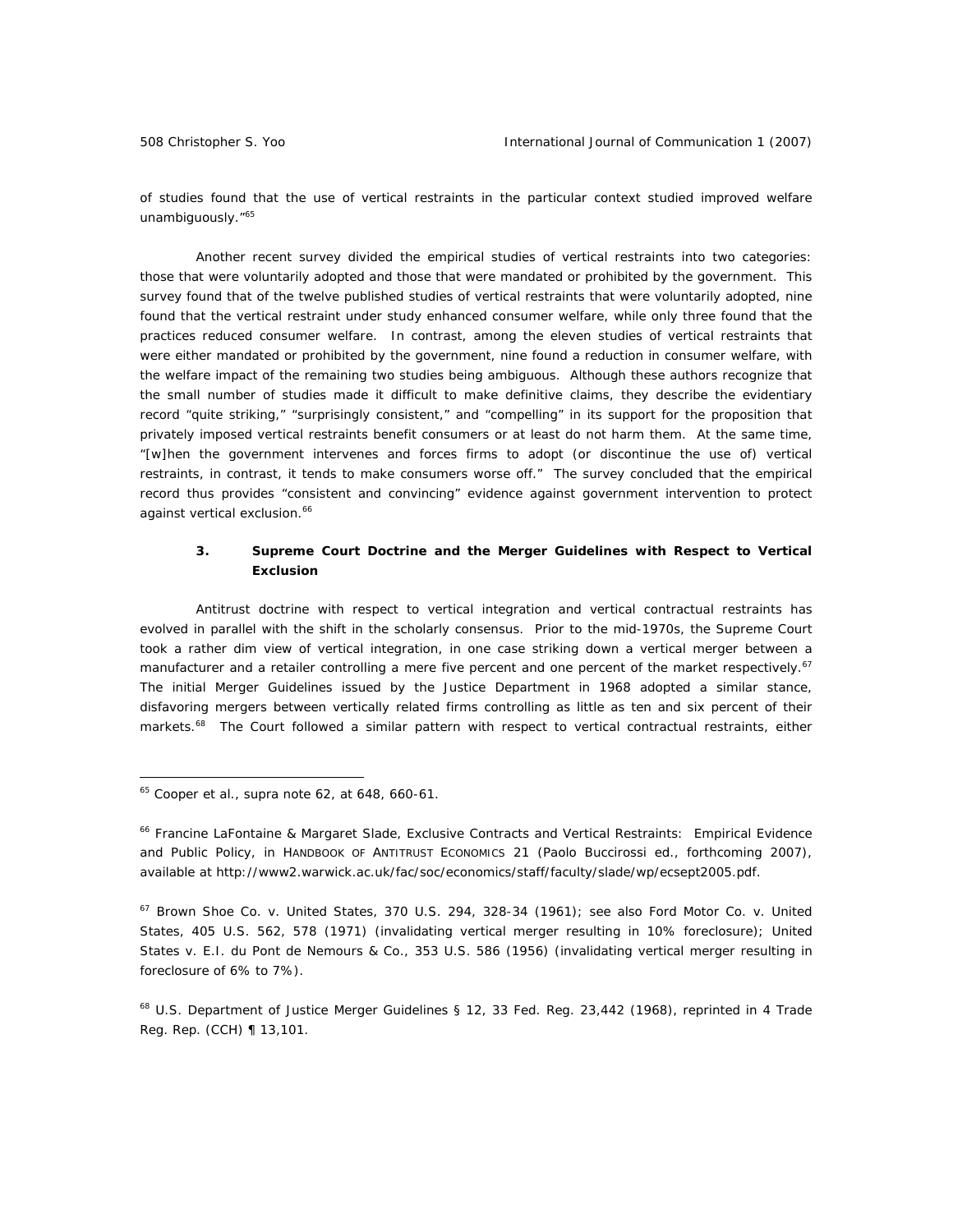of studies found that the use of vertical restraints in the particular context studied improved welfare unambiguously."<sup>65</sup>

 Another recent survey divided the empirical studies of vertical restraints into two categories: those that were voluntarily adopted and those that were mandated or prohibited by the government. This survey found that of the twelve published studies of vertical restraints that were voluntarily adopted, nine found that the vertical restraint under study enhanced consumer welfare, while only three found that the practices reduced consumer welfare. In contrast, among the eleven studies of vertical restraints that were either mandated or prohibited by the government, nine found a reduction in consumer welfare, with the welfare impact of the remaining two studies being ambiguous. Although these authors recognize that the small number of studies made it difficult to make definitive claims, they describe the evidentiary record "quite striking," "surprisingly consistent," and "compelling" in its support for the proposition that privately imposed vertical restraints benefit consumers or at least do not harm them. At the same time, "[w]hen the government intervenes and forces firms to adopt (or discontinue the use of) vertical restraints, in contrast, it tends to make consumers worse off." The survey concluded that the empirical record thus provides "consistent and convincing" evidence against government intervention to protect against vertical exclusion.<sup>66</sup>

## **3. Supreme Court Doctrine and the Merger Guidelines with Respect to Vertical Exclusion**

 Antitrust doctrine with respect to vertical integration and vertical contractual restraints has evolved in parallel with the shift in the scholarly consensus. Prior to the mid-1970s, the Supreme Court took a rather dim view of vertical integration, in one case striking down a vertical merger between a manufacturer and a retailer controlling a mere five percent and one percent of the market respectively.<sup>67</sup> The initial Merger Guidelines issued by the Justice Department in 1968 adopted a similar stance, disfavoring mergers between vertically related firms controlling as little as ten and six percent of their markets.<sup>68</sup> The Court followed a similar pattern with respect to vertical contractual restraints, either

<sup>65</sup> Cooper et al., *supra* note 62, at 648, 660-61.

<sup>66</sup> Francine LaFontaine & Margaret Slade, *Exclusive Contracts and Vertical Restraints: Empirical Evidence and Public Policy*, *in* HANDBOOK OF ANTITRUST ECONOMICS 21 (Paolo Buccirossi ed., forthcoming 2007), *available at* http://www2.warwick.ac.uk/fac/soc/economics/staff/faculty/slade/wp/ecsept2005.pdf.

<sup>67</sup> Brown Shoe Co. v. United States, 370 U.S. 294, 328-34 (1961); *see also* Ford Motor Co. v. United States, 405 U.S. 562, 578 (1971) (invalidating vertical merger resulting in 10% foreclosure); United States v. E.I. du Pont de Nemours & Co., 353 U.S. 586 (1956) (invalidating vertical merger resulting in foreclosure of 6% to 7%).

<sup>68</sup> U.S. Department of Justice Merger Guidelines § 12, 33 Fed. Reg. 23,442 (1968), *reprinted in* 4 Trade Reg. Rep. (CCH) ¶ 13,101.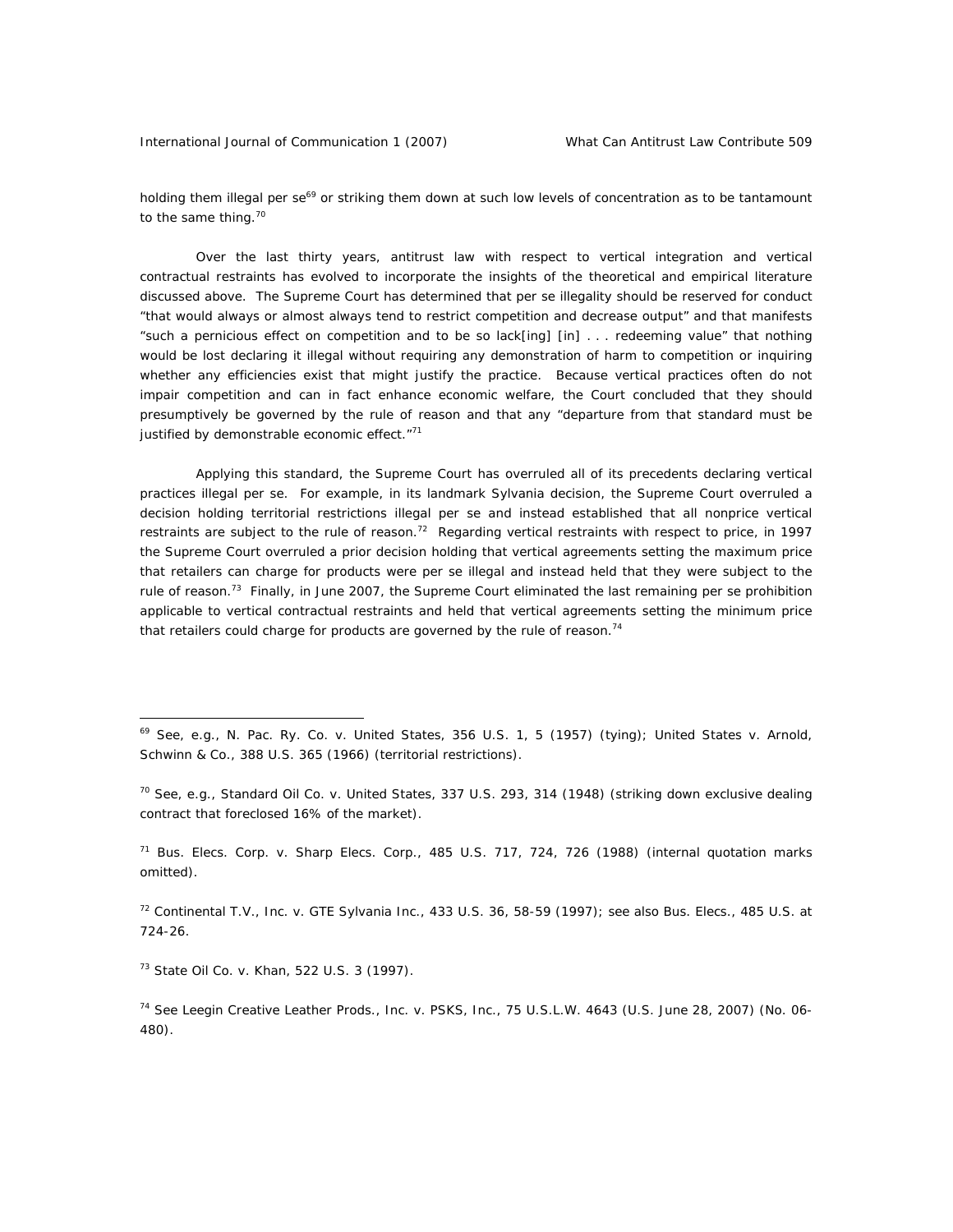holding them illegal per se<sup>69</sup> or striking them down at such low levels of concentration as to be tantamount to the same thing.<sup>70</sup>

 Over the last thirty years, antitrust law with respect to vertical integration and vertical contractual restraints has evolved to incorporate the insights of the theoretical and empirical literature discussed above. The Supreme Court has determined that per se illegality should be reserved for conduct "that would always or almost always tend to restrict competition and decrease output" and that manifests "such a pernicious effect on competition and to be so lack[ing] [in] . . . redeeming value" that nothing would be lost declaring it illegal without requiring any demonstration of harm to competition or inquiring whether any efficiencies exist that might justify the practice. Because vertical practices often do not impair competition and can in fact enhance economic welfare, the Court concluded that they should presumptively be governed by the rule of reason and that any "departure from that standard must be justified by demonstrable economic effect. $"^{71}$ 

 Applying this standard, the Supreme Court has overruled all of its precedents declaring vertical practices illegal per se. For example, in its landmark *Sylvania* decision, the Supreme Court overruled a decision holding territorial restrictions illegal per se and instead established that all *nonprice* vertical restraints are subject to the rule of reason.<sup>72</sup> Regarding vertical restraints with respect to *price*, in 1997 the Supreme Court overruled a prior decision holding that vertical agreements setting the *maximum* price that retailers can charge for products were per se illegal and instead held that they were subject to the rule of reason.<sup>73</sup> Finally, in June 2007, the Supreme Court eliminated the last remaining per se prohibition applicable to vertical contractual restraints and held that vertical agreements setting the *minimum* price that retailers could charge for products are governed by the rule of reason.<sup>74</sup>

 $71$  Bus. Elecs. Corp. v. Sharp Elecs. Corp., 485 U.S. 717, 724, 726 (1988) (internal quotation marks omitted).

72 Continental T.V., Inc. v. GTE Sylvania Inc., 433 U.S. 36, 58-59 (1997); *see also Bus. Elecs.*, 485 U.S. at 724-26.

73 State Oil Co. v. Khan, 522 U.S. 3 (1997).

 $\overline{a}$ 

<sup>74</sup> *See* Leegin Creative Leather Prods., Inc. v. PSKS, Inc., 75 U.S.L.W. 4643 (U.S. June 28, 2007) (No. 06- 480).

<sup>69</sup> *See, e.g.*, N. Pac. Ry. Co. v. United States, 356 U.S. 1, 5 (1957) (tying); United States v. Arnold, Schwinn & Co., 388 U.S. 365 (1966) (territorial restrictions).

<sup>70</sup> *See, e.g.*, Standard Oil Co. v. United States, 337 U.S. 293, 314 (1948) (striking down exclusive dealing contract that foreclosed 16% of the market).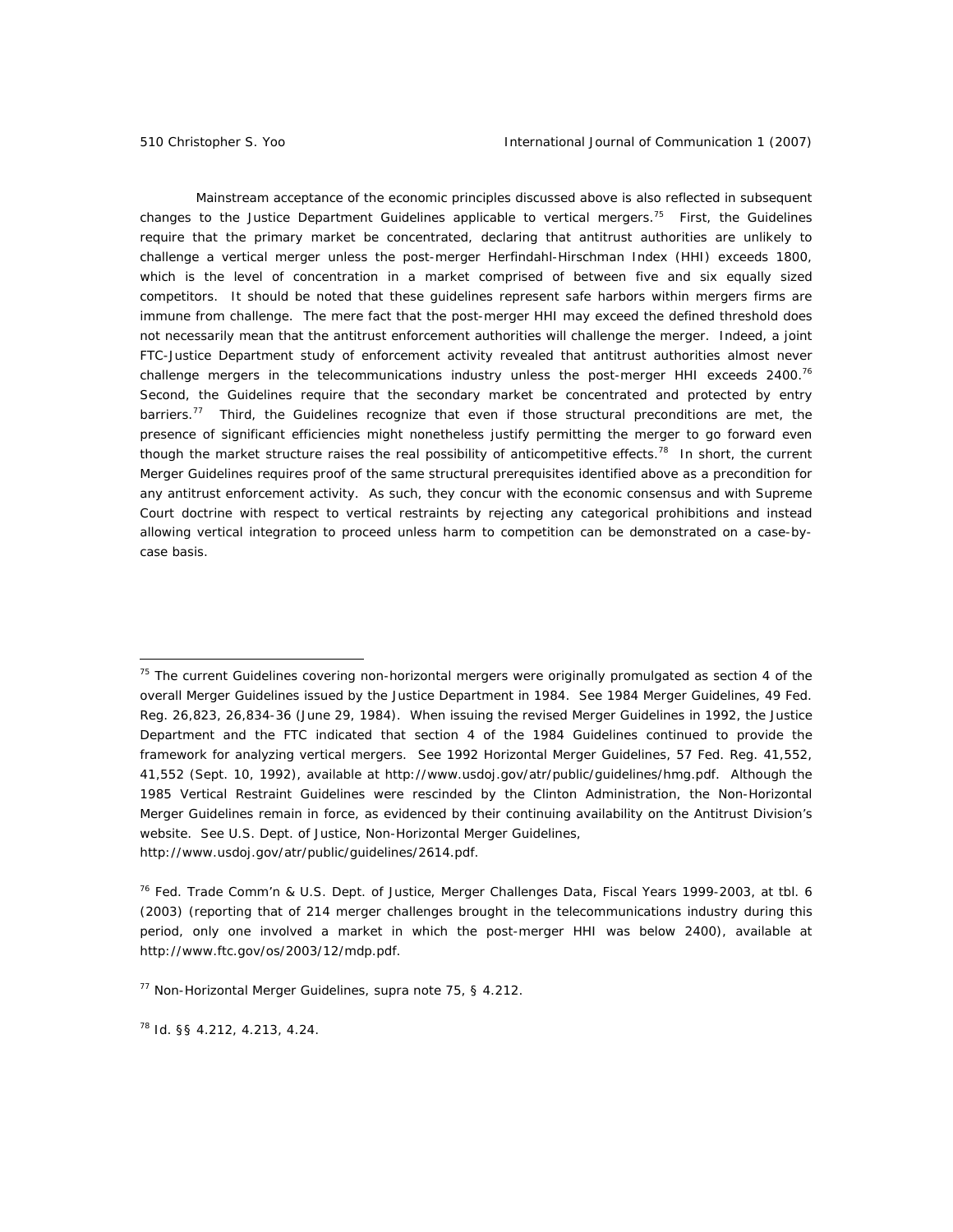Mainstream acceptance of the economic principles discussed above is also reflected in subsequent changes to the Justice Department Guidelines applicable to vertical mergers.<sup>75</sup> First, the Guidelines require that the primary market be concentrated, declaring that antitrust authorities are unlikely to challenge a vertical merger unless the post-merger Herfindahl-Hirschman Index (HHI) exceeds 1800, which is the level of concentration in a market comprised of between five and six equally sized competitors. It should be noted that these guidelines represent safe harbors within mergers firms are immune from challenge. The mere fact that the post-merger HHI may exceed the defined threshold does not necessarily mean that the antitrust enforcement authorities will challenge the merger. Indeed, a joint FTC-Justice Department study of enforcement activity revealed that antitrust authorities almost never challenge mergers in the telecommunications industry unless the post-merger HHI exceeds 2400.<sup>76</sup> Second, the Guidelines require that the secondary market be concentrated and protected by entry barriers.<sup>77</sup> Third, the Guidelines recognize that even if those structural preconditions are met, the presence of significant efficiencies might nonetheless justify permitting the merger to go forward even though the market structure raises the real possibility of anticompetitive effects.<sup>78</sup> In short, the current Merger Guidelines requires proof of the same structural prerequisites identified above as a precondition for any antitrust enforcement activity. As such, they concur with the economic consensus and with Supreme Court doctrine with respect to vertical restraints by rejecting any categorical prohibitions and instead allowing vertical integration to proceed unless harm to competition can be demonstrated on a case-bycase basis.

 $75$  The current Guidelines covering non-horizontal mergers were originally promulgated as section 4 of the overall Merger Guidelines issued by the Justice Department in 1984. *See* 1984 Merger Guidelines, 49 Fed. Reg. 26,823, 26,834-36 (June 29, 1984). When issuing the revised Merger Guidelines in 1992, the Justice Department and the FTC indicated that section 4 of the 1984 Guidelines continued to provide the framework for analyzing vertical mergers. *See* 1992 Horizontal Merger Guidelines, 57 Fed. Reg. 41,552, 41,552 (Sept. 10, 1992), *available at* http://www.usdoj.gov/atr/public/guidelines/hmg.pdf. Although the 1985 Vertical Restraint Guidelines were rescinded by the Clinton Administration, the Non-Horizontal Merger Guidelines remain in force, as evidenced by their continuing availability on the Antitrust Division's website. *See* U.S. Dept. of Justice, Non-Horizontal Merger Guidelines, http://www.usdoj.gov/atr/public/guidelines/2614.pdf.

<sup>&</sup>lt;sup>76</sup> Fed. Trade Comm'n & U.S. Dept. of Justice, Merger Challenges Data, Fiscal Years 1999-2003, at tbl. 6 (2003) (reporting that of 214 merger challenges brought in the telecommunications industry during this period, only one involved a market in which the post-merger HHI was below 2400), *available at* http://www.ftc.gov/os/2003/12/mdp.pdf.

<sup>77</sup> Non-Horizontal Merger Guidelines, *supra* note 75, § 4.212.

<sup>78</sup> *Id.* §§ 4.212, 4.213, 4.24.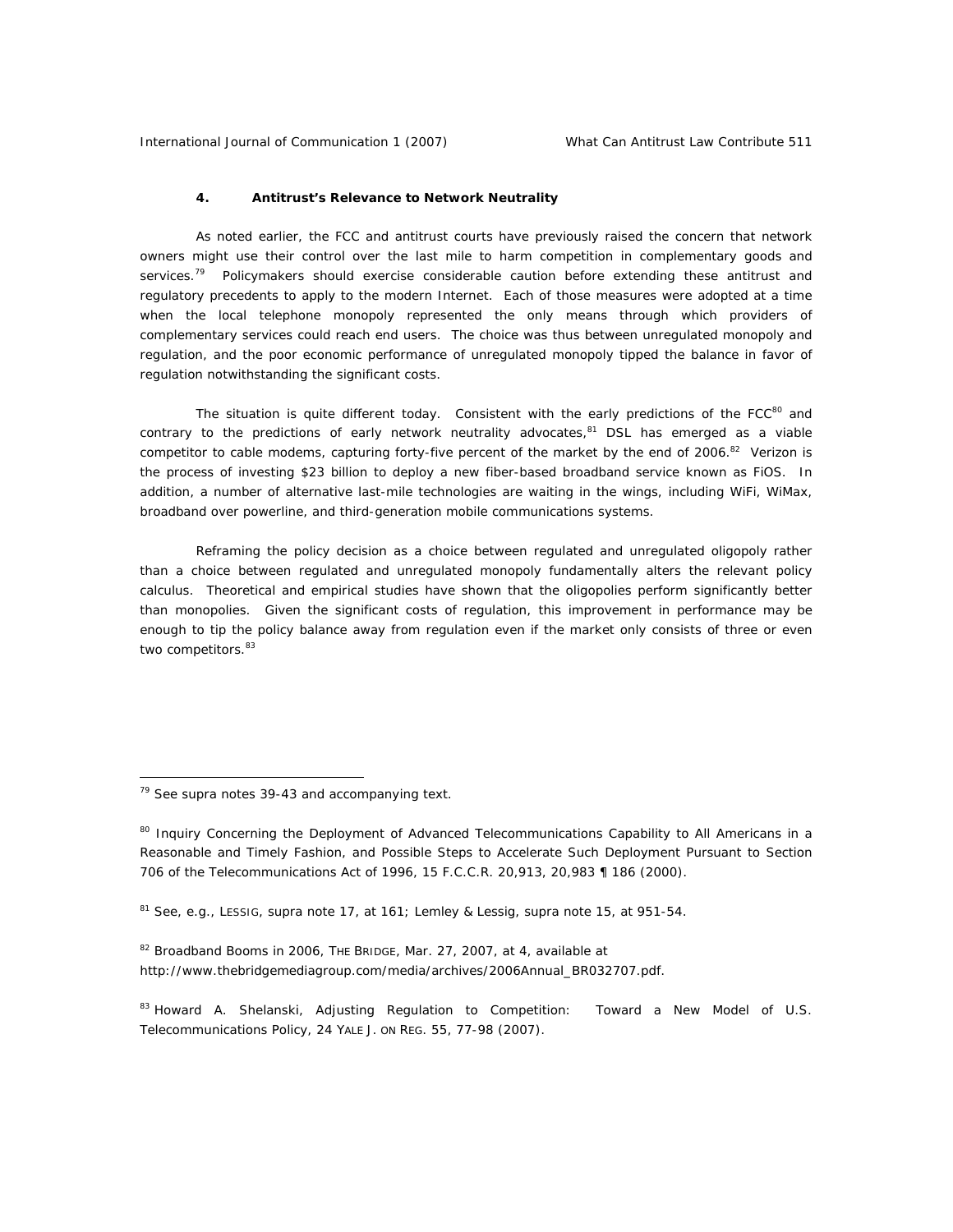International Journal of Communication 1 (2007) What Can Antitrust Law Contribute 511

## **4. Antitrust's Relevance to Network Neutrality**

 As noted earlier, the FCC and antitrust courts have previously raised the concern that network owners might use their control over the last mile to harm competition in complementary goods and services.<sup>79</sup> Policymakers should exercise considerable caution before extending these antitrust and regulatory precedents to apply to the modern Internet. Each of those measures were adopted at a time when the local telephone monopoly represented the only means through which providers of complementary services could reach end users. The choice was thus between unregulated monopoly and regulation, and the poor economic performance of unregulated monopoly tipped the balance in favor of regulation notwithstanding the significant costs.

The situation is quite different today. Consistent with the early predictions of the FCC<sup>80</sup> and contrary to the predictions of early network neutrality advocates, $81$  DSL has emerged as a viable competitor to cable modems, capturing forty-five percent of the market by the end of 2006.<sup>82</sup> Verizon is the process of investing \$23 billion to deploy a new fiber-based broadband service known as FiOS. In addition, a number of alternative last-mile technologies are waiting in the wings, including WiFi, WiMax, broadband over powerline, and third-generation mobile communications systems.

 Reframing the policy decision as a choice between regulated and unregulated *oligopoly* rather than a choice between regulated and unregulated *monopoly* fundamentally alters the relevant policy calculus. Theoretical and empirical studies have shown that the oligopolies perform significantly better than monopolies. Given the significant costs of regulation, this improvement in performance may be enough to tip the policy balance away from regulation even if the market only consists of three or even two competitors.<sup>83</sup>

 $\overline{a}$ 

<sup>81</sup> *See, e.g.*, LESSIG, *supra* note 17, at 161; Lemley & Lessig, *supra* note 15, at 951-54.

<sup>82</sup> *Broadband Booms in 2006*, THE BRIDGE, Mar. 27, 2007, at 4, *available at* http://www.thebridgemediagroup.com/media/archives/2006Annual\_BR032707.pdf.

83 Howard A. Shelanski, *Adjusting Regulation to Competition: Toward a New Model of U.S. Telecommunications Policy*, 24 YALE J. ON REG. 55, 77-98 (2007).

<sup>79</sup> *See supra* notes 39-43 and accompanying text.

<sup>80</sup> Inquiry Concerning the Deployment of Advanced Telecommunications Capability to All Americans in a Reasonable and Timely Fashion, and Possible Steps to Accelerate Such Deployment Pursuant to Section 706 of the Telecommunications Act of 1996, 15 F.C.C.R. 20,913, 20,983 ¶ 186 (2000).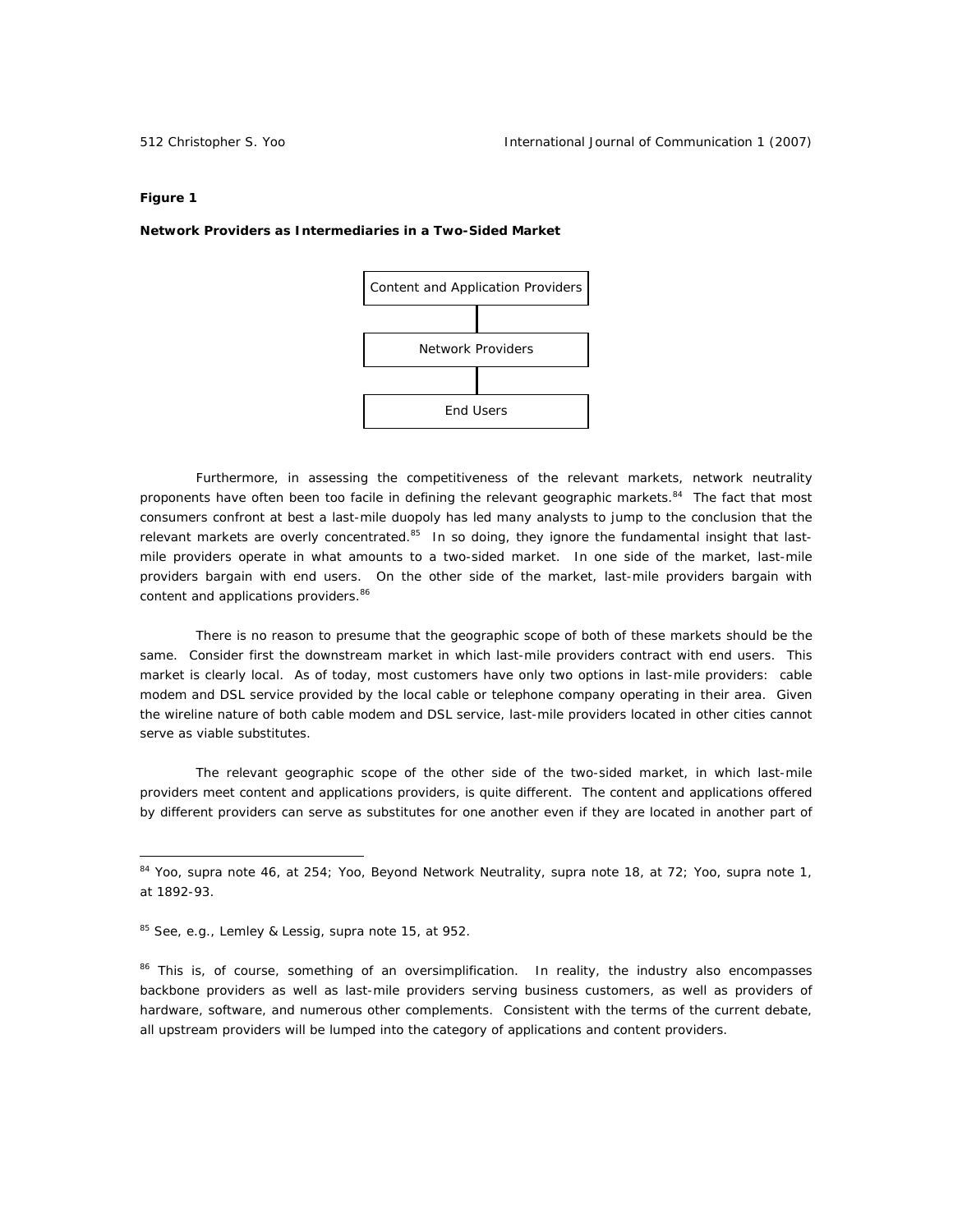### **Figure 1**

 $\overline{a}$ 

**Network Providers as Intermediaries in a Two-Sided Market** 



 Furthermore, in assessing the competitiveness of the relevant markets, network neutrality proponents have often been too facile in defining the relevant geographic markets.<sup>84</sup> The fact that most consumers confront at best a last-mile duopoly has led many analysts to jump to the conclusion that the relevant markets are overly concentrated.<sup>85</sup> In so doing, they ignore the fundamental insight that lastmile providers operate in what amounts to a two-sided market. In one side of the market, last-mile providers bargain with end users. On the other side of the market, last-mile providers bargain with content and applications providers.<sup>86</sup>

 There is no reason to presume that the geographic scope of both of these markets should be the same. Consider first the downstream market in which last-mile providers contract with end users. This market is clearly local. As of today, most customers have only two options in last-mile providers: cable modem and DSL service provided by the local cable or telephone company operating in their area. Given the wireline nature of both cable modem and DSL service, last-mile providers located in other cities cannot serve as viable substitutes.

 The relevant geographic scope of the other side of the two-sided market, in which last-mile providers meet content and applications providers, is quite different. The content and applications offered by different providers can serve as substitutes for one another even if they are located in another part of

<sup>84</sup> Yoo, *supra* note 46, at 254; Yoo, *Beyond Network Neutrality*, *supra* note 18, at 72; Yoo, *supra* note 1, at 1892-93.

<sup>85</sup> *See, e.g.*, Lemley & Lessig, *supra* note 15, at 952.

<sup>&</sup>lt;sup>86</sup> This is, of course, something of an oversimplification. In reality, the industry also encompasses backbone providers as well as last-mile providers serving business customers, as well as providers of hardware, software, and numerous other complements. Consistent with the terms of the current debate, all upstream providers will be lumped into the category of applications and content providers.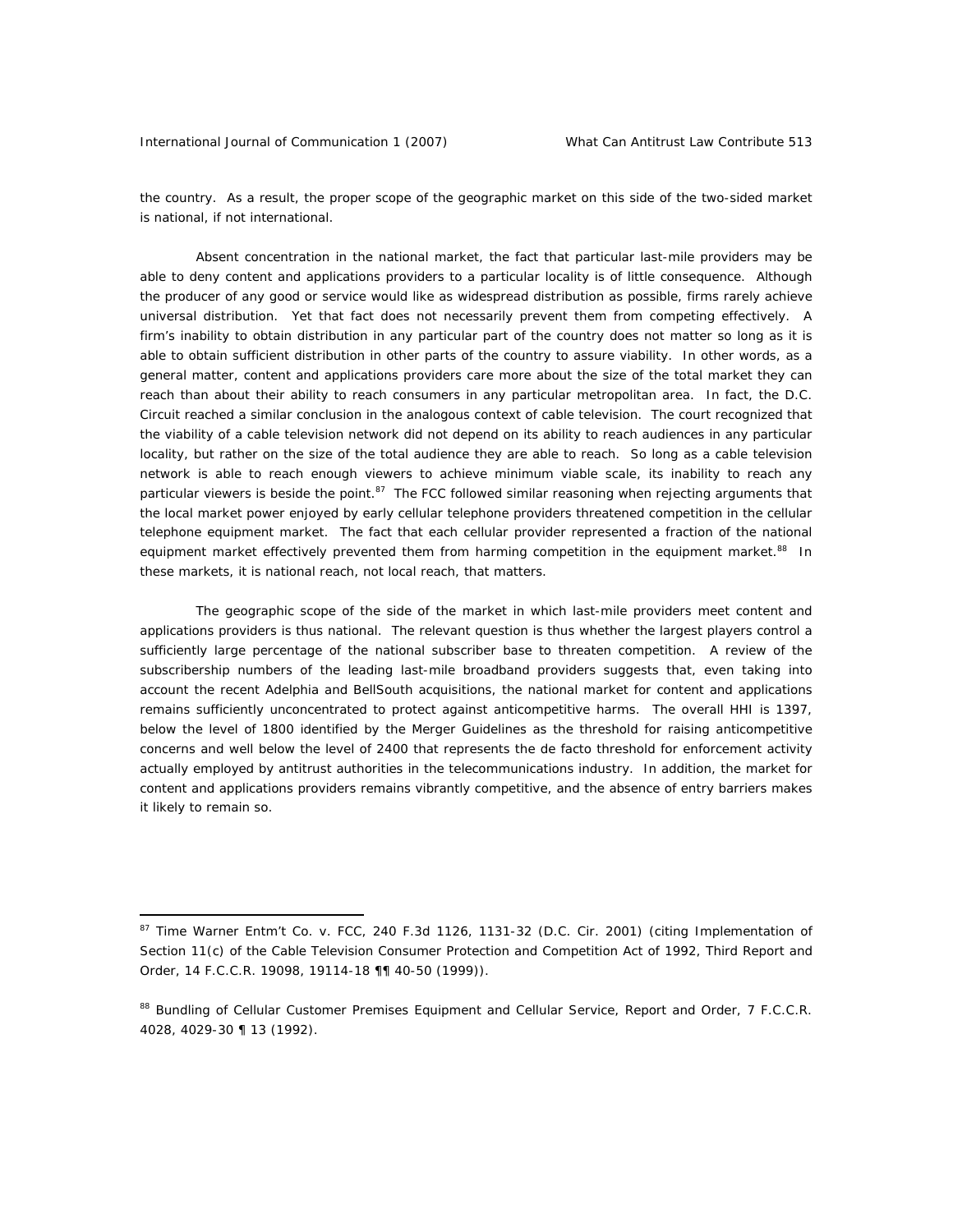the country. As a result, the proper scope of the geographic market on this side of the two-sided market is national, if not international.

 Absent concentration in the national market, the fact that particular last-mile providers may be able to deny content and applications providers to a particular locality is of little consequence. Although the producer of any good or service would like as widespread distribution as possible, firms rarely achieve universal distribution. Yet that fact does not necessarily prevent them from competing effectively. A firm's inability to obtain distribution in any particular part of the country does not matter so long as it is able to obtain sufficient distribution in other parts of the country to assure viability. In other words, as a general matter, content and applications providers care more about the size of the total market they can reach than about their ability to reach consumers in any particular metropolitan area. In fact, the D.C. Circuit reached a similar conclusion in the analogous context of cable television. The court recognized that the viability of a cable television network did not depend on its ability to reach audiences in any particular locality, but rather on the size of the total audience they are able to reach. So long as a cable television network is able to reach enough viewers to achieve minimum viable scale, its inability to reach any particular viewers is beside the point. $87$  The FCC followed similar reasoning when rejecting arguments that the local market power enjoyed by early cellular telephone providers threatened competition in the cellular telephone equipment market. The fact that each cellular provider represented a fraction of the national equipment market effectively prevented them from harming competition in the equipment market.<sup>88</sup> In these markets, it is national reach, not local reach, that matters.

 The geographic scope of the side of the market in which last-mile providers meet content and applications providers is thus national. The relevant question is thus whether the largest players control a sufficiently large percentage of the national subscriber base to threaten competition. A review of the subscribership numbers of the leading last-mile broadband providers suggests that, even taking into account the recent Adelphia and BellSouth acquisitions, the national market for content and applications remains sufficiently unconcentrated to protect against anticompetitive harms. The overall HHI is 1397, below the level of 1800 identified by the Merger Guidelines as the threshold for raising anticompetitive concerns and well below the level of 2400 that represents the de facto threshold for enforcement activity actually employed by antitrust authorities in the telecommunications industry. In addition, the market for content and applications providers remains vibrantly competitive, and the absence of entry barriers makes it likely to remain so.

<sup>&</sup>lt;sup>87</sup> Time Warner Entm't Co. v. FCC, 240 F.3d 1126, 1131-32 (D.C. Cir. 2001) (citing Implementation of Section 11(c) of the Cable Television Consumer Protection and Competition Act of 1992, Third Report and Order, 14 F.C.C.R. 19098, 19114-18 ¶¶ 40-50 (1999)).

<sup>88</sup> Bundling of Cellular Customer Premises Equipment and Cellular Service, Report and Order, 7 F.C.C.R. 4028, 4029-30 ¶ 13 (1992).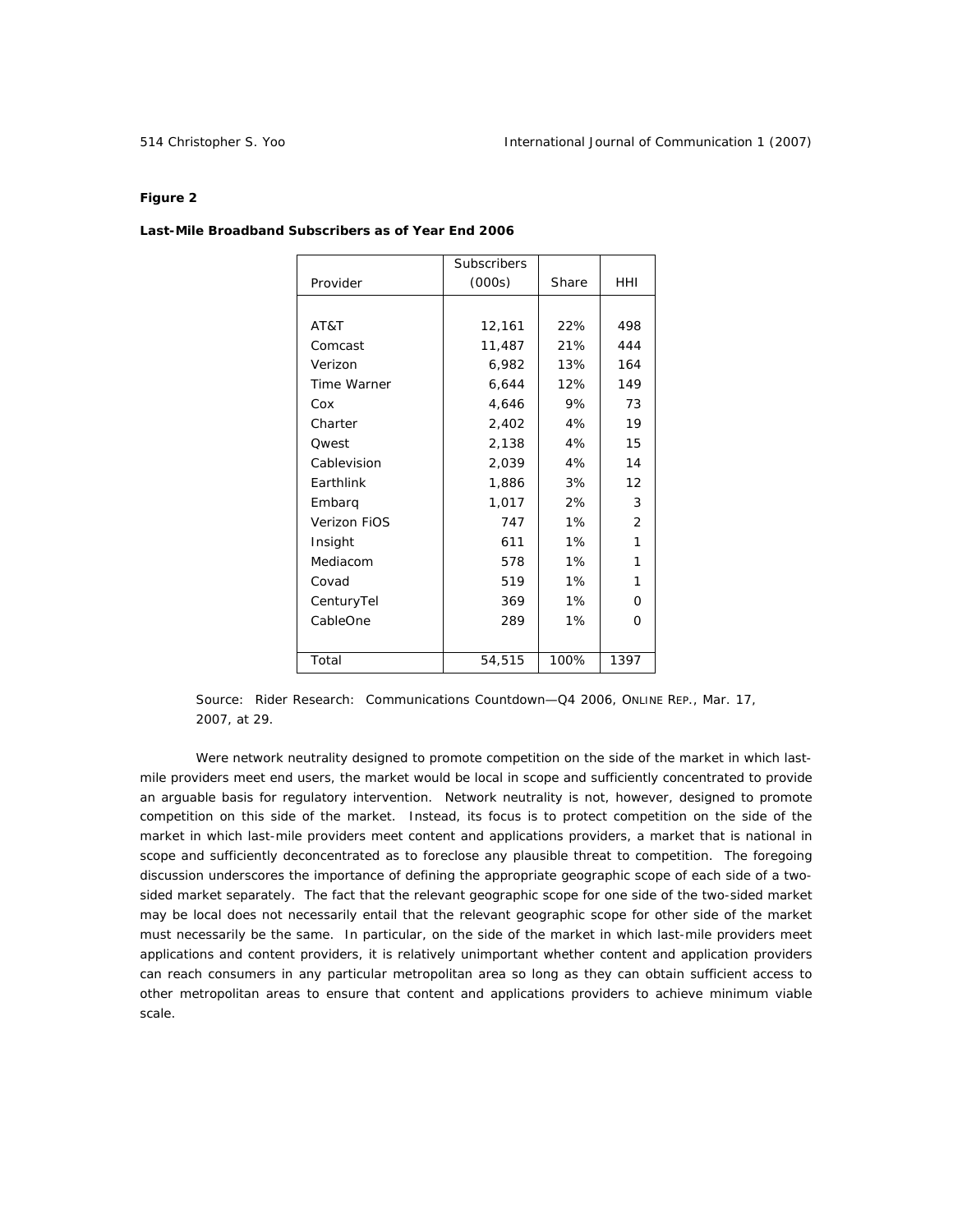## **Figure 2**

### **Last-Mile Broadband Subscribers as of Year End 2006**

|              | Subscribers |       |          |
|--------------|-------------|-------|----------|
| Provider     | (000s)      | Share | HHI      |
|              |             |       |          |
| AT&T         | 12,161      | 22%   | 498      |
| Comcast      | 11,487      | 21%   | 444      |
| Verizon      | 6,982       | 13%   | 164      |
| Time Warner  | 6,644       | 12%   | 149      |
| Cox          | 4,646       | 9%    | 73       |
| Charter      | 2,402       | 4%    | 19       |
| Owest        | 2,138       | 4%    | 15       |
| Cablevision  | 2,039       | 4%    | 14       |
| Earthlink    | 1,886       | 3%    | 12       |
| Embarg       | 1,017       | 2%    | 3        |
| Verizon FiOS | 747         | 1%    | 2        |
| Insight      | 611         | 1%    | 1        |
| Mediacom     | 578         | 1%    | 1        |
| Covad        | 519         | 1%    | 1        |
| CenturyTel   | 369         | 1%    | $\Omega$ |
| CableOne     | 289         | 1%    | O        |
|              |             |       |          |
| Total        | 54,515      | 100%  | 1397     |

Source: *Rider Research: Communications Countdown—Q4 2006*, ONLINE REP., Mar. 17, 2007, at 29.

 Were network neutrality designed to promote competition on the side of the market in which lastmile providers meet end users, the market would be local in scope and sufficiently concentrated to provide an arguable basis for regulatory intervention. Network neutrality is not, however, designed to promote competition on this side of the market. Instead, its focus is to protect competition on the side of the market in which last-mile providers meet content and applications providers, a market that is national in scope and sufficiently deconcentrated as to foreclose any plausible threat to competition. The foregoing discussion underscores the importance of defining the appropriate geographic scope of each side of a twosided market separately. The fact that the relevant geographic scope for one side of the two-sided market may be local does not necessarily entail that the relevant geographic scope for other side of the market must necessarily be the same. In particular, on the side of the market in which last-mile providers meet applications and content providers, it is relatively unimportant whether content and application providers can reach consumers in any particular metropolitan area so long as they can obtain sufficient access to other metropolitan areas to ensure that content and applications providers to achieve minimum viable scale.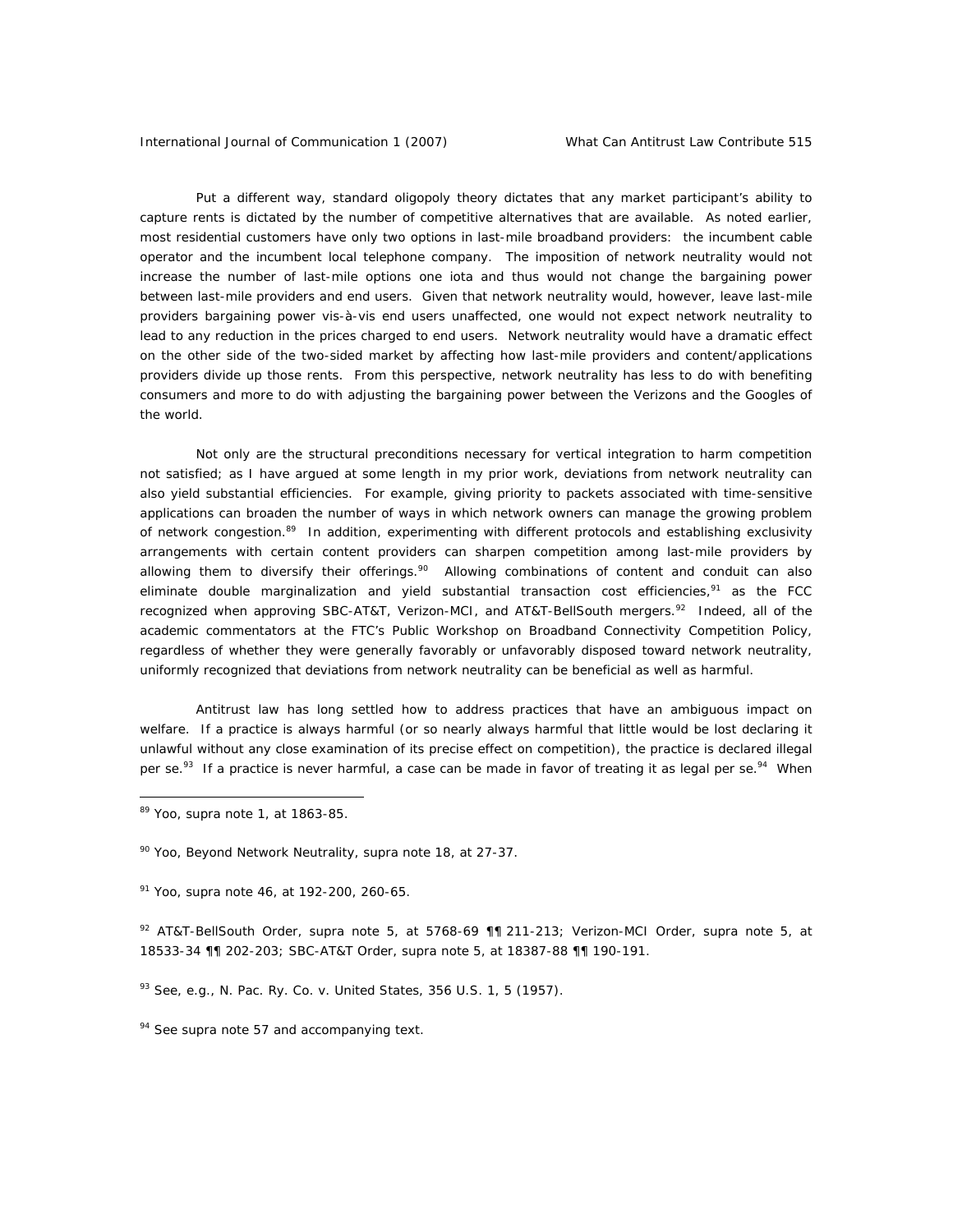Put a different way, standard oligopoly theory dictates that any market participant's ability to capture rents is dictated by the number of competitive alternatives that are available. As noted earlier, most residential customers have only two options in last-mile broadband providers: the incumbent cable operator and the incumbent local telephone company. The imposition of network neutrality would not increase the number of last-mile options one iota and thus would not change the bargaining power between last-mile providers and end users. Given that network neutrality would, however, leave last-mile providers bargaining power vis-à-vis end users unaffected, one would not expect network neutrality to lead to any reduction in the prices charged to end users. Network neutrality would have a dramatic effect on the other side of the two-sided market by affecting how last-mile providers and content/applications providers divide up those rents. From this perspective, network neutrality has less to do with benefiting consumers and more to do with adjusting the bargaining power between the Verizons and the Googles of the world.

 Not only are the structural preconditions necessary for vertical integration to harm competition not satisfied; as I have argued at some length in my prior work, deviations from network neutrality can also yield substantial efficiencies. For example, giving priority to packets associated with time-sensitive applications can broaden the number of ways in which network owners can manage the growing problem of network congestion.<sup>89</sup> In addition, experimenting with different protocols and establishing exclusivity arrangements with certain content providers can sharpen competition among last-mile providers by allowing them to diversify their offerings. $90$  Allowing combinations of content and conduit can also eliminate double marginalization and yield substantial transaction cost efficiencies,<sup>91</sup> as the FCC recognized when approving SBC-AT&T, Verizon-MCI, and AT&T-BellSouth mergers.<sup>92</sup> Indeed, all of the academic commentators at the FTC's Public Workshop on Broadband Connectivity Competition Policy, regardless of whether they were generally favorably or unfavorably disposed toward network neutrality, uniformly recognized that deviations from network neutrality can be beneficial as well as harmful.

 Antitrust law has long settled how to address practices that have an ambiguous impact on welfare. If a practice is always harmful (or so nearly always harmful that little would be lost declaring it unlawful without any close examination of its precise effect on competition), the practice is declared illegal per se.<sup>93</sup> If a practice is never harmful, a case can be made in favor of treating it as legal per se.<sup>94</sup> When

 $\overline{a}$ 

92 AT&T-BellSouth Order, *supra* note 5, at 5768-69 ¶¶ 211-213; Verizon-MCI Order, *supra* note 5, at 18533-34 ¶¶ 202-203; SBC-AT&T Order, *supra* note 5, at 18387-88 ¶¶ 190-191.

<sup>93</sup> *See, e.g.*, N. Pac. Ry. Co. v. United States, 356 U.S. 1, 5 (1957).

<sup>94</sup> *See supra* note 57 and accompanying text.

<sup>89</sup> Yoo, *supra* note 1, at 1863-85.

<sup>90</sup> Yoo, *Beyond Network Neutrality*, *supra* note 18, at 27-37.

<sup>91</sup> Yoo, *supra* note 46, at 192-200, 260-65.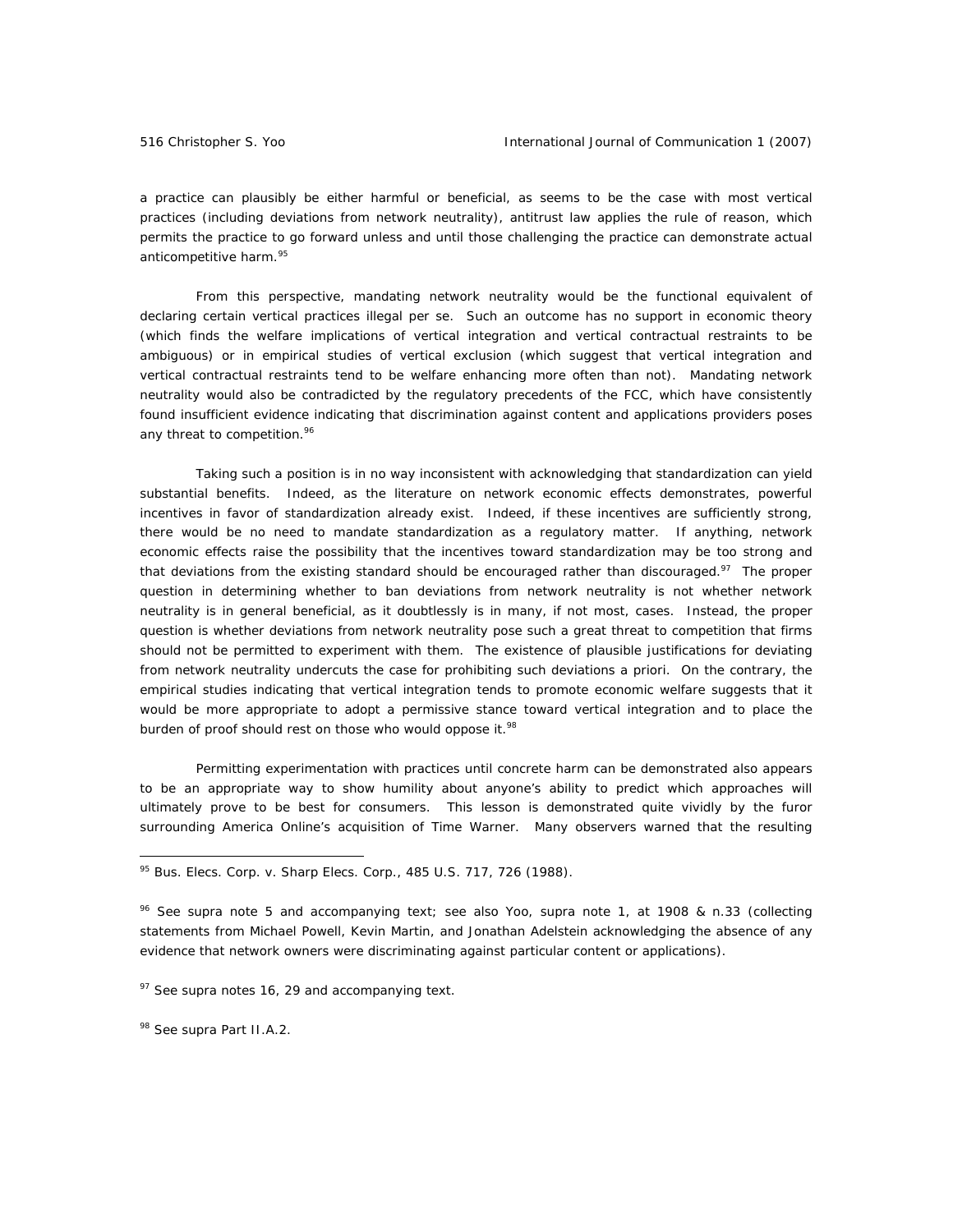a practice can plausibly be either harmful or beneficial, as seems to be the case with most vertical practices (including deviations from network neutrality), antitrust law applies the rule of reason, which permits the practice to go forward unless and until those challenging the practice can demonstrate actual anticompetitive harm.<sup>95</sup>

 From this perspective, mandating network neutrality would be the functional equivalent of declaring certain vertical practices illegal per se. Such an outcome has no support in economic theory (which finds the welfare implications of vertical integration and vertical contractual restraints to be ambiguous) or in empirical studies of vertical exclusion (which suggest that vertical integration and vertical contractual restraints tend to be welfare enhancing more often than not). Mandating network neutrality would also be contradicted by the regulatory precedents of the FCC, which have consistently found insufficient evidence indicating that discrimination against content and applications providers poses any threat to competition.<sup>96</sup>

 Taking such a position is in no way inconsistent with acknowledging that standardization can yield substantial benefits. Indeed, as the literature on network economic effects demonstrates, powerful incentives in favor of standardization already exist. Indeed, if these incentives are sufficiently strong, there would be no need to mandate standardization as a regulatory matter. If anything, network economic effects raise the possibility that the incentives toward standardization may be too strong and that deviations from the existing standard should be encouraged rather than discouraged.<sup>97</sup> The proper question in determining whether to ban deviations from network neutrality is not whether network neutrality is in general beneficial, as it doubtlessly is in many, if not most, cases. Instead, the proper question is whether deviations from network neutrality pose such a great threat to competition that firms should not be permitted to experiment with them. The existence of plausible justifications for deviating from network neutrality undercuts the case for prohibiting such deviations a priori. On the contrary, the empirical studies indicating that vertical integration tends to promote economic welfare suggests that it would be more appropriate to adopt a permissive stance toward vertical integration and to place the burden of proof should rest on those who would oppose it.<sup>98</sup>

 Permitting experimentation with practices until concrete harm can be demonstrated also appears to be an appropriate way to show humility about anyone's ability to predict which approaches will ultimately prove to be best for consumers. This lesson is demonstrated quite vividly by the furor surrounding America Online's acquisition of Time Warner. Many observers warned that the resulting

<sup>95</sup> Bus. Elecs. Corp. v. Sharp Elecs. Corp., 485 U.S. 717, 726 (1988).

<sup>96</sup> *See supra* note 5 and accompanying text; *see also* Yoo, *supra* note 1, at 1908 & n.33 (collecting statements from Michael Powell, Kevin Martin, and Jonathan Adelstein acknowledging the absence of any evidence that network owners were discriminating against particular content or applications).

<sup>97</sup> *See supra* notes 16, 29 and accompanying text.

<sup>98</sup> *See supra* Part II.A.2.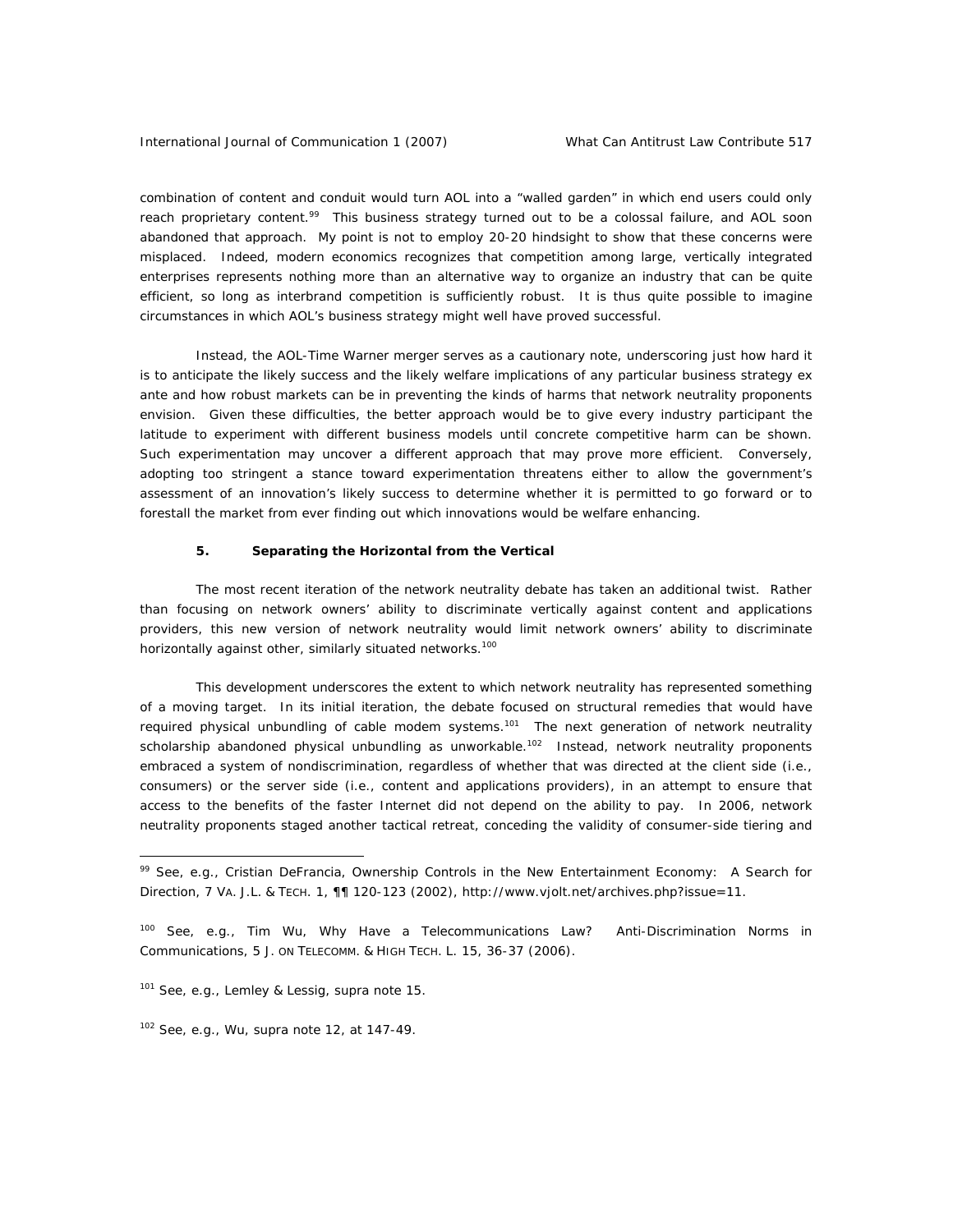combination of content and conduit would turn AOL into a "walled garden" in which end users could only reach proprietary content.<sup>99</sup> This business strategy turned out to be a colossal failure, and AOL soon abandoned that approach. My point is not to employ 20-20 hindsight to show that these concerns were misplaced. Indeed, modern economics recognizes that competition among large, vertically integrated enterprises represents nothing more than an alternative way to organize an industry that can be quite efficient, so long as interbrand competition is sufficiently robust. It is thus quite possible to imagine circumstances in which AOL's business strategy might well have proved successful.

 Instead, the AOL-Time Warner merger serves as a cautionary note, underscoring just how hard it is to anticipate the likely success and the likely welfare implications of any particular business strategy ex ante and how robust markets can be in preventing the kinds of harms that network neutrality proponents envision. Given these difficulties, the better approach would be to give every industry participant the latitude to experiment with different business models until concrete competitive harm can be shown. Such experimentation may uncover a different approach that may prove more efficient. Conversely, adopting too stringent a stance toward experimentation threatens either to allow the government's assessment of an innovation's likely success to determine whether it is permitted to go forward or to forestall the market from ever finding out which innovations would be welfare enhancing.

## **5. Separating the Horizontal from the Vertical**

 The most recent iteration of the network neutrality debate has taken an additional twist. Rather than focusing on network owners' ability to discriminate vertically against content and applications providers, this new version of network neutrality would limit network owners' ability to discriminate horizontally against other, similarly situated networks.<sup>100</sup>

 This development underscores the extent to which network neutrality has represented something of a moving target. In its initial iteration, the debate focused on structural remedies that would have required physical unbundling of cable modem systems.<sup>101</sup> The next generation of network neutrality scholarship abandoned physical unbundling as unworkable.<sup>102</sup> Instead, network neutrality proponents embraced a system of nondiscrimination, regardless of whether that was directed at the client side (i.e., consumers) or the server side (i.e., content and applications providers), in an attempt to ensure that access to the benefits of the faster Internet did not depend on the ability to pay. In 2006, network neutrality proponents staged another tactical retreat, conceding the validity of consumer-side tiering and

<sup>99</sup> *See, e.g.*, Cristian DeFrancia, *Ownership Controls in the New Entertainment Economy: A Search for Direction*, 7 VA. J.L. & TECH. 1, ¶¶ 120-123 (2002), http://www.vjolt.net/archives.php?issue=11.

<sup>100</sup> *See, e.g.*, Tim Wu, *Why Have a Telecommunications Law? Anti-Discrimination Norms in Communications*, 5 J. ON TELECOMM. & HIGH TECH. L. 15, 36-37 (2006).

<sup>101</sup> *See, e.g.*, Lemley & Lessig, *supra* note 15.

<sup>102</sup> *See, e.g.*, Wu, *supra* note 12, at 147-49.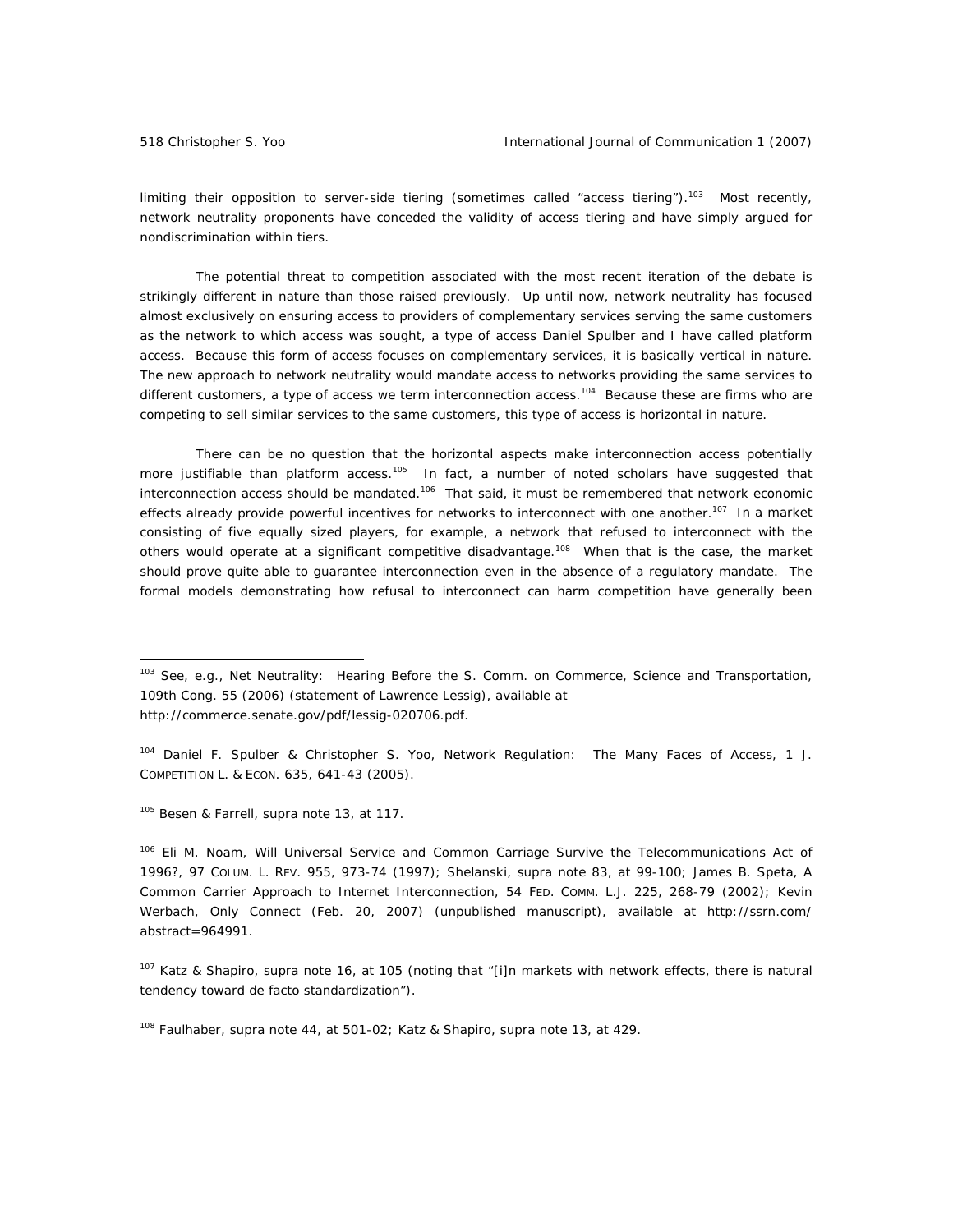limiting their opposition to server-side tiering (sometimes called "access tiering").<sup>103</sup> Most recently, network neutrality proponents have conceded the validity of access tiering and have simply argued for nondiscrimination within tiers.

 The potential threat to competition associated with the most recent iteration of the debate is strikingly different in nature than those raised previously. Up until now, network neutrality has focused almost exclusively on ensuring access to providers of *complementary* services serving the *same* customers as the network to which access was sought, a type of access Daniel Spulber and I have called *platform access*. Because this form of access focuses on complementary services, it is basically vertical in nature. The new approach to network neutrality would mandate access to networks providing the *same* services to *different customers*, a type of access we term *interconnection access*. 104 Because these are firms who are competing to sell similar services to the same customers, this type of access is horizontal in nature.

 There can be no question that the horizontal aspects make interconnection access potentially more justifiable than platform access.<sup>105</sup> In fact, a number of noted scholars have suggested that interconnection access should be mandated.<sup>106</sup> That said, it must be remembered that network economic effects already provide powerful incentives for networks to interconnect with one another.<sup>107</sup> In a market consisting of five equally sized players, for example, a network that refused to interconnect with the others would operate at a significant competitive disadvantage.<sup>108</sup> When that is the case, the market should prove quite able to guarantee interconnection even in the absence of a regulatory mandate. The formal models demonstrating how refusal to interconnect can harm competition have generally been

104 Daniel F. Spulber & Christopher S. Yoo, *Network Regulation: The Many Faces of Access*, 1 J. COMPETITION L. & ECON. 635, 641-43 (2005).

105 Besen & Farrell, *supra* note 13, at 117.

 $\overline{a}$ 

106 Eli M. Noam, *Will Universal Service and Common Carriage Survive the Telecommunications Act of 1996?*, 97 COLUM. L. REV. 955, 973-74 (1997); Shelanski, *supra* note 83, at 99-100; James B. Speta, *A Common Carrier Approach to Internet Interconnection*, 54 FED. COMM. L.J. 225, 268-79 (2002); Kevin Werbach, Only Connect (Feb. 20, 2007) (unpublished manuscript), *available at* http://ssrn.com/ abstract=964991.

107 Katz & Shapiro, *supra* note 16, at 105 (noting that "[i]n markets with network effects, there is natural tendency toward de facto standardization").

108 Faulhaber, *supra* note 44, at 501-02; Katz & Shapiro, *supra* note 13, at 429.

<sup>103</sup> *See, e.g.*, *Net Neutrality: Hearing Before the S. Comm. on Commerce, Science and Transportation*, 109th Cong. 55 (2006) (statement of Lawrence Lessig), *available at* http://commerce.senate.gov/pdf/lessig-020706.pdf.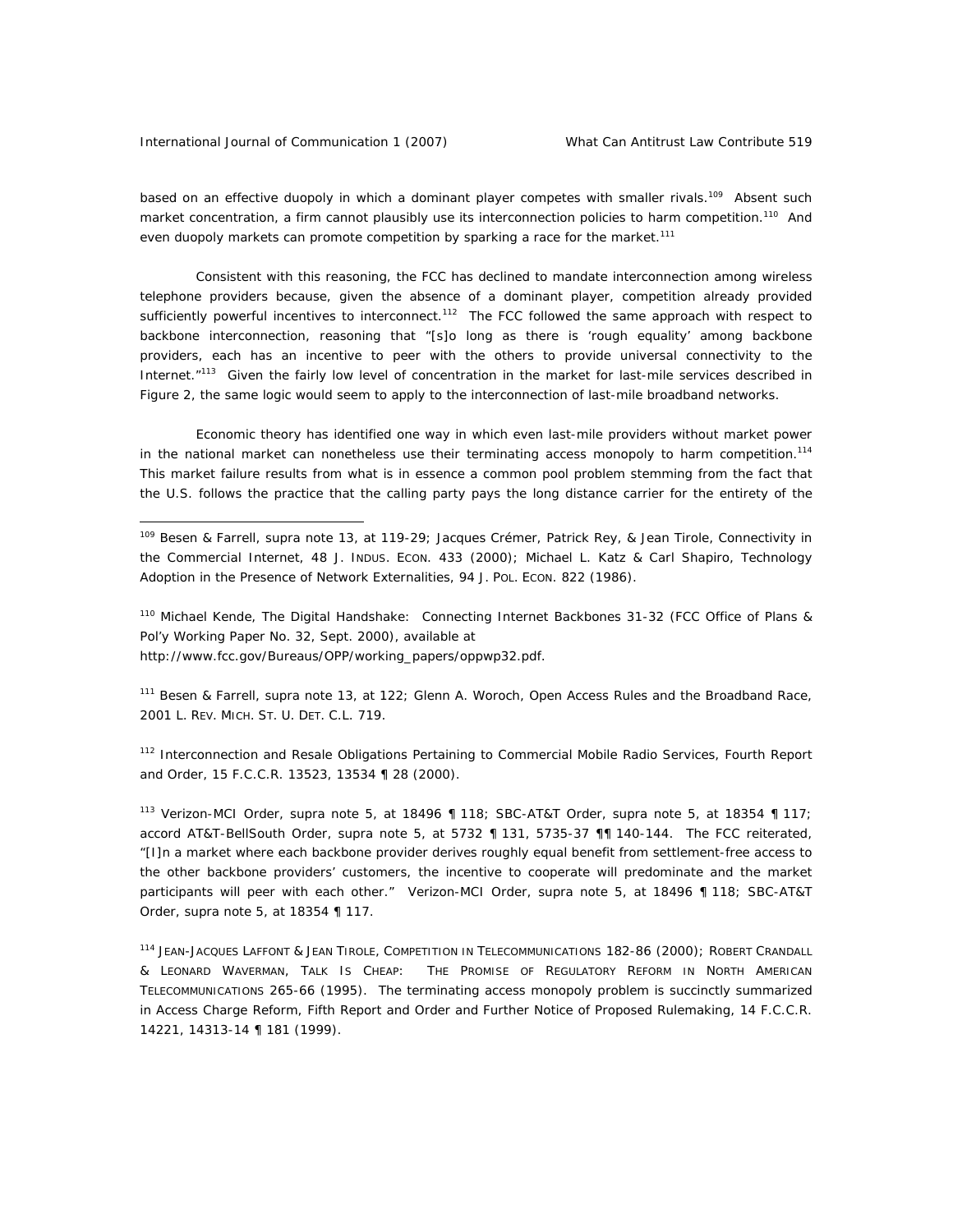based on an effective duopoly in which a dominant player competes with smaller rivals.<sup>109</sup> Absent such market concentration, a firm cannot plausibly use its interconnection policies to harm competition.<sup>110</sup> And even duopoly markets can promote competition by sparking a race for the market.<sup>111</sup>

 Consistent with this reasoning, the FCC has declined to mandate interconnection among wireless telephone providers because, given the absence of a dominant player, competition already provided sufficiently powerful incentives to interconnect.<sup>112</sup> The FCC followed the same approach with respect to backbone interconnection, reasoning that "[s]o long as there is 'rough equality' among backbone providers, each has an incentive to peer with the others to provide universal connectivity to the Internet.<sup>"113</sup> Given the fairly low level of concentration in the market for last-mile services described in Figure 2, the same logic would seem to apply to the interconnection of last-mile broadband networks.

 Economic theory has identified one way in which even last-mile providers without market power in the national market can nonetheless use their terminating access monopoly to harm competition.<sup>114</sup> This market failure results from what is in essence a common pool problem stemming from the fact that the U.S. follows the practice that the calling party pays the long distance carrier for the entirety of the

110 Michael Kende, *The Digital Handshake: Connecting Internet Backbones* 31-32 (FCC Office of Plans & Pol'y Working Paper No. 32, Sept. 2000), *available at* http://www.fcc.gov/Bureaus/OPP/working\_papers/oppwp32.pdf.

111 Besen & Farrell, *supra* note 13, at 122; Glenn A. Woroch, *Open Access Rules and the Broadband Race*, 2001 L. REV. MICH. ST. U. DET. C.L. 719.

<sup>112</sup> Interconnection and Resale Obligations Pertaining to Commercial Mobile Radio Services, Fourth Report and Order, 15 F.C.C.R. 13523, 13534 ¶ 28 (2000).

113 Verizon-MCI Order, *supra* note 5, at 18496 ¶ 118; SBC-AT&T Order, *supra* note 5, at 18354 ¶ 117; *accord* AT&T-BellSouth Order, *supra* note 5, at 5732 ¶ 131, 5735-37 ¶¶ 140-144. The FCC reiterated, "[I]n a market where each backbone provider derives roughly equal benefit from settlement-free access to the other backbone providers' customers, the incentive to cooperate will predominate and the market participants will peer with each other." Verizon-MCI Order, *supra* note 5, at 18496 ¶ 118; SBC-AT&T Order, *supra* note 5, at 18354 ¶ 117.

<sup>114</sup> JEAN-JACQUES LAFFONT & JEAN TIROLE, COMPETITION IN TELECOMMUNICATIONS 182-86 (2000); ROBERT CRANDALL & LEONARD WAVERMAN, TALK IS CHEAP: THE PROMISE OF REGULATORY REFORM IN NORTH AMERICAN TELECOMMUNICATIONS 265-66 (1995). The terminating access monopoly problem is succinctly summarized in Access Charge Reform, Fifth Report and Order and Further Notice of Proposed Rulemaking, 14 F.C.C.R. 14221, 14313-14 ¶ 181 (1999).

<sup>109</sup> Besen & Farrell, *supra* note 13, at 119-29; Jacques Crémer, Patrick Rey, & Jean Tirole, *Connectivity in the Commercial Internet*, 48 J. INDUS. ECON. 433 (2000); Michael L. Katz & Carl Shapiro, *Technology Adoption in the Presence of Network Externalities*, 94 J. POL. ECON. 822 (1986).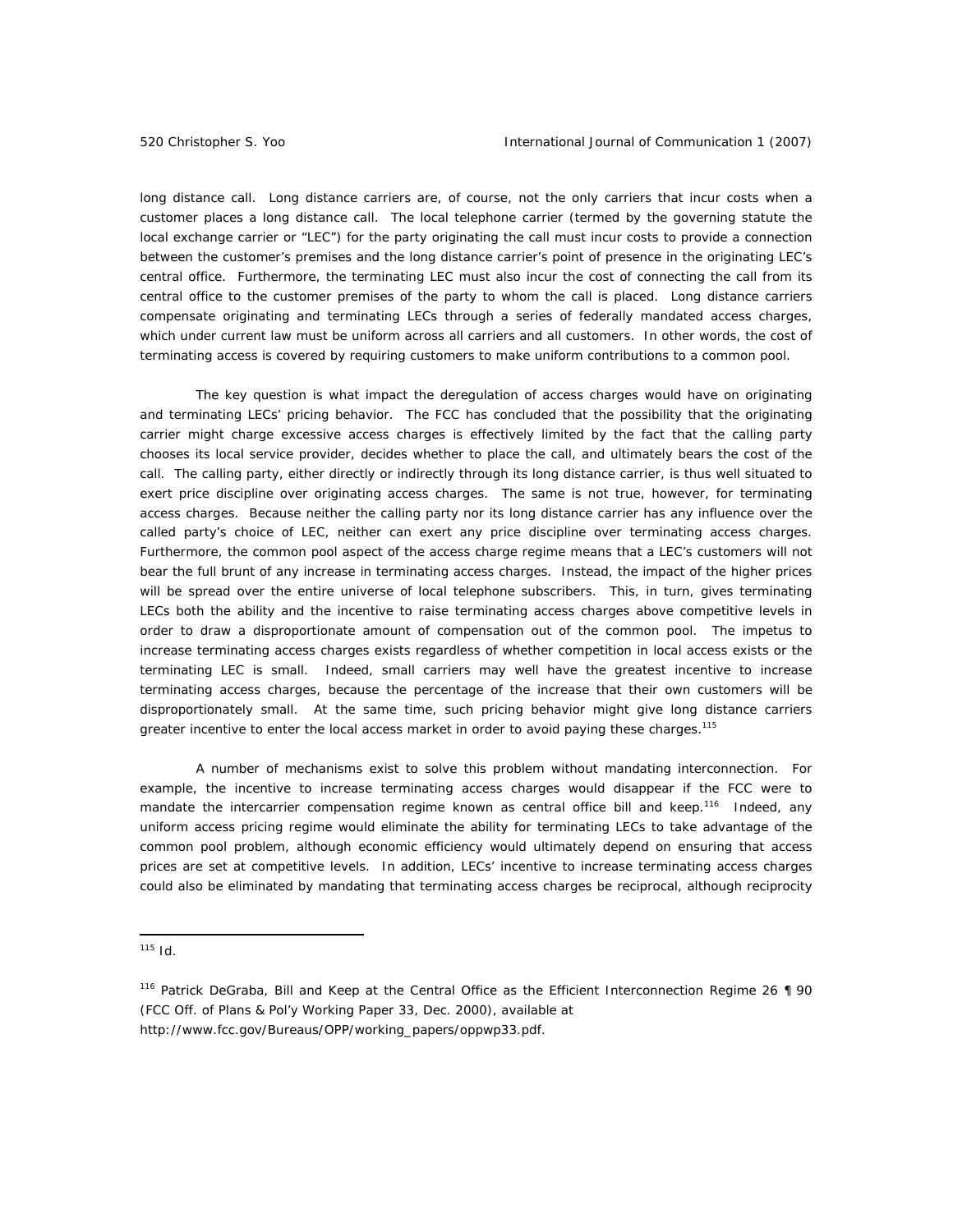long distance call. Long distance carriers are, of course, not the only carriers that incur costs when a customer places a long distance call. The local telephone carrier (termed by the governing statute the local exchange carrier or "LEC") for the party originating the call must incur costs to provide a connection between the customer's premises and the long distance carrier's point of presence in the originating LEC's central office. Furthermore, the terminating LEC must also incur the cost of connecting the call from its central office to the customer premises of the party to whom the call is placed. Long distance carriers compensate originating and terminating LECs through a series of federally mandated access charges, which under current law must be uniform across all carriers and all customers. In other words, the cost of terminating access is covered by requiring customers to make uniform contributions to a common pool.

 The key question is what impact the deregulation of access charges would have on originating and terminating LECs' pricing behavior. The FCC has concluded that the possibility that the originating carrier might charge excessive access charges is effectively limited by the fact that the calling party chooses its local service provider, decides whether to place the call, and ultimately bears the cost of the call. The calling party, either directly or indirectly through its long distance carrier, is thus well situated to exert price discipline over originating access charges. The same is not true, however, for terminating access charges. Because neither the calling party nor its long distance carrier has any influence over the called party's choice of LEC, neither can exert any price discipline over terminating access charges. Furthermore, the common pool aspect of the access charge regime means that a LEC's customers will not bear the full brunt of any increase in terminating access charges. Instead, the impact of the higher prices will be spread over the entire universe of local telephone subscribers. This, in turn, gives terminating LECs both the ability and the incentive to raise terminating access charges above competitive levels in order to draw a disproportionate amount of compensation out of the common pool. The impetus to increase terminating access charges exists regardless of whether competition in local access exists or the terminating LEC is small. Indeed, small carriers may well have the greatest incentive to increase terminating access charges, because the percentage of the increase that their own customers will be disproportionately small. At the same time, such pricing behavior might give long distance carriers greater incentive to enter the local access market in order to avoid paying these charges.<sup>115</sup>

 A number of mechanisms exist to solve this problem without mandating interconnection. For example, the incentive to increase terminating access charges would disappear if the FCC were to mandate the intercarrier compensation regime known as central office bill and keep.<sup>116</sup> Indeed, any uniform access pricing regime would eliminate the ability for terminating LECs to take advantage of the common pool problem, although economic efficiency would ultimately depend on ensuring that access prices are set at competitive levels. In addition, LECs' incentive to increase terminating access charges could also be eliminated by mandating that terminating access charges be reciprocal, although reciprocity

<sup>115</sup> *Id.* 

<sup>116</sup> Patrick DeGraba, *Bill and Keep at the Central Office as the Efficient Interconnection Regime* 26 ¶ 90 (FCC Off. of Plans & Pol'y Working Paper 33, Dec. 2000), *available at* http://www.fcc.gov/Bureaus/OPP/working\_papers/oppwp33.pdf.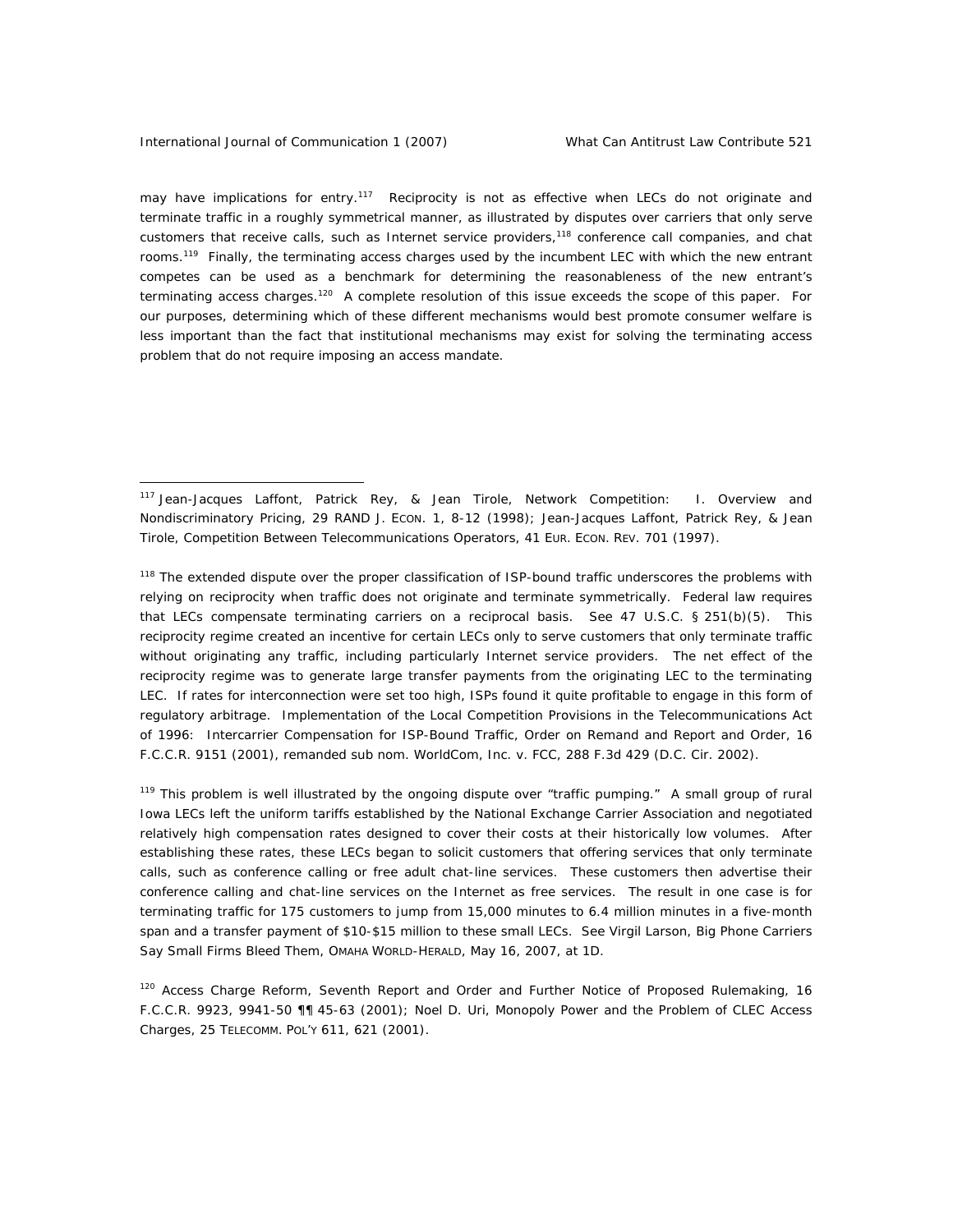may have implications for entry.<sup>117</sup> Reciprocity is not as effective when LECs do not originate and terminate traffic in a roughly symmetrical manner, as illustrated by disputes over carriers that only serve customers that receive calls, such as Internet service providers,<sup>118</sup> conference call companies, and chat rooms.<sup>119</sup> Finally, the terminating access charges used by the incumbent LEC with which the new entrant competes can be used as a benchmark for determining the reasonableness of the new entrant's terminating access charges.<sup>120</sup> A complete resolution of this issue exceeds the scope of this paper. For our purposes, determining which of these different mechanisms would best promote consumer welfare is less important than the fact that institutional mechanisms may exist for solving the terminating access problem that do not require imposing an access mandate.

<sup>118</sup> The extended dispute over the proper classification of ISP-bound traffic underscores the problems with relying on reciprocity when traffic does not originate and terminate symmetrically. Federal law requires that LECs compensate terminating carriers on a reciprocal basis. *See* 47 U.S.C. § 251(b)(5). This reciprocity regime created an incentive for certain LECs only to serve customers that only terminate traffic without originating any traffic, including particularly Internet service providers. The net effect of the reciprocity regime was to generate large transfer payments from the originating LEC to the terminating LEC. If rates for interconnection were set too high, ISPs found it quite profitable to engage in this form of regulatory arbitrage. Implementation of the Local Competition Provisions in the Telecommunications Act of 1996: Intercarrier Compensation for ISP-Bound Traffic, Order on Remand and Report and Order, 16 F.C.C.R. 9151 (2001), *remanded sub nom.* WorldCom, Inc. v. FCC, 288 F.3d 429 (D.C. Cir. 2002).

<sup>119</sup> This problem is well illustrated by the ongoing dispute over "traffic pumping." A small group of rural Iowa LECs left the uniform tariffs established by the National Exchange Carrier Association and negotiated relatively high compensation rates designed to cover their costs at their historically low volumes. After establishing these rates, these LECs began to solicit customers that offering services that only terminate calls, such as conference calling or free adult chat-line services. These customers then advertise their conference calling and chat-line services on the Internet as free services. The result in one case is for terminating traffic for 175 customers to jump from 15,000 minutes to 6.4 million minutes in a five-month span and a transfer payment of \$10-\$15 million to these small LECs. *See* Virgil Larson, *Big Phone Carriers Say Small Firms Bleed Them*, OMAHA WORLD-HERALD, May 16, 2007, at 1D.

<sup>120</sup> Access Charge Reform, Seventh Report and Order and Further Notice of Proposed Rulemaking, 16 F.C.C.R. 9923, 9941-50 ¶¶ 45-63 (2001); Noel D. Uri, *Monopoly Power and the Problem of CLEC Access Charges*, 25 TELECOMM. POL'Y 611, 621 (2001).

<sup>117</sup> Jean-Jacques Laffont, Patrick Rey, & Jean Tirole, *Network Competition: I. Overview and Nondiscriminatory Pricing*, 29 RAND J. ECON. 1, 8-12 (1998); Jean-Jacques Laffont, Patrick Rey, & Jean Tirole, *Competition Between Telecommunications Operators*, 41 EUR. ECON. REV. 701 (1997).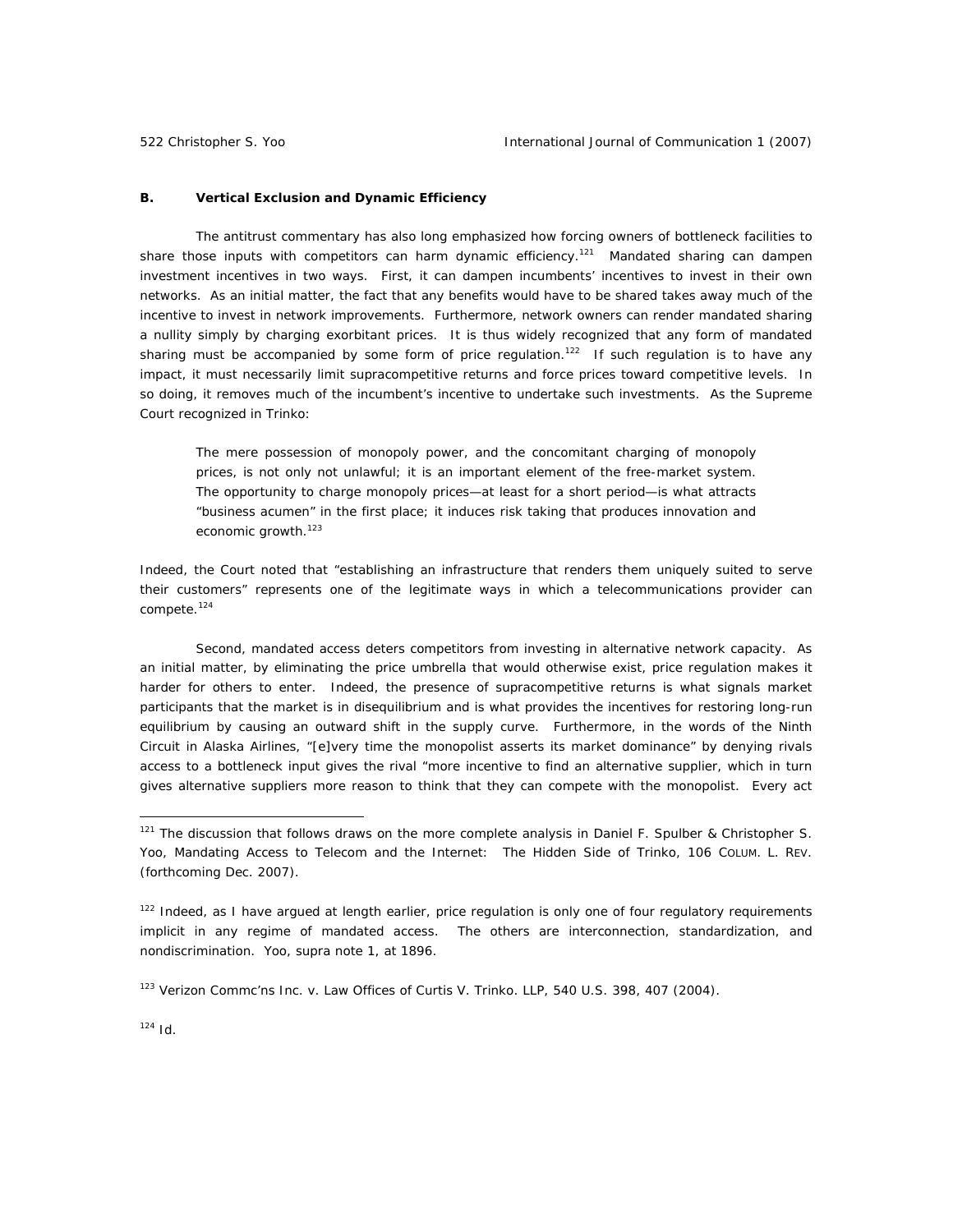## **B. Vertical Exclusion and Dynamic Efficiency**

 The antitrust commentary has also long emphasized how forcing owners of bottleneck facilities to share those inputs with competitors can harm dynamic efficiency.<sup>121</sup> Mandated sharing can dampen investment incentives in two ways. First, it can dampen *incumbents'* incentives to invest in their own networks. As an initial matter, the fact that any benefits would have to be shared takes away much of the incentive to invest in network improvements. Furthermore, network owners can render mandated sharing a nullity simply by charging exorbitant prices. It is thus widely recognized that any form of mandated sharing must be accompanied by some form of price regulation.<sup>122</sup> If such regulation is to have any impact, it must necessarily limit supracompetitive returns and force prices toward competitive levels. In so doing, it removes much of the incumbent's incentive to undertake such investments. As the Supreme Court recognized in *Trinko*:

The mere possession of monopoly power, and the concomitant charging of monopoly prices, is not only not unlawful; it is an important element of the free-market system. The opportunity to charge monopoly prices—at least for a short period—is what attracts "business acumen" in the first place; it induces risk taking that produces innovation and economic growth.<sup>123</sup>

Indeed, the Court noted that "establishing an infrastructure that renders them uniquely suited to serve their customers" represents one of the legitimate ways in which a telecommunications provider can compete.<sup>124</sup>

 Second, mandated access deters *competitors* from investing in alternative network capacity. As an initial matter, by eliminating the price umbrella that would otherwise exist, price regulation makes it harder for others to enter. Indeed, the presence of supracompetitive returns is what signals market participants that the market is in disequilibrium and is what provides the incentives for restoring long-run equilibrium by causing an outward shift in the supply curve. Furthermore, in the words of the Ninth Circuit in *Alaska Airlines*, "[e]very time the monopolist asserts its market dominance" by denying rivals access to a bottleneck input gives the rival "more incentive to find an alternative supplier, which in turn gives alternative suppliers more reason to think that they can compete with the monopolist. Every act

 $121$  The discussion that follows draws on the more complete analysis in Daniel F. Spulber & Christopher S. Yoo, *Mandating Access to Telecom and the Internet: The Hidden Side of* Trinko, 106 COLUM. L. REV. (forthcoming Dec. 2007)*.* 

 $122$  Indeed, as I have argued at length earlier, price regulation is only one of four regulatory reguirements implicit in any regime of mandated access. The others are interconnection, standardization, and nondiscrimination. Yoo, *supra* note 1, at 1896.

 $123$  Verizon Commc'ns Inc. v. Law Offices of Curtis V. Trinko. LLP, 540 U.S. 398, 407 (2004).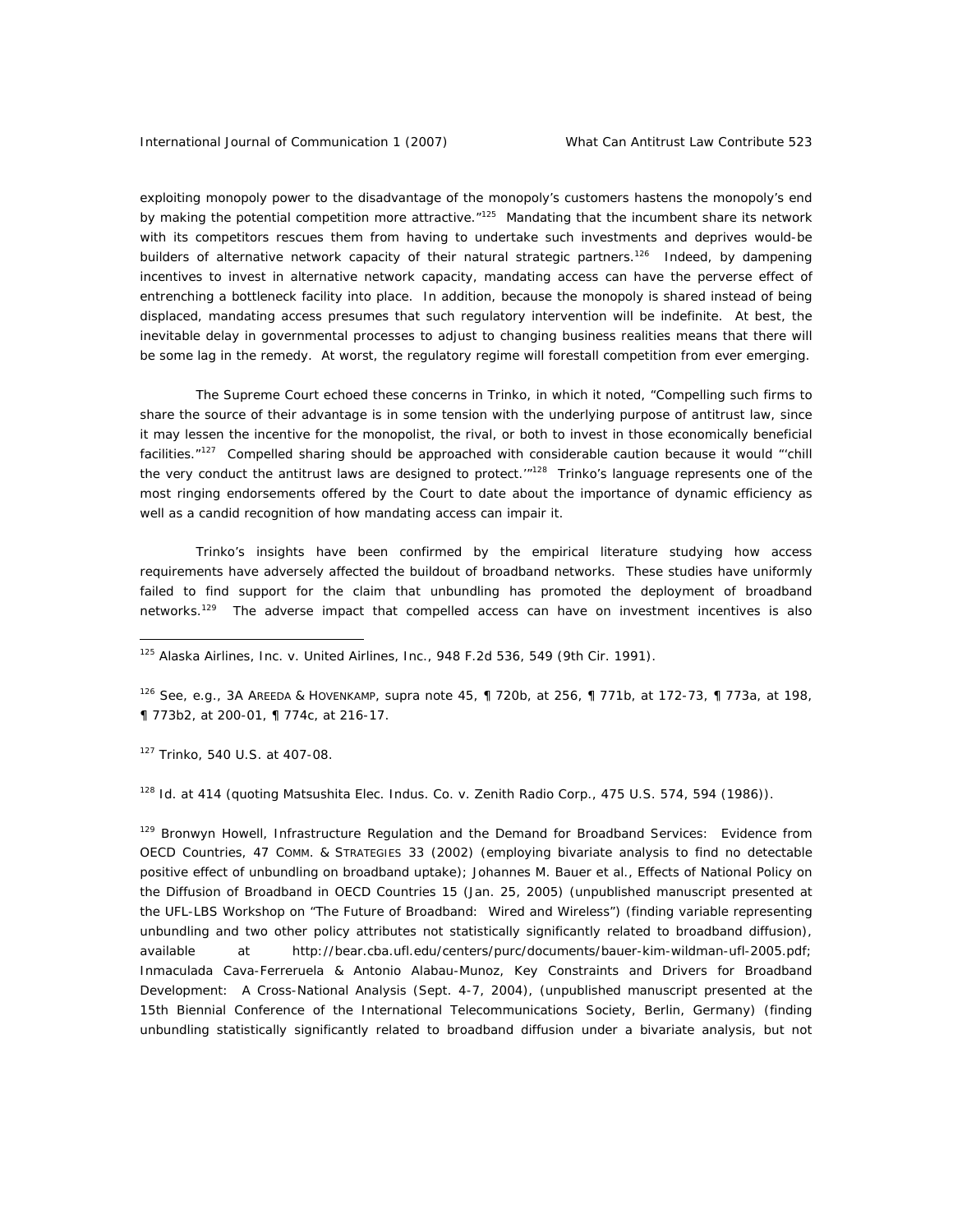exploiting monopoly power to the disadvantage of the monopoly's customers hastens the monopoly's end by making the potential competition more attractive. $n^{125}$  Mandating that the incumbent share its network with its competitors rescues them from having to undertake such investments and deprives would-be builders of alternative network capacity of their natural strategic partners.<sup>126</sup> Indeed, by dampening incentives to invest in alternative network capacity, mandating access can have the perverse effect of entrenching a bottleneck facility into place. In addition, because the monopoly is shared instead of being displaced, mandating access presumes that such regulatory intervention will be indefinite. At best, the inevitable delay in governmental processes to adjust to changing business realities means that there will be some lag in the remedy. At worst, the regulatory regime will forestall competition from ever emerging.

 The Supreme Court echoed these concerns in *Trinko*, in which it noted, "Compelling such firms to share the source of their advantage is in some tension with the underlying purpose of antitrust law, since it may lessen the incentive for the monopolist, the rival, or both to invest in those economically beneficial facilities."<sup>127</sup> Compelled sharing should be approached with considerable caution because it would "'chill the very conduct the antitrust laws are designed to protect.'"128 *Trinko*'s language represents one of the most ringing endorsements offered by the Court to date about the importance of dynamic efficiency as well as a candid recognition of how mandating access can impair it.

*Trinko*'s insights have been confirmed by the empirical literature studying how access requirements have adversely affected the buildout of broadband networks. These studies have uniformly failed to find support for the claim that unbundling has promoted the deployment of broadband networks.<sup>129</sup> The adverse impact that compelled access can have on investment incentives is also

<sup>126</sup> *See, e.g.*, 3A AREEDA & HOVENKAMP, *supra* note 45, ¶ 720b, at 256, ¶ 771b, at 172-73, ¶ 773a, at 198, ¶ 773b2, at 200-01, ¶ 774c, at 216-17.

<sup>127</sup> *Trinko*, 540 U.S. at 407-08.

 $\overline{a}$ 

<sup>128</sup> *Id.* at 414 (quoting Matsushita Elec. Indus. Co. v. Zenith Radio Corp., 475 U.S. 574, 594 (1986)).

129 Bronwyn Howell, *Infrastructure Regulation and the Demand for Broadband Services: Evidence from OECD Countries*, 47 COMM. & STRATEGIES 33 (2002) (employing bivariate analysis to find no detectable positive effect of unbundling on broadband uptake); Johannes M. Bauer et al., Effects of National Policy on the Diffusion of Broadband in OECD Countries 15 (Jan. 25, 2005) (unpublished manuscript presented at the UFL-LBS Workshop on "The Future of Broadband: Wired and Wireless") (finding variable representing unbundling and two other policy attributes not statistically significantly related to broadband diffusion), *available at* http://bear.cba.ufl.edu/centers/purc/documents/bauer-kim-wildman-ufl-2005.pdf; Inmaculada Cava-Ferreruela & Antonio Alabau-Munoz, Key Constraints and Drivers for Broadband Development: A Cross-National Analysis (Sept. 4-7, 2004), (unpublished manuscript presented at the 15th Biennial Conference of the International Telecommunications Society, Berlin, Germany) (finding unbundling statistically significantly related to broadband diffusion under a bivariate analysis, but not

<sup>&</sup>lt;sup>125</sup> Alaska Airlines, Inc. v. United Airlines, Inc., 948 F.2d 536, 549 (9th Cir. 1991).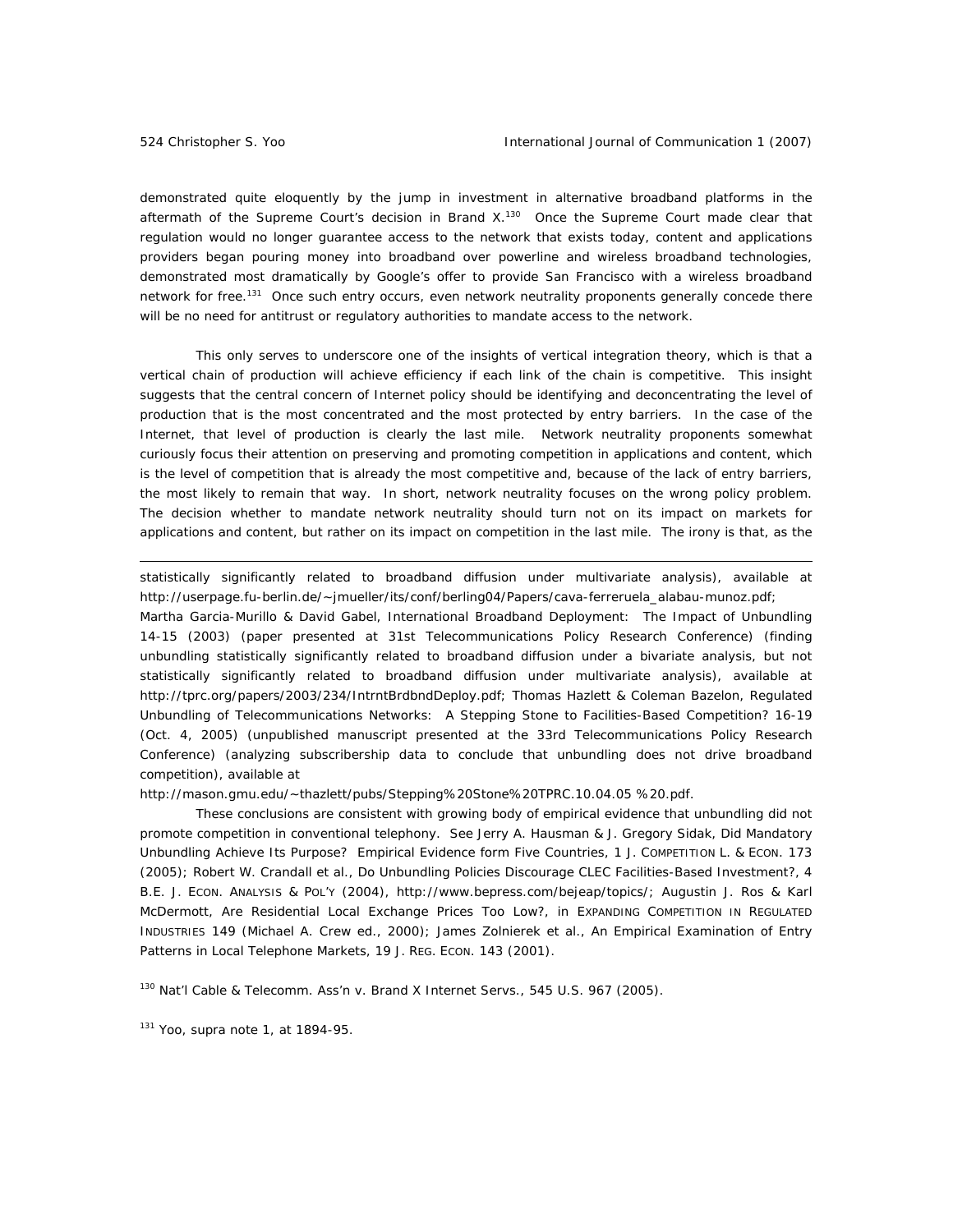demonstrated quite eloquently by the jump in investment in alternative broadband platforms in the aftermath of the Supreme Court's decision in *Brand X*. 130 Once the Supreme Court made clear that regulation would no longer guarantee access to the network that exists today, content and applications providers began pouring money into broadband over powerline and wireless broadband technologies, demonstrated most dramatically by Google's offer to provide San Francisco with a wireless broadband network for free.<sup>131</sup> Once such entry occurs, even network neutrality proponents generally concede there will be no need for antitrust or regulatory authorities to mandate access to the network.

 This only serves to underscore one of the insights of vertical integration theory, which is that a vertical chain of production will achieve efficiency if each link of the chain is competitive. This insight suggests that the central concern of Internet policy should be identifying and deconcentrating the level of production that is the most concentrated and the most protected by entry barriers. In the case of the Internet, that level of production is clearly the last mile. Network neutrality proponents somewhat curiously focus their attention on preserving and promoting competition in applications and content, which is the level of competition that is already the most competitive and, because of the lack of entry barriers, the most likely to remain that way. In short, network neutrality focuses on the wrong policy problem. The decision whether to mandate network neutrality should turn not on its impact on markets for applications and content, but rather on its impact on competition in the last mile. The irony is that, as the

statistically significantly related to broadband diffusion under multivariate analysis), *available at* http://userpage.fu-berlin.de/~jmueller/its/conf/berling04/Papers/cava-ferreruela\_alabau-munoz.pdf; Martha Garcia-Murillo & David Gabel, International Broadband Deployment: The Impact of Unbundling 14-15 (2003) (paper presented at 31st Telecommunications Policy Research Conference) (finding unbundling statistically significantly related to broadband diffusion under a bivariate analysis, but not statistically significantly related to broadband diffusion under multivariate analysis), *available at* http://tprc.org/papers/2003/234/IntrntBrdbndDeploy.pdf; Thomas Hazlett & Coleman Bazelon, Regulated Unbundling of Telecommunications Networks: A Stepping Stone to Facilities-Based Competition? 16-19 (Oct. 4, 2005) (unpublished manuscript presented at the 33rd Telecommunications Policy Research Conference) (analyzing subscribership data to conclude that unbundling does not drive broadband competition), *available at*

[http://mason.gmu.edu/~thazlett/pubs/Stepping%20Stone%20TPRC.10.04.05 %20.pdf.](http://mason.gmu.edu/~thazlett/pubs/Stepping%20Stone%20TPRC.10.04.05%20.pdf) 

 These conclusions are consistent with growing body of empirical evidence that unbundling did not promote competition in conventional telephony. *See* Jerry A. Hausman & J. Gregory Sidak, *Did Mandatory Unbundling Achieve Its Purpose? Empirical Evidence form Five Countries*, 1 J. COMPETITION L. & ECON. 173 (2005); Robert W. Crandall et al., *Do Unbundling Policies Discourage CLEC Facilities-Based Investment?*, 4 B.E. J. ECON. ANALYSIS & POL'Y (2004), http://www.bepress.com/bejeap/topics/; Augustin J. Ros & Karl McDermott, *Are Residential Local Exchange Prices Too Low?*, *in* EXPANDING COMPETITION IN REGULATED INDUSTRIES 149 (Michael A. Crew ed., 2000); James Zolnierek et al., *An Empirical Examination of Entry Patterns in Local Telephone Markets*, 19 J. REG. ECON. 143 (2001).

130 Nat'l Cable & Telecomm. Ass'n v. Brand X Internet Servs., 545 U.S. 967 (2005).

131 Yoo, *supra* note 1, at 1894-95.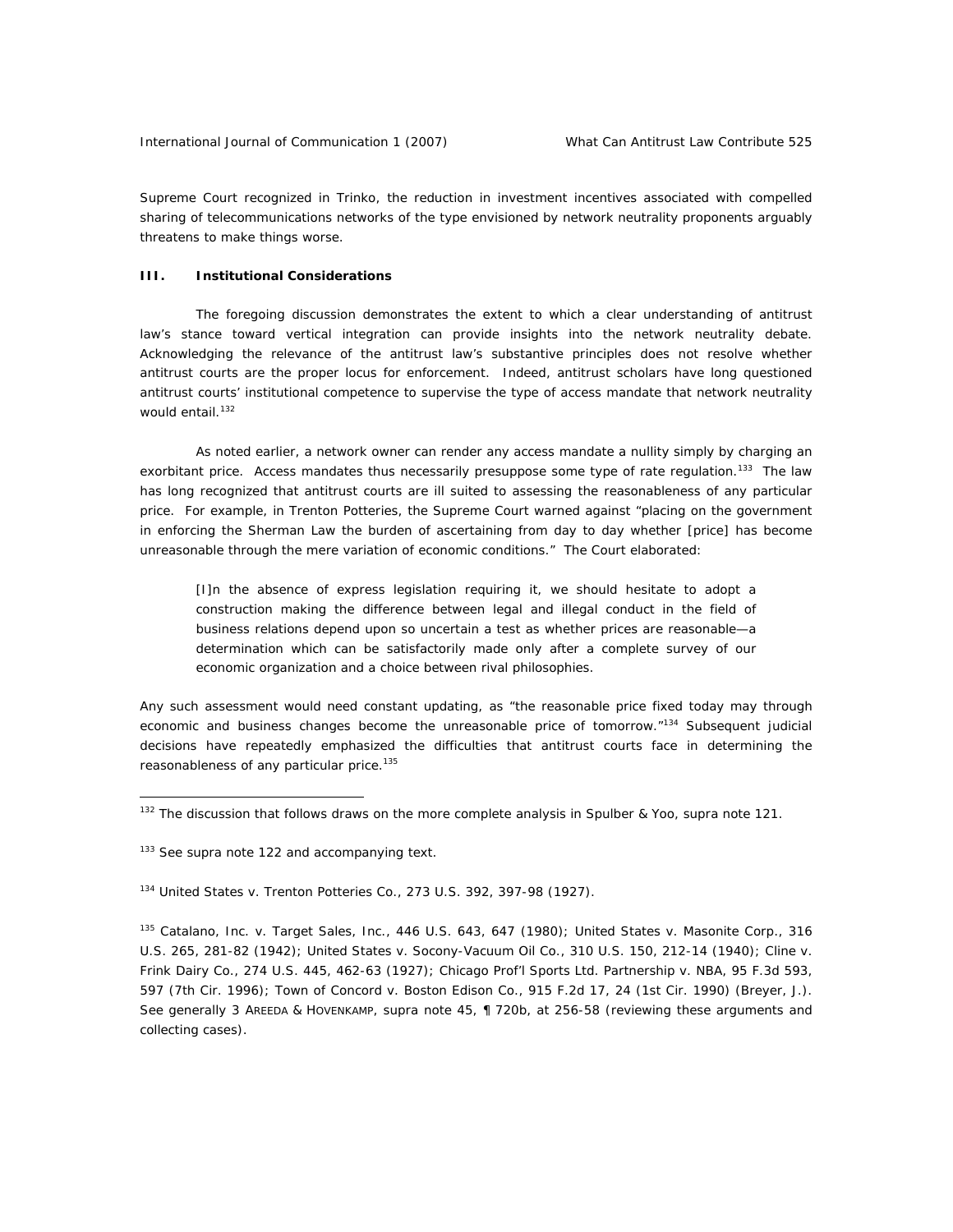Supreme Court recognized in *Trinko*, the reduction in investment incentives associated with compelled sharing of telecommunications networks of the type envisioned by network neutrality proponents arguably threatens to make things worse.

## **III. Institutional Considerations**

 The foregoing discussion demonstrates the extent to which a clear understanding of antitrust law's stance toward vertical integration can provide insights into the network neutrality debate. Acknowledging the relevance of the antitrust law's substantive principles does not resolve whether antitrust courts are the proper locus for enforcement. Indeed, antitrust scholars have long questioned antitrust courts' institutional competence to supervise the type of access mandate that network neutrality would entail.<sup>132</sup>

 As noted earlier, a network owner can render any access mandate a nullity simply by charging an exorbitant price. Access mandates thus necessarily presuppose some type of rate regulation.<sup>133</sup> The law has long recognized that antitrust courts are ill suited to assessing the reasonableness of any particular price. For example, in *Trenton Potteries*, the Supreme Court warned against "placing on the government in enforcing the Sherman Law the burden of ascertaining from day to day whether [price] has become unreasonable through the mere variation of economic conditions." The Court elaborated:

[I]n the absence of express legislation requiring it, we should hesitate to adopt a construction making the difference between legal and illegal conduct in the field of business relations depend upon so uncertain a test as whether prices are reasonable—a determination which can be satisfactorily made only after a complete survey of our economic organization and a choice between rival philosophies.

Any such assessment would need constant updating, as "the reasonable price fixed today may through economic and business changes become the unreasonable price of tomorrow."<sup>134</sup> Subsequent judicial decisions have repeatedly emphasized the difficulties that antitrust courts face in determining the reasonableness of any particular price.<sup>135</sup>

 $\overline{a}$ 

<sup>135</sup> Catalano, Inc. v. Target Sales, Inc., 446 U.S. 643, 647 (1980); United States v. Masonite Corp., 316 U.S. 265, 281-82 (1942); United States v. Socony-Vacuum Oil Co., 310 U.S. 150, 212-14 (1940); Cline v. Frink Dairy Co., 274 U.S. 445, 462-63 (1927); Chicago Prof'l Sports Ltd. Partnership v. NBA, 95 F.3d 593, 597 (7th Cir. 1996); Town of Concord v. Boston Edison Co., 915 F.2d 17, 24 (1st Cir. 1990) (Breyer, J.). *See generally* 3 AREEDA & HOVENKAMP, *supra* note 45, ¶ 720b, at 256-58 (reviewing these arguments and collecting cases).

<sup>132</sup> The discussion that follows draws on the more complete analysis in Spulber & Yoo, *supra* note 121.

<sup>133</sup> *See supra* note 122 and accompanying text.

<sup>134</sup> United States v. Trenton Potteries Co., 273 U.S. 392, 397-98 (1927).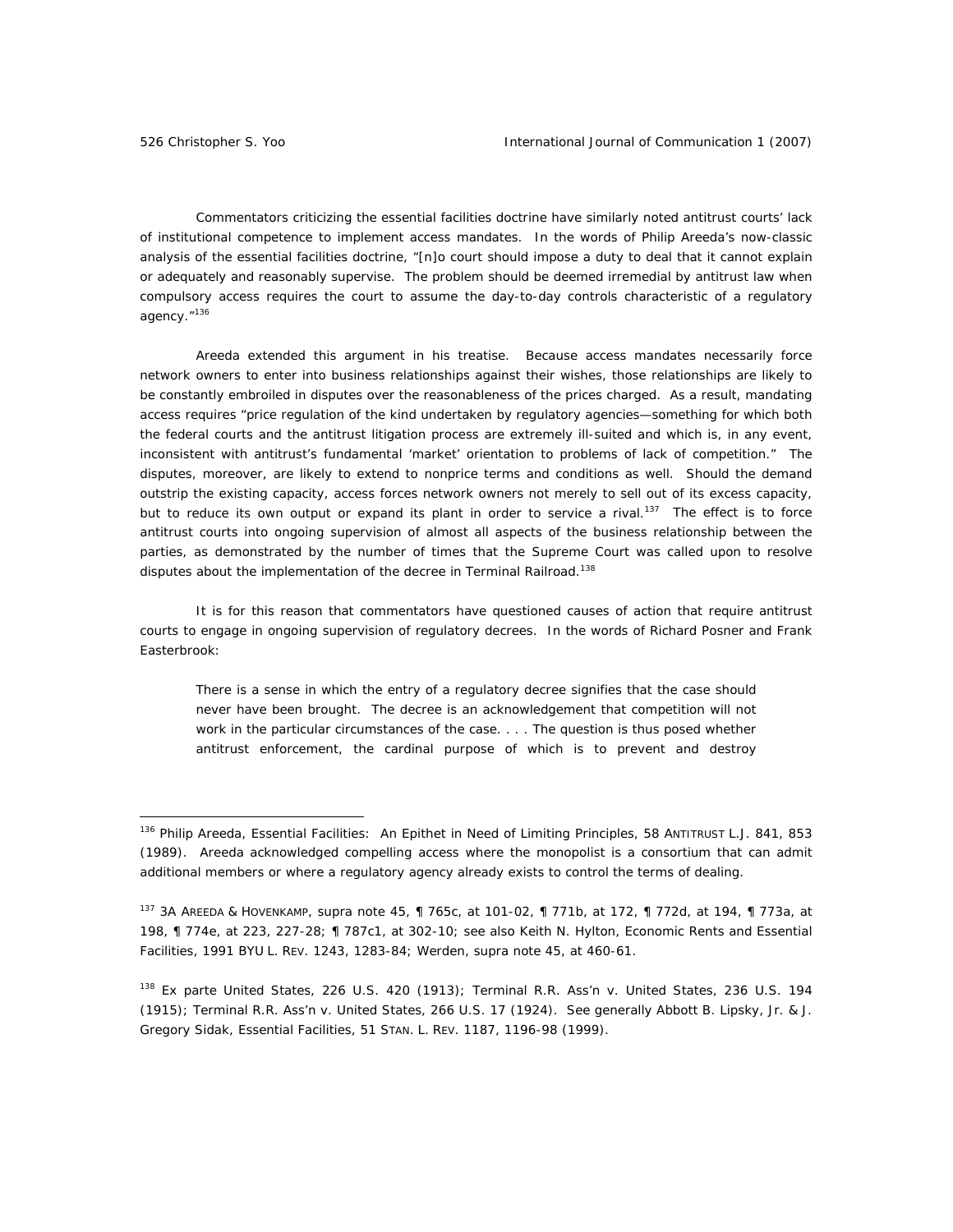Commentators criticizing the essential facilities doctrine have similarly noted antitrust courts' lack of institutional competence to implement access mandates. In the words of Philip Areeda's now-classic analysis of the essential facilities doctrine, "[n]o court should impose a duty to deal that it cannot explain or adequately and reasonably supervise. The problem should be deemed irremedial by antitrust law when compulsory access requires the court to assume the day-to-day controls characteristic of a regulatory agency."<sup>136</sup>

 Areeda extended this argument in his treatise. Because access mandates necessarily force network owners to enter into business relationships against their wishes, those relationships are likely to be constantly embroiled in disputes over the reasonableness of the prices charged. As a result, mandating access requires "price regulation of the kind undertaken by regulatory agencies—something for which both the federal courts and the antitrust litigation process are extremely ill-suited and which is, in any event, inconsistent with antitrust's fundamental 'market' orientation to problems of lack of competition." The disputes, moreover, are likely to extend to nonprice terms and conditions as well. Should the demand outstrip the existing capacity, access forces network owners not merely to sell out of its excess capacity, but to reduce its own output or expand its plant in order to service a rival.<sup>137</sup> The effect is to force antitrust courts into ongoing supervision of almost all aspects of the business relationship between the parties, as demonstrated by the number of times that the Supreme Court was called upon to resolve disputes about the implementation of the decree in *Terminal Railroad.*138

 It is for this reason that commentators have questioned causes of action that require antitrust courts to engage in ongoing supervision of regulatory decrees. In the words of Richard Posner and Frank Easterbrook:

There is a sense in which the entry of a regulatory decree signifies that the case should never have been brought. The decree is an acknowledgement that competition will not work in the particular circumstances of the case. . . . The question is thus posed whether antitrust enforcement, the cardinal purpose of which is to prevent and destroy

<sup>136</sup> Philip Areeda, *Essential Facilities: An Epithet in Need of Limiting Principles*, 58 ANTITRUST L.J. 841, 853 (1989). Areeda acknowledged compelling access where the monopolist is a consortium that can admit additional members or where a regulatory agency already exists to control the terms of dealing.

<sup>137 3</sup>A AREEDA & HOVENKAMP, *supra* note 45, ¶ 765c, at 101-02, ¶ 771b, at 172, ¶ 772d, at 194, ¶ 773a, at 198, ¶ 774e, at 223, 227-28; ¶ 787c1, at 302-10; *see also* Keith N. Hylton, *Economic Rents and Essential Facilities*, 1991 BYU L. REV. 1243, 1283-84; Werden, *supra* note 45, at 460-61.

<sup>138</sup> *Ex parte* United States, 226 U.S. 420 (1913); Terminal R.R. Ass'n v. United States, 236 U.S. 194 (1915); Terminal R.R. Ass'n v. United States, 266 U.S. 17 (1924). *See generally* Abbott B. Lipsky, Jr. & J. Gregory Sidak, *Essential Facilities*, 51 STAN. L. REV. 1187, 1196-98 (1999).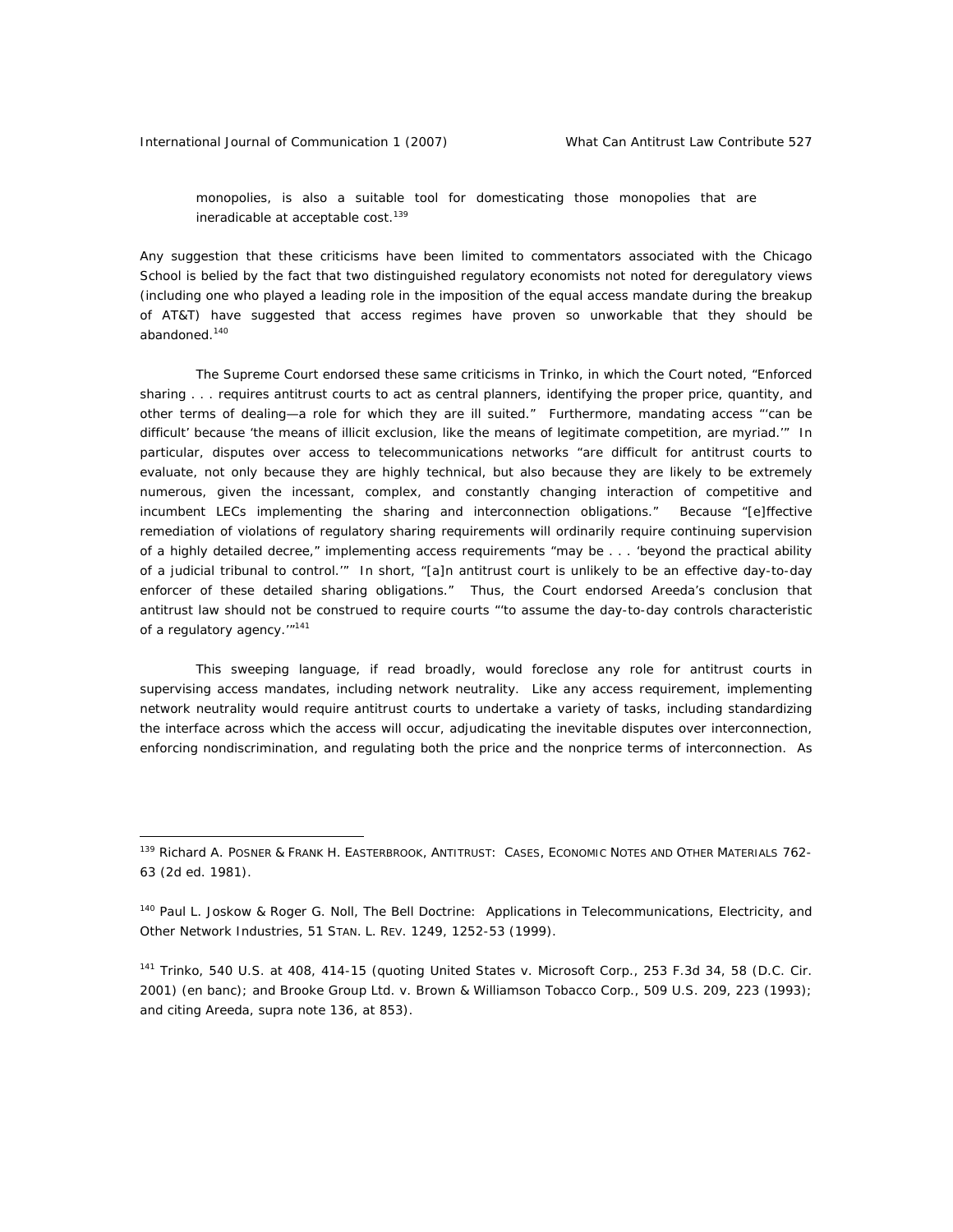monopolies, is also a suitable tool for domesticating those monopolies that are ineradicable at acceptable cost.<sup>139</sup>

Any suggestion that these criticisms have been limited to commentators associated with the Chicago School is belied by the fact that two distinguished regulatory economists not noted for deregulatory views (including one who played a leading role in the imposition of the equal access mandate during the breakup of AT&T) have suggested that access regimes have proven so unworkable that they should be abandoned.<sup>140</sup>

 The Supreme Court endorsed these same criticisms in *Trinko*, in which the Court noted, "Enforced sharing . . . requires antitrust courts to act as central planners, identifying the proper price, quantity, and other terms of dealing—a role for which they are ill suited." Furthermore, mandating access "'can be difficult' because 'the means of illicit exclusion, like the means of legitimate competition, are myriad.'" In particular, disputes over access to telecommunications networks "are difficult for antitrust courts to evaluate, not only because they are highly technical, but also because they are likely to be extremely numerous, given the incessant, complex, and constantly changing interaction of competitive and incumbent LECs implementing the sharing and interconnection obligations." Because "[e]ffective remediation of violations of regulatory sharing requirements will ordinarily require continuing supervision of a highly detailed decree," implementing access requirements "may be . . . 'beyond the practical ability of a judicial tribunal to control.'" In short, "[a]n antitrust court is unlikely to be an effective day-to-day enforcer of these detailed sharing obligations." Thus, the Court endorsed Areeda's conclusion that antitrust law should not be construed to require courts "'to assume the day-to-day controls characteristic of a regulatory agency."<sup>141</sup>

 This sweeping language, if read broadly, would foreclose any role for antitrust courts in supervising access mandates, including network neutrality. Like any access requirement, implementing network neutrality would require antitrust courts to undertake a variety of tasks, including standardizing the interface across which the access will occur, adjudicating the inevitable disputes over interconnection, enforcing nondiscrimination, and regulating both the price and the nonprice terms of interconnection. As

<sup>139</sup> Richard A. POSNER & FRANK H. EASTERBROOK, ANTITRUST: CASES, ECONOMIC NOTES AND OTHER MATERIALS 762-63 (2d ed. 1981).

<sup>140</sup> Paul L. Joskow & Roger G. Noll, *The Bell Doctrine: Applications in Telecommunications, Electricity, and Other Network Industries*, 51 STAN. L. REV. 1249, 1252-53 (1999).

<sup>141</sup> *Trinko*, 540 U.S*.* at 408, 414-15 (quoting United States v. Microsoft Corp., 253 F.3d 34, 58 (D.C. Cir. 2001) (en banc); and Brooke Group Ltd. v. Brown & Williamson Tobacco Corp., 509 U.S. 209, 223 (1993); and citing Areeda, *supra* note 136, at 853).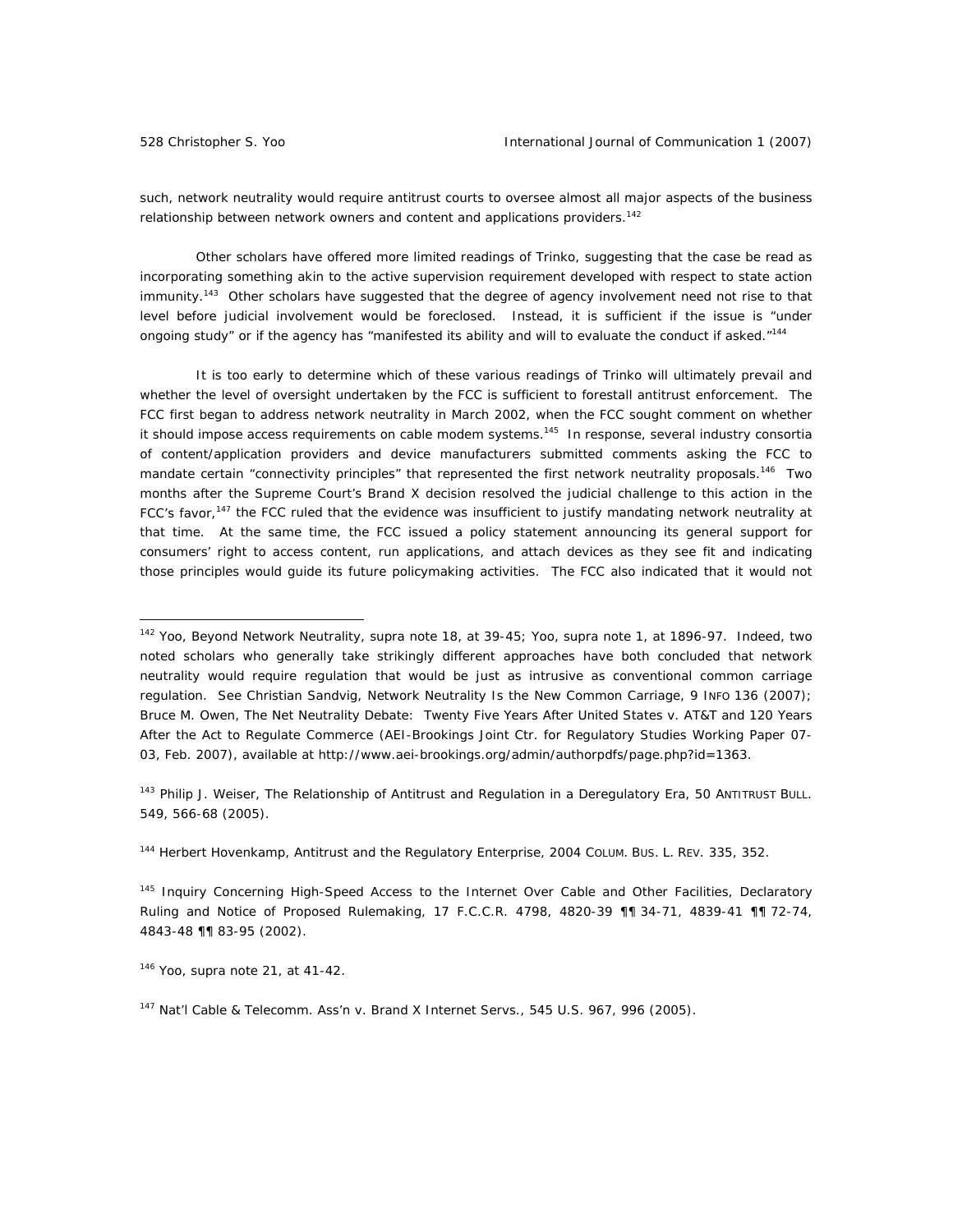such, network neutrality would require antitrust courts to oversee almost all major aspects of the business relationship between network owners and content and applications providers.<sup>142</sup>

 Other scholars have offered more limited readings of *Trinko*, suggesting that the case be read as incorporating something akin to the active supervision requirement developed with respect to state action immunity.<sup>143</sup> Other scholars have suggested that the degree of agency involvement need not rise to that level before judicial involvement would be foreclosed. Instead, it is sufficient if the issue is "under ongoing study" or if the agency has "manifested its ability and will to evaluate the conduct if asked."<sup>144</sup>

 It is too early to determine which of these various readings of *Trinko* will ultimately prevail and whether the level of oversight undertaken by the FCC is sufficient to forestall antitrust enforcement. The FCC first began to address network neutrality in March 2002, when the FCC sought comment on whether it should impose access requirements on cable modem systems.<sup>145</sup> In response, several industry consortia of content/application providers and device manufacturers submitted comments asking the FCC to mandate certain "connectivity principles" that represented the first network neutrality proposals.<sup>146</sup> Two months after the Supreme Court's *Brand X* decision resolved the judicial challenge to this action in the FCC's favor,<sup>147</sup> the FCC ruled that the evidence was insufficient to justify mandating network neutrality at that time. At the same time, the FCC issued a policy statement announcing its general support for consumers' right to access content, run applications, and attach devices as they see fit and indicating those principles would guide its future policymaking activities. The FCC also indicated that it would not

143 Philip J. Weiser, *The Relationship of Antitrust and Regulation in a Deregulatory Era*, 50 ANTITRUST BULL. 549, 566-68 (2005).

144 Herbert Hovenkamp, *Antitrust and the Regulatory Enterprise*, 2004 COLUM. BUS. L. REV. 335, 352.

<sup>145</sup> Inquiry Concerning High-Speed Access to the Internet Over Cable and Other Facilities, Declaratory Ruling and Notice of Proposed Rulemaking, 17 F.C.C.R. 4798, 4820-39 ¶¶ 34-71, 4839-41 ¶¶ 72-74, 4843-48 ¶¶ 83-95 (2002).

146 Yoo, *supra* note 21, at 41-42.

 $147$  Nat'l Cable & Telecomm. Ass'n v. Brand X Internet Servs., 545 U.S. 967, 996 (2005).

<sup>142</sup> Yoo, *Beyond Network Neutrality*, *supra* note 18, at 39-45; Yoo, *supra* note 1, at 1896-97. Indeed, two noted scholars who generally take strikingly different approaches have both concluded that network neutrality would require regulation that would be just as intrusive as conventional common carriage regulation. *See* Christian Sandvig, *Network Neutrality Is the New Common Carriage*, 9 INFO 136 (2007); Bruce M. Owen, *The Net Neutrality Debate: Twenty Five Years After* United States v. AT&T *and 120 Years After the* Act to Regulate Commerce (AEI-Brookings Joint Ctr. for Regulatory Studies Working Paper 07- 03, Feb. 2007), *available at* http://www.aei-brookings.org/admin/authorpdfs/page.php?id=1363.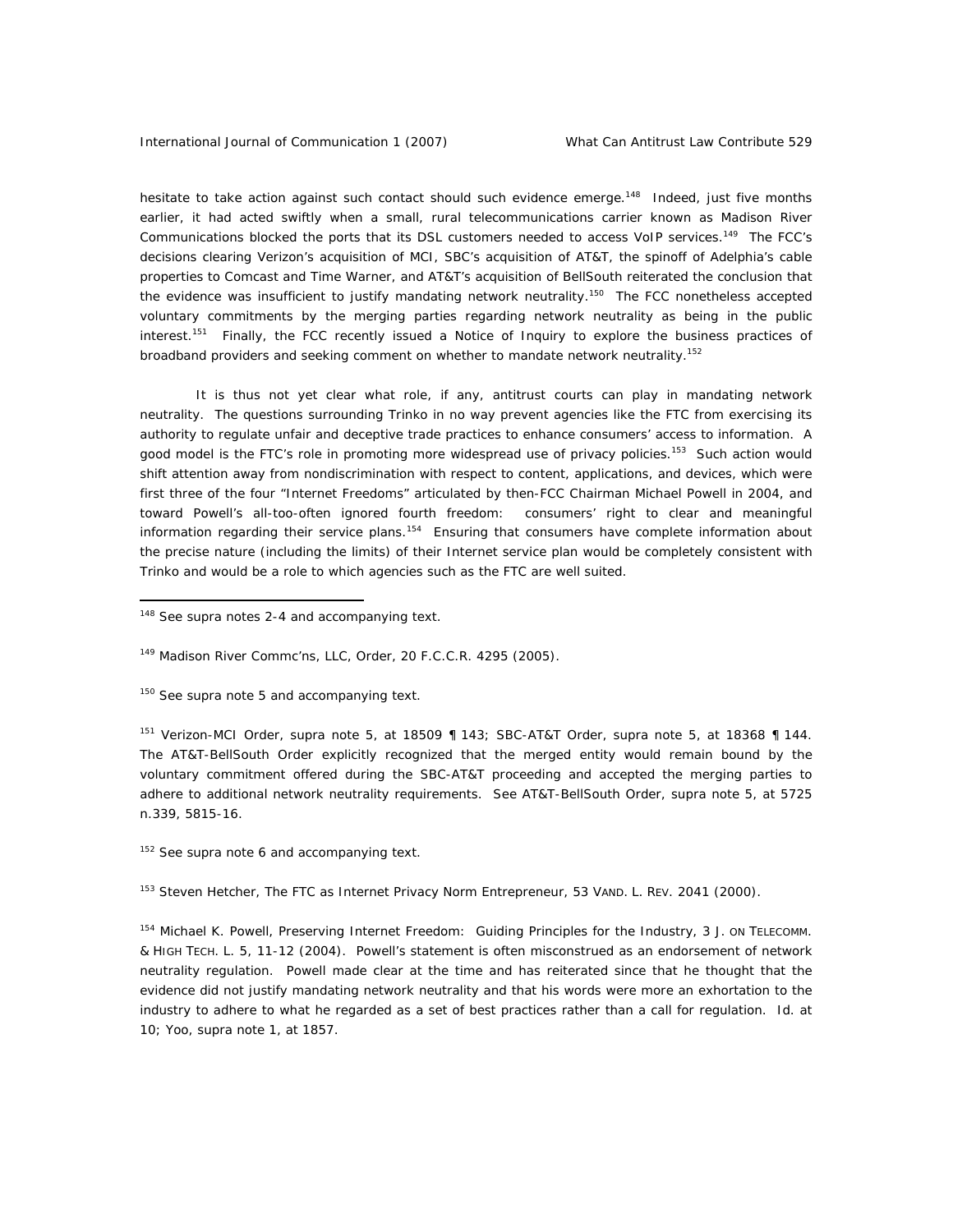hesitate to take action against such contact should such evidence emerge.<sup>148</sup> Indeed, just five months earlier, it had acted swiftly when a small, rural telecommunications carrier known as Madison River Communications blocked the ports that its DSL customers needed to access VoIP services.<sup>149</sup> The FCC's decisions clearing Verizon's acquisition of MCI, SBC's acquisition of AT&T, the spinoff of Adelphia's cable properties to Comcast and Time Warner, and AT&T's acquisition of BellSouth reiterated the conclusion that the evidence was insufficient to justify mandating network neutrality.<sup>150</sup> The FCC nonetheless accepted voluntary commitments by the merging parties regarding network neutrality as being in the public interest.<sup>151</sup> Finally, the FCC recently issued a Notice of Inquiry to explore the business practices of broadband providers and seeking comment on whether to mandate network neutrality.<sup>152</sup>

 It is thus not yet clear what role, if any, antitrust courts can play in mandating network neutrality. The questions surrounding *Trinko* in no way prevent agencies like the FTC from exercising its authority to regulate unfair and deceptive trade practices to enhance consumers' access to information. A good model is the FTC's role in promoting more widespread use of privacy policies.<sup>153</sup> Such action would shift attention away from nondiscrimination with respect to content, applications, and devices, which were first three of the four "Internet Freedoms" articulated by then-FCC Chairman Michael Powell in 2004, and toward Powell's all-too-often ignored fourth freedom: consumers' right to clear and meaningful information regarding their service plans.<sup>154</sup> Ensuring that consumers have complete information about the precise nature (including the limits) of their Internet service plan would be completely consistent with *Trinko* and would be a role to which agencies such as the FTC are well suited.

 $\overline{a}$ 

151 Verizon-MCI Order, *supra* note 5, at 18509 ¶ 143; SBC-AT&T Order, *supra* note 5, at 18368 ¶ 144. The AT&T-BellSouth Order explicitly recognized that the merged entity would remain bound by the voluntary commitment offered during the SBC-AT&T proceeding and accepted the merging parties to adhere to additional network neutrality requirements. *See* AT&T-BellSouth Order, *supra* note 5, at 5725 n.339, 5815-16.

<sup>152</sup> *See supra* note 6 and accompanying text.

153 Steven Hetcher, *The FTC as Internet Privacy Norm Entrepreneur*, 53 VAND. L. REV. 2041 (2000).

154 Michael K. Powell, *Preserving Internet Freedom: Guiding Principles for the Industry*, 3 J. ON TELECOMM. & HIGH TECH. L. 5, 11-12 (2004). Powell's statement is often misconstrued as an endorsement of network neutrality regulation. Powell made clear at the time and has reiterated since that he thought that the evidence did not justify mandating network neutrality and that his words were more an exhortation to the industry to adhere to what he regarded as a set of best practices rather than a call for regulation. *Id.* at 10; Yoo, *supra* note 1, at 1857.

<sup>148</sup> *See supra* notes 2-4 and accompanying text.

<sup>&</sup>lt;sup>149</sup> Madison River Commc'ns, LLC, Order, 20 F.C.C.R. 4295 (2005).

<sup>150</sup> *See supra* note 5 and accompanying text.